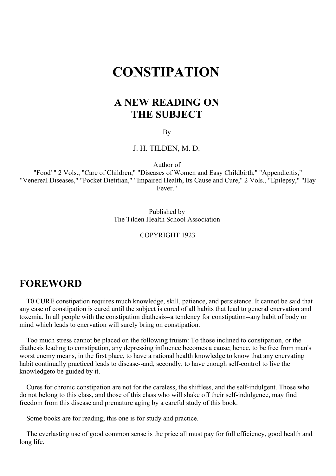# **CONSTIPATION**

# **A NEW READING ON THE SUBJECT**

By

J. H. TILDEN, M. D.

Author of

"Food' " 2 Vols., "Care of Children," "Diseases of Women and Easy Childbirth," "Appendicitis," "Venereal Diseases," "Pocket Dietitian," "Impaired Health, Its Cause and Cure," 2 Vols., "Epilepsy," "Hay Fever."

> Published by The Tilden Health School Association

### COPYRIGHT 1923

# **FOREWORD**

T0 CURE constipation requires much knowledge, skill, patience, and persistence. It cannot be said that any case of constipation is cured until the subject is cured of all habits that lead to general enervation and toxemia. In all people with the constipation diathesis--a tendency for constipation--any habit of body or mind which leads to enervation will surely bring on constipation.

Too much stress cannot be placed on the following truism: To those inclined to constipation, or the diathesis leading to constipation, any depressing influence becomes a cause; hence, to be free from man's worst enemy means, in the first place, to have a rational health knowledge to know that any enervating habit continually practiced leads to disease--and, secondly, to have enough self-control to live the knowledgeto be guided by it.

Cures for chronic constipation are not for the careless, the shiftless, and the self-indulgent. Those who do not belong to this class, and those of this class who will shake off their self-indulgence, may find freedom from this disease and premature aging by a careful study of this book.

Some books are for reading; this one is for study and practice.

The everlasting use of good common sense is the price all must pay for full efficiency, good health and long life.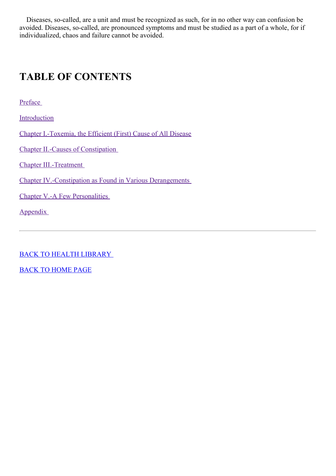Diseases, so-called, are a unit and must be recognized as such, for in no other way can confusion be avoided. Diseases, so-called, are pronounced symptoms and must be studied as a part of a whole, for if individualized, chaos and failure cannot be avoided.

# **TABLE OF CONTENTS**

[Preface](#page-3-0)

[Introduction](#page-9-0)

Chapter [I.-Toxemia,](#page-17-0) the Efficient (First) Cause of All Disease

Chapter II.-Causes of [Constipation](#page-27-0)

Chapter [III.-Treatment](#page-41-0)

Chapter [IV.-Constipation](#page-57-0) as Found in Various Derangements

Chapter V.-A Few [Personalities](#page-65-0)

[Appendix](#page-67-0)

BACK TO HEALTH [LIBRARY](../0201hyglibcat.html)

BACK TO [HOME](../../../index.html) PAGE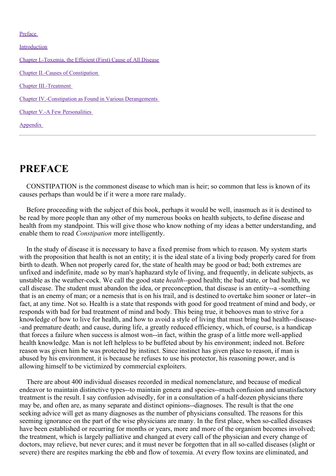#### [Preface](#page-3-0)

[Introduction](#page-9-0)

Chapter [I.-Toxemia,](#page-17-0) the Efficient (First) Cause of All Disease Chapter II.-Causes of [Constipation](#page-27-0) Chapter [III.-Treatment](#page-41-0) Chapter [IV.-Constipation](#page-57-0) as Found in Various Derangements Chapter V.-A Few [Personalities](#page-65-0) [Appendix](#page-67-0)

# **PREFACE**

CONSTIPATION is the commonest disease to which man is heir; so common that less is known of its causes perhaps than would be if it were a more rare malady.

Before proceeding with the subject of this book, perhaps it would be well, inasmuch as it is destined to be read by more people than any other of my numerous books on health subjects, to define disease and health from my standpoint. This will give those who know nothing of my ideas a better understanding, and enable them to read *Constipation* more intelligently.

In the study of disease it is necessary to have a fixed premise from which to reason. My system starts with the proposition that health is not an entity; it is the ideal state of a living body properly cared for from birth to death. When not properly cared for, the state of health may be good or bad; both extremes are unfixed and indefinite, made so by man's haphazard style of living, and frequently, in delicate subjects, as unstable as the weather-cock. We call the good state *health--*good health; the bad state, or bad health, we call disease. The student must abandon the idea, or preconception, that disease is an entity--a -something that is an enemy of man; or a nemesis that is on his trail, and is destined to overtake him sooner or later--in fact, at any time. Not so. Health is a state that responds with good for good treatment of mind and body, or responds with bad for bad treatment of mind and body. This being true, it behooves man to strive for a knowledge of how to live for health, and how to avoid a style of living that must bring bad health--disease- -and premature death; and cause, during life, a greatly reduced efficiency, which, of course, is a handicap that forces a failure when success is almost won--in fact, within the grasp of a little more well-applied health knowledge. Man is not left helpless to be buffeted about by his environment; indeed not. Before reason was given him he was protected by instinct. Since instinct has given place to reason, if man is abused by his environment, it is because he refuses to use his protector, his reasoning power, and is allowing himself to be victimized by commercial exploiters.

There are about 400 individual diseases recorded in medical nomenclature, and because of medical endeavor to maintain distinctive types--to maintain genera and species--much confusion and unsatisfactory treatment is the result. I say confusion advisedly, for in a consultation of a half-dozen physicians there may be, and often are, as many separate and distinct opinions--diagnoses. The result is that the one seeking advice will get as many diagnoses as the number of physicians consulted. The reasons for this seeming ignorance on the part of the wise physicians are many. In the first place, when so-called diseases have been established or recurring for months or years, more and more of the organism becomes involved; the treatment, which is largely palliative and changed at every call of the physician and every change of doctors, may relieve, but never cures; and it must never be forgotten that in all so-called diseases (slight or severe) there are respites marking the ebb and flow of toxemia. At every flow toxins are eliminated, and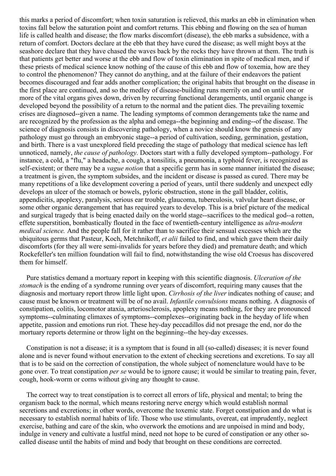<span id="page-3-0"></span>this marks a period of discomfort; when toxin saturation is relieved, this marks an ebb in elimination when toxins fall below the saturation point and comfort returns. This ebbing and flowing on the sea of human life is called health and disease; the flow marks discomfort (disease), the ebb marks a subsidence, with a return of comfort. Doctors declare at the ebb that they have cured the disease; as well might boys at the seashore declare that they have chased the waves back by the rocks they have thrown at them. The truth is that patients get better and worse at the ebb and flow of toxin elimination in spite of medical men, and if these priests of medical science know nothing of the cause of this ebb and flow of toxemia, how are they to control the phenomenon? They cannot do anything, and at the failure of their endeavors the patient becomes discouraged and fear adds another complication; the original habits that brought on the disease in the first place are continued, and so the medley of disease-building runs merrily on and on until one or more of the vital organs gives down, driven by recurring functional derangements, until organic change is developed beyond the possibility of a return to the normal and the patient dies. The prevailing toxemic crises are diagnosed--given a name. The leading symptoms of common derangements take the name and are recognized by the profession as the alpha and omega--the beginning and ending--of the disease. The science of diagnosis consists in discovering pathology, when a novice should know the genesis of any pathology must go through an embryonic stage--a period of cultivation, seeding, germination, gestation, and birth. There is a vast unexplored field preceding the stage of pathology that medical science has left unnoticed, namely, *the cause of pathology.* Doctors start with a fully developed symptom--pathology. For instance, a cold, a "flu," a headache, a cough, a tonsilitis, a pneumonia, a typhoid fever, is recognized as self-existent; or there may be a *vague notion* that a specific germ has in some manner initiated the disease; a treatment is given, the symptom subsides, and the incident or disease is passed as cured. There may be many repetitions of a like development covering a period of years, until there suddenly and unexpect edly develops an ulcer of the stomach or bowels, pyloric obstruction, stone in the gall bladder, colitis, appendicitis, apoplexy, paralysis, serious ear trouble, glaucoma, tuberculosis, valvular heart disease, or some other organic derangement that has required years to develop. This is a brief picture of the medical and surgical tragedy that is being enacted daily on the world stage--sacrifices to the medical god--a rotten, effete superstition, bombastically flouted in the face of twentieth-century intelligence as *ultra-modern medical science.* And the people fall for it rather than to sacrifice their sensual excesses which are the ubiquitous germs that Pasteur, Koch, Metchnikoff, *et alii* failed to find, and which gave them their daily discomforts (for they all were semi-invalids for years before they died) and premature death; and which Rockefeller's ten million foundation will fail to find, notwithstanding the wise old Croesus has discovered them for himself.

Pure statistics demand a mortuary report in keeping with this scientific diagnosis. *Ulceration of the stomach* is the ending of a syndrome running over years of discomfort, requiring many causes that the diagnosis and mortuary report throw little light upon. *Cirrhosis of the liver* indicates nothing of cause; and cause must be known or treatment will be of no avail. *Infantile convulsions* means nothing. A diagnosis of constipation, colitis, locomotor ataxia, arteriosclerosis, apoplexy means nothing, for they are pronounced symptoms--culminating climaxes of symptoms--complexes--originating back in the heyday of life when appetite, passion and emotions run riot. These hey-day peccadillos did not presage the end, nor do the mortuary reports determine or throw light on the beginning--the hey-day excesses.

Constipation is not a disease; it is a symptom that is found in all (so-called) diseases; it is never found alone and is never found without enervation to the extent of checking secretions and excretions. To say all that is to be said on the correction of constipation, the whole subject of nomenclature would have to be gone over. To treat constipation *per se* would be to ignore cause; it would be similar to treating pain, fever, cough, hook-worm or corns without giving any thought to cause.

The correct way to treat constipation is to correct all errors of life, physical and mental; to bring the organism back to the normal, which means restoring nerve energy which would establish normal secretions and excretions; in other words, overcome the toxemic state. Forget constipation and do what is necessary to establish normal habits of life. Those who use stimulants, overeat, eat imprudently, neglect exercise, bathing and care of the skin, who overwork the emotions and are unpoised in mind and body, indulge in venery and cultivate a lustful mind, need not hope to be cured of constipation or any other socalled disease until the habits of mind and body that brought on these conditions are corrected.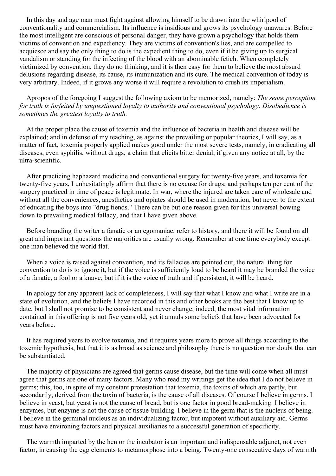In this day and age man must fight against allowing himself to be drawn into the whirlpool of conventionality and commercialism. Its influence is insidious and grows its psychology unawares. Before the most intelligent are conscious of personal danger, they have grown a psychology that holds them victims of convention and expediency. They are victims of convention's lies, and are compelled to acquiesce and say the only thing to do is the expedient thing to do, even if it be giving up to surgical vandalism or standing for the infecting of the blood with an abominable fetich. When completely victimized by convention, they do no thinking, and it is then easy for them to believe the most absurd delusions regarding disease, its cause, its immunization and its cure. The medical convention of today is very arbitrary. Indeed, if it grows any worse it will require a revolution to crush its imperialism.

Apropos of the foregoing I suggest the following axiom to be memorized, namely: *The sense perception for truth is forfeited by unquestioned loyalty to authority and conventional psychology. Disobedience is sometimes the greatest loyalty to truth.*

At the proper place the cause of toxemia and the influence of bacteria in health and disease will be explained; and in defense of my teaching, as against the prevailing or popular theories, I will say, as a matter of fact, toxemia properly applied makes good under the most severe tests, namely, in eradicating all diseases, even syphilis, without drugs; a claim that elicits bitter denial, if given any notice at all, by the ultra-scientific.

After practicing haphazard medicine and conventional surgery for twenty-five years, and toxemia for twenty-five years, I unhesitatingly affirm that there is no excuse for drugs; and perhaps ten per cent of the surgery practiced in time of peace is legitimate. In war, where the injured are taken care of wholesale and without all the conveniences, anesthetics and opiates should be used in moderation, but never to the extent of educating the boys into "drug fiends." There can be but one reason given for this universal bowing down to prevailing medical fallacy, and that I have given above.

Before branding the writer a fanatic or an egomaniac, refer to history, and there it will be found on all great and important questions the majorities are usually wrong. Remember at one time everybody except one man believed the world flat.

When a voice is raised against convention, and its fallacies are pointed out, the natural thing for convention to do is to ignore it, but if the voice is sufficiently loud to be heard it may be branded the voice of a fanatic, a fool or a knave; but if it is the voice of truth and if persistent, it will be heard.

In apology for any apparent lack of completeness, I will say that what I know and what I write are in a state of evolution, and the beliefs I have recorded in this and other books are the best that I know up to date, but I shall not promise to be consistent and never change; indeed, the most vital information contained in this offering is not five years old, yet it annuls some beliefs that have been advocated for years before.

It has required years to evolve toxemia, and it requires years more to prove all things according to the toxemic hypothesis, but that it is as broad as science and philosophy there is no question nor doubt that can be substantiated.

The majority of physicians are agreed that germs cause disease, but the time will come when all must agree that germs are one of many factors. Many who read my writings get the idea that I do not believe in germs; this, too, in spite of my constant protestation that toxemia, the toxins of which are partly, but secondarily, derived from the toxin of bacteria, is the cause of all diseases. Of course I believe in germs. I believe in yeast, but yeast is not the cause of bread, but is one factor in good bread-making. I believe in enzymes, but enzyme is not the cause of tissue-building. I believe in the germ that is the nucleus of being. I believe in the germinal nucleus as an individualizing factor, but impotent without auxiliary aid. Germs must have environing factors and physical auxiliaries to a successful generation of specificity.

The warmth imparted by the hen or the incubator is an important and indispensable adjunct, not even factor, in causing the egg elements to metamorphose into a being. Twenty-one consecutive days of warmth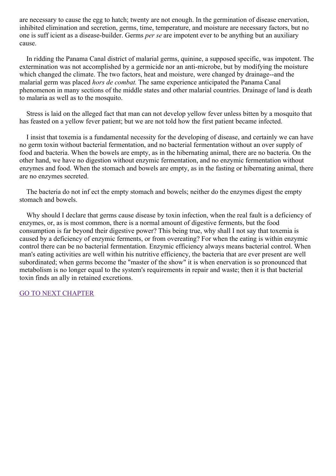are necessary to cause the egg to hatch; twenty are not enough. In the germination of disease enervation, inhibited elimination and secretion, germs, time, temperature, and moisture are necessary factors, but no one is suff icient as a disease-builder. Germs *per se* are impotent ever to be anything but an auxiliary cause.

In ridding the Panama Canal district of malarial germs, quinine, a supposed specific, was impotent. The extermination was not accomplished by a germicide nor an anti-microbe, but by modifying the moisture which changed the climate. The two factors, heat and moisture, were changed by drainage--and the malarial germ was placed *hors de combat.* The same experience anticipated the Panama Canal phenomenon in many sections of the middle states and other malarial countries. Drainage of land is death to malaria as well as to the mosquito.

Stress is laid on the alleged fact that man can not develop yellow fever unless bitten by a mosquito that has feasted on a yellow fever patient; but we are not told how the first patient became infected.

I insist that toxemia is a fundamental necessity for the developing of disease, and certainly we can have no germ toxin without bacterial fermentation, and no bacterial fermentation without an over supply of food and bacteria. When the bowels are empty, as in the hibernating animal, there are no bacteria. On the other hand, we have no digestion without enzymic fermentation, and no enzymic fermentation without enzymes and food. When the stomach and bowels are empty, as in the fasting or hibernating animal, there are no enzymes secreted.

The bacteria do not inf ect the empty stomach and bowels; neither do the enzymes digest the empty stomach and bowels.

Why should I declare that germs cause disease by toxin infection, when the real fault is a deficiency of enzymes, or, as is most common, there is a normal amount of digestive ferments, but the food consumption is far beyond their digestive power? This being true, why shall I not say that toxemia is caused by a deficiency of enzymic ferments, or from overeating? For when the eating is within enzymic control there can be no bacterial fermentation. Enzymic efficiency always means bacterial control. When man's eating activities are well within his nutritive efficiency, the bacteria that are ever present are well subordinated; when germs become the "master of the show" it is when enervation is so pronounced that metabolism is no longer equal to the system's requirements in repair and waste; then it is that bacterial toxin finds an ally in retained excretions.

GO TO NEXT [CHAPTER](#page-9-0)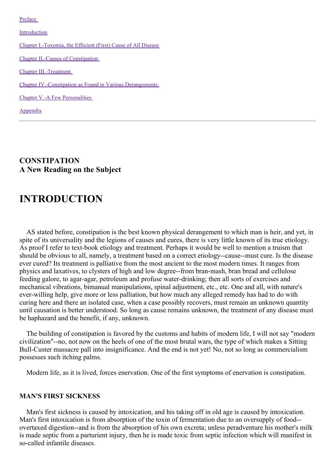[Preface](#page-3-0)

[Introduction](#page-9-0) Chapter [I.-Toxemia,](#page-17-0) the Efficient (First) Cause of All Disease Chapter II.-Causes of [Constipation](#page-27-0) Chapter [III.-Treatment](#page-41-0) Chapter [IV.-Constipation](#page-57-0) as Found in Various Derangements Chapter V.-A Few [Personalities](#page-65-0) [Appendix](#page-67-0)

**CONSTIPATION A New Reading on the Subject**

# **INTRODUCTION**

AS stated before, constipation is the best known physical derangement to which man is heir, and yet, in spite of its universality and the legions of causes and cures, there is very little known of its true etiology. As proof I refer to text-book etiology and treatment. Perhaps it would be well to mention a truism that should be obvious to all, namely, a treatment based on a correct etiology--cause--must cure. Is the disease ever cured? Its treatment is palliative from the most ancient to the most modern times. It ranges from physics and laxatives, to clysters of high and low degree--from bran-mash, bran bread and cellulose feeding galore, to agar-agar, petroleum and profuse water-drinking; then all sorts of exercises and mechanical vibrations, bimanual manipulations, spinal adjustment, etc., etc. One and all, with nature's ever-willing help, give more or less palliation, but how much any alleged remedy has had to do with curing here and there an isolated case, when a case possibly recovers, must remain an unknown quantity until causation is better understood. So long as cause remains unknown, the treatment of any disease must be haphazard and the benefit, if any, unknown.

The building of constipation is favored by the customs and habits of modern life, I will not say "modern civilization"--no, not now on the heels of one of the most brutal wars, the type of which makes a Sitting Bull-Custer massacre pall into insignificance. And the end is not yet! No, not so long as commercialism possesses such itching palms.

Modern life, as it is lived, forces enervation. One of the first symptoms of enervation is constipation.

### **MAN'S FIRST SICKNESS**

Man's first sickness is caused by intoxication, and his taking off in old age is caused by intoxication. Man's first intoxication is from absorption of the toxin of fermentation due to an oversupply of food- overtaxed digestion--and is from the absorption of his own excreta; unless peradventure his mother's milk is made septic from a parturient injury, then he is made toxic from septic infection which will manifest in so-called infantile diseases.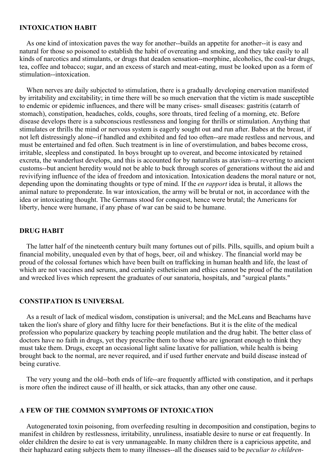### **INTOXICATION HABIT**

As one kind of intoxication paves the way for another--builds an appetite for another--it is easy and natural for those so poisoned to establish the habit of overeating and smoking, and they take easily to all kinds of narcotics and stimulants, or drugs that deaden sensation--morphine, alcoholics, the coal-tar drugs, tea, coffee and tobacco; sugar, and an excess of starch and meat-eating, must be looked upon as a form of stimulation--intoxication.

When nerves are daily subjected to stimulation, there is a gradually developing enervation manifested by irritability and excitability; in time there will be so much enervation that the victim is made susceptible to endemic or epidemic influences, and there will be many crises- small diseases: gastritis (catarrh of stomach), constipation, headaches, colds, coughs, sore throats, tired feeling of a morning, etc. Before disease develops there is a subconscious restlessness and longing for thrills or stimulation. Anything that stimulates or thrills the mind or nervous system is eagerly sought out and run after. Babes at the breast, if not left distressingly alone--if handled and exhibited and fed too often--are made restless and nervous, and must be entertained and fed often. Such treatment is in line of overstimulation, and babes become cross, irritable, sleepless and constipated. In boys brought up to overeat, and become intoxicated by retained excreta, the wanderlust develops, and this is accounted for by naturalists as atavism--a reverting to ancient customs--but ancient heredity would not be able to buck through scores of generations without the aid and revivifying influence of the idea of freedom and intoxication. Intoxication deadens the moral nature or not, depending upon the dominating thoughts or type of mind. If the *en rapport* idea is brutal, it allows the animal nature to preponderate. In war intoxication, the army will be brutal or not, in accordance with the idea or intoxicating thought. The Germans stood for conquest, hence were brutal; the Americans for liberty, hence were humane, if any phase of war can be said to be humane.

#### **DRUG HABIT**

The latter half of the nineteenth century built many fortunes out of pills. Pills, squills, and opium built a financial mobility, unequaled even by that of hogs, beer, oil and whiskey. The financial world may be proud of the colossal fortunes which have been built on trafficking in human health and life, the least of which are not vaccines and serums, and certainly estheticism and ethics cannot be proud of the mutilation and wrecked lives which represent the graduates of our sanatoria, hospitals, and "surgical plants."

### **CONSTIPATION IS UNIVERSAL**

As a result of lack of medical wisdom, constipation is universal; and the McLeans and Beachams have taken the lion's share of glory and filthy lucre for their benefactions. But it is the elite of the medical profession who popularize quackery by teaching people mutilation and the drug habit. The better class of doctors have no faith in drugs, yet they prescribe them to those who are ignorant enough to think they must take them. Drugs, except an occasional light saline laxative for palliation, while health is being brought back to the normal, are never required, and if used further enervate and build disease instead of being curative.

The very young and the old--both ends of life--are frequently afflicted with constipation, and it perhaps is more often the indirect cause of ill health, or sick attacks, than any other one cause.

#### **A FEW OF THE COMMON SYMPTOMS OF INTOXICATION**

Autogenerated toxin poisoning, from overfeeding resulting in decomposition and constipation, begins to manifest in children by restlessness, irritability, unruliness, insatiable desire to nurse or eat frequently. In older children the desire to eat is very unmanageable. In many children there is a capricious appetite, and their haphazard eating subjects them to many illnesses--all the diseases said to be *peculiar to children-*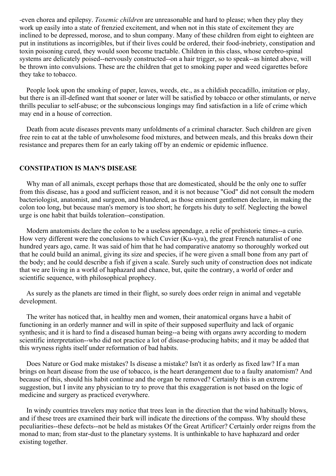*-*even chorea and epilepsy. *Toxemic children* are unreasonable and hard to please; when they play they work up easily into a state of frenzied excitement, and when not in this state of excitement they are inclined to be depressed, morose, and to shun company. Many of these children from eight to eighteen are put in institutions as incorrigibles, but if their lives could be ordered, their food-inebriety, constipation and toxin poisoning cured, they would soon become tractable. Children in this class, whose cerebro-spinal systems are delicately poised--nervously constructed--on a hair trigger, so to speak--as hinted above, will be thrown into convulsions. These are the children that get to smoking paper and weed cigarettes before they take to tobacco.

People look upon the smoking of paper, leaves, weeds, etc., as a childish peccadillo, imitation or play, but there is an ill-defined want that sooner or later will be satisfied by tobacco or other stimulants, or nerve thrills peculiar to self-abuse; or the subconscious longings may find satisfaction in a life of crime which may end in a house of correction.

Death from acute diseases prevents many unfoldments of a criminal character. Such children are given free rein to eat at the table of unwholesome food mixtures, and between meals, and this breaks down their resistance and prepares them for an early taking off by an endemic or epidemic influence.

### **CONSTIPATION IS MAN'S DISEASE**

Why man of all animals, except perhaps those that are domesticated, should be the only one to suffer from this disease, has a good and sufficient reason, and it is not because "God" did not consult the modern bacteriologist, anatomist, and surgeon, and blundered, as those eminent gentlemen declare, in making the colon too long, but because man's memory is too short; he forgets his duty to self. Neglecting the bowel urge is one habit that builds toleration--constipation.

Modern anatomists declare the colon to be a useless appendage, a relic of prehistoric times--a curio. How very different were the conclusions to which Cuvier (Ku-vya), the great French naturalist of one hundred years ago, came. It was said of him that he had comparative anatomy so thoroughly worked out that he could build an animal, giving its size and species, if he were given a small bone from any part of the body; and he could describe a fish if given a scale. Surely such unity of construction does not indicate that we are living in a world of haphazard and chance, but, quite the contrary, a world of order and scientific sequence, with philosophical prophecy.

As surely as the planets are timed in their flight, so surely does order reign in animal and vegetable development.

The writer has noticed that, in healthy men and women, their anatomical organs have a habit of functioning in an orderly manner and will in spite of their supposed superfluity and lack of organic synthesis; and it is hard to find a diseased human being--a being with organs awry according to modern scientific interpretation--who did not practice a lot of disease-producing habits; and it may be added that this wryness rights itself under reformation of bad habits.

Does Nature or God make mistakes? Is disease a mistake? Isn't it as orderly as fixed law? If a man brings on heart disease from the use of tobacco, is the heart derangement due to a faulty anatomism? And because of this, should his habit continue and the organ be removed? Certainly this is an extreme suggestion, but I invite any physician to try to prove that this exaggeration is not based on the logic of medicine and surgery as practiced everywhere.

In windy countries travelers may notice that trees lean in the direction that the wind habitually blows, and if these trees are examined their bark will indicate the directions of the compass. Why should these peculiarities--these defects--not be held as mistakes Of the Great Artificer? Certainly order reigns from the monad to man; from star-dust to the planetary systems. It is unthinkable to have haphazard and order existing together.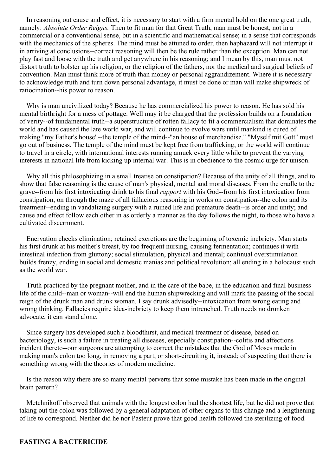<span id="page-9-0"></span>In reasoning out cause and effect, it is necessary to start with a firm mental hold on the one great truth, namely: *Absolute Order Reigns.* Then to fit man for that Great Truth, man must be honest, not in a commercial or a conventional sense, but in a scientific and mathematical sense; in a sense that corresponds with the mechanics of the spheres. The mind must be attuned to order, then haphazard will not interrupt it in arriving at conclusions--correct reasoning will then be the rule rather than the exception. Man can not play fast and loose with the truth and get anywhere in his reasoning; and I mean by this, man must not distort truth to bolster up his religion, or the religion of the fathers, nor the medical and surgical beliefs of convention. Man must think more of truth than money or personal aggrandizement. Where it is necessary to acknowledge truth and turn down personal advantage, it must be done or man will make shipwreck of ratiocination--his power to reason.

Why is man uncivilized today? Because he has commercialized his power to reason. He has sold his mental birthright for a mess of pottage. Well may it be charged that the profession builds on a foundation of verity--of fundamental truth--a superstructure of rotten fallacy to fit a commercialism that dominates the world and has caused the late world war, and will continue to evolve wars until mankind is cured of making "my Father's house"--the temple of the mind--"an house of merchandise." "Myself mit Gott" must go out of business. The temple of the mind must be kept free from trafficking, or the world will continue to travel in a circle, with international interests running amuck every little while to prevent the varying interests in national life from kicking up internal war. This is in obedience to the cosmic urge for unison.

Why all this philosophizing in a small treatise on constipation? Because of the unity of all things, and to show that false reasoning is the cause of man's physical, mental and moral diseases. From the cradle to the grave--from his first intoxicating drink to his final *rapport* with his God--from his first intoxication from constipation, on through the maze of all fallacious reasoning in works on constipation--the colon and its treatment--ending in vandalizing surgery with a ruined life and premature death--is order and unity; and cause and effect follow each other in as orderly a manner as the day follows the night, to those who have a cultivated discernment.

Enervation checks elimination; retained excretions are the beginning of toxemic inebriety. Man starts his first drunk at his mother's breast, by too frequent nursing, causing fermentation; continues it with intestinal infection from gluttony; social stimulation, physical and mental; continual overstimulation builds frenzy, ending in social and domestic manias and political revolution; all ending in a holocaust such as the world war.

Truth practiced by the pregnant mother, and in the care of the babe, in the education and final business life of the child--man or woman--will end the human shipwrecking and will mark the passing of the social reign of the drunk man and drunk woman. I say drunk advisedly--intoxication from wrong eating and wrong thinking. Fallacies require idea-inebriety to keep them intrenched. Truth needs no drunken advocate, it can stand alone.

Since surgery has developed such a bloodthirst, and medical treatment of disease, based on bacteriology, is such a failure in treating all diseases, especially constipation--colitis and affections incident thereto--our surgeons are attempting to correct the mistakes that the God of Moses made in making man's colon too long, in removing a part, or short-circuiting it, instead; of suspecting that there is something wrong with the theories of modern medicine.

Is the reason why there are so many mental perverts that some mistake has been made in the original brain pattern?

Metchnikoff observed that animals with the longest colon had the shortest life, but he did not prove that taking out the colon was followed by a general adaptation of other organs to this change and a lengthening of life to correspond. Neither did he nor Pasteur prove that good health followed the sterilizing of food.

### **FASTING A BACTERICIDE**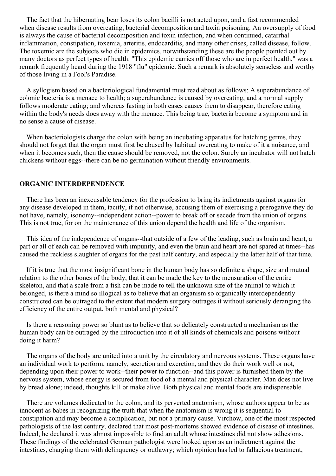The fact that the hibernating bear loses its colon bacilli is not acted upon, and a fast recommended when disease results from overeating, bacterial decomposition and toxin poisoning. An oversupply of food is always the cause of bacterial decomposition and toxin infection, and when continued, catarrhal inflammation, constipation, toxemia, arteritis, endocarditis, and many other crises, called disease, follow. The toxemic are the subjects who die in epidemics, notwithstanding these are the people pointed out by many doctors as perfect types of health. "This epidemic carries off those who are in perfect health," was a remark frequently heard during the 1918 "flu" epidemic. Such a remark is absolutely senseless and worthy of those living in a Fool's Paradise.

A syllogism based on a bacteriological fundamental must read about as follows: A superabundance of colonic bacteria is a menace to health; a superabundance is caused by overeating, and a normal supply follows moderate eating; and whereas fasting in both cases causes them to disappear, therefore eating within the body's needs does away with the menace. This being true, bacteria become a symptom and in no sense a cause of disease.

When bacteriologists charge the colon with being an incubating apparatus for hatching germs, they should not forget that the organ must first be abused by habitual overeating to make of it a nuisance, and when it becomes such, then the cause should be removed, not the colon. Surely an incubator will not hatch chickens without eggs--there can be no germination without friendly environments.

### **ORGANIC INTERDEPENDENCE**

There has been an inexcusable tendency for the profession to bring its indictments against organs for any disease developed in them, tacitly, if not otherwise, accusing them of exercising a prerogative they do not have, namely, isonomy--independent action--power to break off or secede from the union of organs. This is not true, for on the maintenance of this union depend the health and life of the organism.

This idea of the independence of organs--that outside of a few of the leading, such as brain and heart, a part or all of each can be removed with impunity, and even the brain and heart are not spared at times--has caused the reckless slaughter of organs for the past half century, and especially the latter half of that time.

If it is true that the most insignificant bone in the human body has so definite a shape, size and mutual relation to the other bones of the body, that it can be made the key to the mensuration of the entire skeleton, and that a scale from a fish can be made to tell the unknown size of the animal to which it belonged, is there a mind so illogical as to believe that an organism so organically interdependently constructed can be outraged to the extent that modern surgery outrages it without seriously deranging the efficiency of the entire output, both mental and physical?

Is there a reasoning power so blunt as to believe that so delicately constructed a mechanism as the human body can be outraged by the introduction into it of all kinds of chemicals and poisons without doing it harm?

The organs of the body are united into a unit by the circulatory and nervous systems. These organs have an individual work to perform, namely, secretion and excretion, and they do their work well or not, depending upon their power to work--their power to function--and this power is furnished them by the nervous system, whose energy is secured from food of a mental and physical character. Man does not live by bread alone; indeed, thoughts kill or make alive. Both physical and mental foods are indispensable.

There are volumes dedicated to the colon, and its perverted anatomism, whose authors appear to be as innocent as babes in recognizing the truth that when the anatomism is wrong it is sequential to constipation and may become a complication, but not a primary cause. Virchow, one of the most respected pathologists of the last century, declared that most post-mortems showed evidence of disease of intestines. Indeed, he declared it was almost impossible to find an adult whose intestines did not show adhesions. These findings of the celebrated German pathologist were looked upon as an indictment against the intestines, charging them with delinquency or outlawry; which opinion has led to fallacious treatment,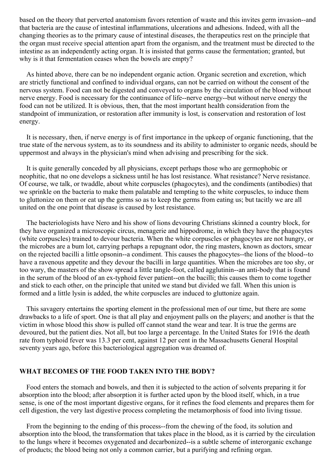based on the theory that perverted anatomism favors retention of waste and this invites germ invasion--and that bacteria are the cause of intestinal inflammations, ulcerations and adhesions. Indeed, with all the changing theories as to the primary cause of intestinal diseases, the therapeutics rest on the principle that the organ must receive special attention apart from the organism, and the treatment must be directed to the intestine as an independently acting organ. It is insisted that germs cause the fermentation; granted, but why is it that fermentation ceases when the bowels are empty?

As hinted above, there can be no independent organic action. Organic secretion and excretion, which are strictly functional and confined to individual organs, can not be carried on without the consent of the nervous system. Food can not be digested and conveyed to organs by the circulation of the blood without nerve energy. Food is necessary for the continuance of life--nerve energy--but without nerve energy the food can not be utilized. It is obvious, then, that the most important health consideration from the standpoint of immunization, or restoration after immunity is lost, is conservation and restoration of lost energy.

It is necessary, then, if nerve energy is of first importance in the upkeep of organic functioning, that the true state of the nervous system, as to its soundness and its ability to administer to organic needs, should be uppermost and always in the physician's mind when advising and prescribing for the sick.

It is quite generally conceded by all physicians, except perhaps those who are germophobic or neophitic, that no one develops a sickness until he has lost resistance. What resistance? Nerve resistance. Of course, we talk, or twaddle, about white corpuscles (phagocytes), and the condiments (antibodies) that we sprinkle on the bacteria to make them palatable and tempting to the white corpuscles, to induce them to gluttonize on them or eat up the germs so as to keep the germs from eating us; but tacitly we are all united on the one point that disease is caused by lost resistance.

The bacteriologists have Nero and his show of lions devouring Christians skinned a country block, for they have organized a microscopic circus, menagerie and hippodrome, in which they have the phagocytes (white corpuscles) trained to devour bacteria. When the white corpuscles or phagocytes are not hungry, or the microbes are a bum lot, carrying perhaps a repugnant odor, the ring masters, known as doctors, smear on the rejected bacilli a little opsonin--a condiment. This causes the phagocytes--the lions of the blood--to have a ravenous appetite and they devour the bacilli in large quantities. When the microbes are too shy, or too wary, the masters of the show spread a little tangle-foot, called agglutinin--an anti-body that is found in the serum of the blood of an ex-typhoid fever patient--on the bacilli; this causes them to come together and stick to each other, on the principle that united we stand but divided we fall. When this union is formed and a little lysin is added, the white corpuscles are induced to gluttonize again.

This savagery entertains the sporting element in the professional men of our time, but there are some drawbacks to a life of sport. One is that all play and enjoyment palls on the players; and another is that the victim in whose blood this show is pulled off cannot stand the wear and tear. It is true the germs are devoured, but the patient dies. Not all, but too large a percentage. In the United States for 1916 the death rate from typhoid fever was 13.3 per cent, against 12 per cent in the Massachusetts General Hospital seventy years ago, before this bacteriological aggregation was dreamed of.

### **WHAT BECOMES OF THE FOOD TAKEN INTO THE BODY?**

Food enters the stomach and bowels, and then it is subjected to the action of solvents preparing it for absorption into the blood; after absorption it is further acted upon by the blood itself, which, in a true sense, is one of the most important digestive organs, for it refines the food elements and prepares them for cell digestion, the very last digestive process completing the metamorphosis of food into living tissue.

From the beginning to the ending of this process--from the chewing of the food, its solution and absorption into the blood, the transformation that takes place in the blood, as it is carried by the circulation to the lungs where it becomes oxygenated and decarbonized--is a subtle scheme of interorganic exchange of products; the blood being not only a common carrier, but a purifying and refining organ.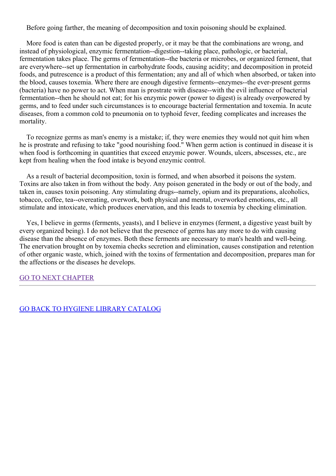Before going farther, the meaning of decomposition and toxin poisoning should be explained.

More food is eaten than can be digested properly, or it may be that the combinations are wrong, and instead of physiological, enzymic fermentation--digestion--taking place, pathologic, or bacterial, fermentation takes place. The germs of fermentation--the bacteria or microbes, or organized ferment, that are everywhere--set up fermentation in carbohydrate foods, causing acidity; and decomposition in proteid foods, and putrescence is a product of this fermentation; any and all of which when absorbed, or taken into the blood, causes toxemia. Where there are enough digestive ferments--enzymes--the ever-present germs (bacteria) have no power to act. When man is prostrate with disease--with the evil influence of bacterial fermentation--then he should not eat; for his enzymic power (power to digest) is already overpowered by germs, and to feed under such circumstances is to encourage bacterial fermentation and toxemia. In acute diseases, from a common cold to pneumonia on to typhoid fever, feeding complicates and increases the mortality.

To recognize germs as man's enemy is a mistake; if, they were enemies they would not quit him when he is prostrate and refusing to take "good nourishing food." When germ action is continued in disease it is when food is forthcoming in quantities that exceed enzymic power. Wounds, ulcers, abscesses, etc., are kept from healing when the food intake is beyond enzymic control.

As a result of bacterial decomposition, toxin is formed, and when absorbed it poisons the system. Toxins are also taken in from without the body. Any poison generated in the body or out of the body, and taken in, causes toxin poisoning. Any stimulating drugs--namely, opium and its preparations, alcoholics, tobacco, coffee, tea--overeating, overwork, both physical and mental, overworked emotions, etc., all stimulate and intoxicate, which produces enervation, and this leads to toxemia by checking elimination.

Yes, I believe in germs (ferments, yeasts), and I believe in enzymes (ferment, a digestive yeast built by every organized being). I do not believe that the presence of germs has any more to do with causing disease than the absence of enzymes. Both these ferments are necessary to man's health and well-being. The enervation brought on by toxemia checks secretion and elimination, causes constipation and retention of other organic waste, which, joined with the toxins of fermentation and decomposition, prepares man for the affections or the diseases he develops.

### GO TO NEXT [CHAPTER](#page-17-0)

GO BACK TO HYGIENE LIBRARY [CATALOG](../../0202genhealthbiblio.html)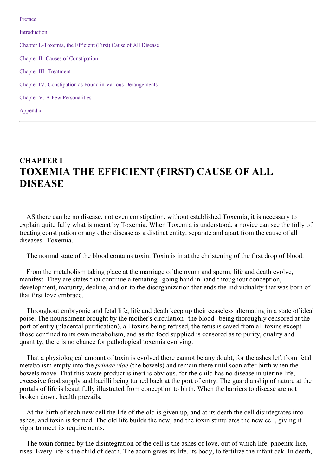[Preface](#page-3-0)

[Introduction](#page-9-0)

Chapter [I.-Toxemia,](#page-17-0) the Efficient (First) Cause of All Disease

Chapter II.-Causes of [Constipation](#page-27-0)

Chapter [III.-Treatment](#page-41-0)

Chapter [IV.-Constipation](#page-57-0) as Found in Various Derangements

Chapter V.-A Few [Personalities](#page-65-0)

[Appendix](#page-67-0)

# **CHAPTER I TOXEMIA THE EFFICIENT (FIRST) CAUSE OF ALL DISEASE**

AS there can be no disease, not even constipation, without established Toxemia, it is necessary to explain quite fully what is meant by Toxemia. When Toxemia is understood, a novice can see the folly of treating constipation or any other disease as a distinct entity, separate and apart from the cause of all diseases--Toxemia.

The normal state of the blood contains toxin. Toxin is in at the christening of the first drop of blood.

From the metabolism taking place at the marriage of the ovum and sperm, life and death evolve, manifest. They are states that continue alternating--going hand in hand throughout conception, development, maturity, decline, and on to the disorganization that ends the individuality that was born of that first love embrace.

Throughout embryonic and fetal life, life and death keep up their ceaseless alternating in a state of ideal poise. The nourishment brought by the mother's circulation--the blood--being thoroughly censored at the port of entry (placental purification), all toxins being refused, the fetus is saved from all toxins except those confined to its own metabolism, and as the food supplied is censored as to purity, quality and quantity, there is no chance for pathological toxemia evolving.

That a physiological amount of toxin is evolved there cannot be any doubt, for the ashes left from fetal metabolism empty into the *primae viae* (the bowels) and remain there until soon after birth when the bowels move. That this waste product is inert is obvious, for the child has no disease in uterine life, excessive food supply and bacilli being turned back at the port of entry. The guardianship of nature at the portals of life is beautifully illustrated from conception to birth. When the barriers to disease are not broken down, health prevails.

At the birth of each new cell the life of the old is given up, and at its death the cell disintegrates into ashes, and toxin is formed. The old life builds the new, and the toxin stimulates the new cell, giving it vigor to meet its requirements.

The toxin formed by the disintegration of the cell is the ashes of love, out of which life, phoenix-like, rises. Every life is the child of death. The acorn gives its life, its body, to fertilize the infant oak. In death,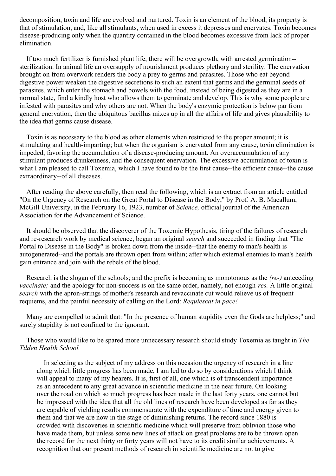decomposition, toxin and life are evolved and nurtured. Toxin is an element of the blood, its property is that of stimulation, and, like all stimulants, when used in excess it depresses and enervates. Toxin becomes disease-producing only when the quantity contained in the blood becomes excessive from lack of proper elimination.

If too much fertilizer is furnished plant life, there will be overgrowth, with arrested germination- sterilization. In animal life an oversupply of nourishment produces plethory and sterility. The enervation brought on from overwork renders the body a prey to germs and parasites. Those who eat beyond digestive power weaken the digestive secretions to such an extent that germs and the germinal seeds of parasites, which enter the stomach and bowels with the food, instead of being digested as they are in a normal state, find a kindly host who allows them to germinate and develop. This is why some people are infested with parasites and why others are not. When the body's enzymic protection is below par from general enervation, then the ubiquitous bacillus mixes up in all the affairs of life and gives plausibility to the idea that germs cause disease.

Toxin is as necessary to the blood as other elements when restricted to the proper amount; it is stimulating and health-imparting; but when the organism is enervated from any cause, toxin elimination is impeded, favoring the accumulation of a disease-producing amount. An overaccumulation of any stimulant produces drunkenness, and the consequent enervation. The excessive accumulation of toxin is what I am pleased to call Toxemia, which I have found to be the first cause--the efficient cause--the cause extraordinary--of all diseases.

After reading the above carefully, then read the following, which is an extract from an article entitled "On the Urgency of Research on the Great Portal to Disease in the Body," by Prof. A. B. Macallum, McGill University, in the February 16, 1923, number of *Science,* official journal of the American Association for the Advancement of Science.

It should be observed that the discoverer of the Toxemic Hypothesis, tiring of the failures of research and re-research work by medical science, began an original *search* and succeeded in finding that "The Portal to Disease in the Body" is broken down from the inside--that the enemy to man's health is autogenerated--and the portals are thrown open from within; after which external enemies to man's health gain entrance and join with the rebels of the blood.

Research is the slogan of the schools; and the prefix is becoming as monotonous as the *(re-)* anteceding *vaccinate;* and the apology for non-success is on the same order, namely, not enough *res.* A little original *search* with the apron-strings of mother's research and revaccinate cut would relieve us of frequent requiems, and the painful necessity of calling on the Lord: *Requiescat in pace!*

Many are compelled to admit that: "In the presence of human stupidity even the Gods are helpless;" and surely stupidity is not confined to the ignorant.

Those who would like to be spared more unnecessary research should study Toxemia as taught in *The Tilden Health School.*

In selecting as the subject of my address on this occasion the urgency of research in a line along which little progress has been made, I am led to do so by considerations which I think will appeal to many of my hearers. It is, first of all, one which is of transcendent importance as an antecedent to any great advance in scientific medicine in the near future. On looking over the road on which so much progress has been made in the last forty years, one cannot but be impressed with the idea that all the old lines of research have been developed as far as they are capable of yielding results commensurate with the expenditure of time and energy given to them and that we are now in the stage of diminishing returns. The record since 1880 is crowded with discoveries in scientific medicine which will preserve from oblivion those who have made them, but unless some new lines of attack on great problems are to be thrown open the record for the next thirty or forty years will not have to its credit similar achievements. A recognition that our present methods of research in scientific medicine are not to give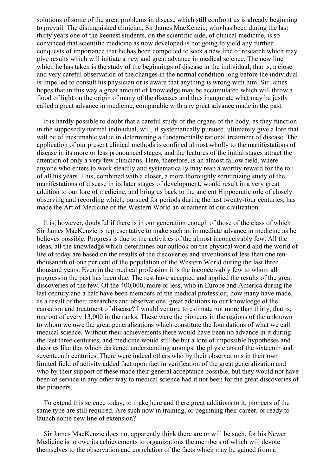solutions of some of the great problems in disease which still confront us is already beginning to prevail. The distinguished clinician, Sir James MacKenzie, who has been during the last thirty years one of the keenest students, on the scientific side, of clinical medicine, is so convinced that scientific medicine as now developed is not going to yield any further conquests of importance that he has been compelled to seek a new line of research which may give results which will initiate a new and great advance in medical science. The new line which he has taken is the study of the beginnings of disease in the individual, that is, a close and very careful observation of the changes in the normal condition long before the individual is impelled to consult his physician or is aware that anything is wrong with him. Sir James hopes that in this way a great amount of knowledge may be accumulated which will throw a flood of light on the origin of many of the diseases and thus inaugurate what may be justly called a great advance in medicine, comparable with any great advance made in the past.

It is hardly possible to doubt that a careful study of the organs of the body, as they function in the supposedly normal individual, will, if systematically pursued, ultimately give a lore that will be of inestimable value in determining a fundamentally rational treatment of disease. The application of our present clinical methods is confined almost wholly to the manifestations of disease in its more or less pronounced stages, and the features of the initial stages attract the attention of only a very few clinicians. Here, therefore, is an almost fallow field, where anyone who enters to work steadily and systematically may reap a worthy reward for the toil of all his years. This, combined with a closer, a more thoroughly scrutinizing study of the manifestations of disease in its later stages of development, would result in a very great addition to our lore of medicine, and bring us back to the ancient Hippocratic role of closely observing and recording which, pursued for periods during the last twenty-four centuries, has made the Art of Medicine of the Western World an ornament of our civilization.

It is, however, doubtful if there is in our generation enough of those of the class of which Sir James MacKenzie is representative to make such an immediate advance in medicine as he believes possible. Progress is due to the activities of the almost inconceivably few. All the ideas, all the knowledge which determines our outlook on the physical world and the world of life of today are based on the results of the discoveries and inventions of less than one tenthousandth of one per cent of the population of the Western World during the last three thousand years. Even in the medical profession it is the inconceivably few to whom all progress in the past has been due. The rest have accepted and applied the results of the great discoveries of the few. Of the 400,000, more or less, who in Europe and America during the last century and a half have been members of the medical profession, how many have made, as a result of their researches and observations, great additions to our knowledge of the causation and treatment of disease? I would venture to estimate not more than thirty, that is, one out of every 13,000 in the ranks. These were the pioneers in the regions of the unknown to whom we owe the great generalizations which constitute the foundations of what we call medical science. Without their achievements there would have been no advance in it during the last three centuries, and medicine would still be but a lore of impossible hypotheses and theories like that which darkened understanding amongst the physicians of the sixteenth and seventeenth centuries. There were indeed others who by their observations in their own limited field of activity added fact upon fact in verification of the great generalization and who by their support of these made their general acceptance possible, but they would not have been of service in any other way to medical science had it not been for the great discoveries of the pioneers.

To extend this science today, to make here and there great additions to it, pioneers of the same type are still required. Are such now in training, or beginning their career, or ready to launch some new line of extension?

Sir James MacKenzie does not apparently think there are or will be such, for his Newer Medicine is to owe its achievements to organizations the members of which will devote themselves to the observation and correlation of the facts which may be gained from a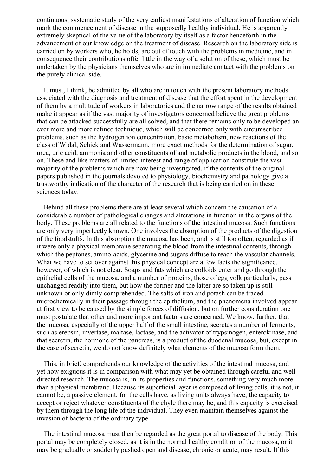continuous, systematic study of the very earliest manifestations of alteration of function which mark the commencement of disease in the supposedly healthy individual. He is apparently extremely skeptical of the value of the laboratory by itself as a factor henceforth in the advancement of our knowledge on the treatment of disease. Research on the laboratory side is carried on by workers who, he holds, are out of touch with the problems in medicine, and in consequence their contributions offer little in the way of a solution of these, which must be undertaken by the physicians themselves who are in immediate contact with the problems on the purely clinical side.

It must, I think, be admitted by all who are in touch with the present laboratory methods associated with the diagnosis and treatment of disease that the effort spent in the development of them by a multitude of workers in laboratories and the narrow range of the results obtained make it appear as if the vast majority of investigators concerned believe the great problems that can be attacked successfully are all solved, and that there remains only to be developed an ever more and more refined technique, which will be concerned only with circumscribed problems, such as the hydrogen ion concentration, basic metabolism, new reactions of the class of Widal, Schick and Wassermann, more exact methods for the determination of sugar, urea, uric acid, ammonia and other constituents of and metabolic products in the blood, and so on. These and like matters of limited interest and range of application constitute the vast majority of the problems which are now being investigated, if the contents of the original papers published in the journals devoted to physiology, biochemistry and pathology give a trustworthy indication of the character of the research that is being carried on in these sciences today.

Behind all these problems there are at least several which concern the causation of a considerable number of pathological changes and alterations in function in the organs of the body. These problems are all related to the functions of the intestinal mucosa. Such functions are only very imperfectly known. One involves the absorption of the products of the digestion of the foodstuffs. In this absorption the mucosa has been, and is still too often, regarded as if it were only a physical membrane separating the blood from the intestinal contents, through which the peptones, amino-acids, glycerine and sugars diffuse to reach the vascular channels. What we have to set over against this physical concept are a few facts the significance, however, of which is not clear. Soaps and fats which are colloids enter and go through the epithelial cells of the mucosa, and a number of proteins, those of egg yolk particularly, pass unchanged readily into them, but how the former and the latter are so taken up is still unknown or only dimly comprehended. The salts of iron and potash can be traced microchemically in their passage through the epithelium, and the phenomena involved appear at first view to be caused by the simple forces of diffusion, but on further consideration one must postulate that other and more important factors are concerned. We know, further, that the mucosa, especially of the upper half of the small intestine, secretes a number of ferments, such as erepsin, invertase, maltase, lactase, and the activator of trypsinogen, enterokinase, and that secretin, the hormone of the pancreas, is a product of the duodenal mucosa, but, except in the case of secretin, we do not know definitely what elements of the mucosa form them.

This, in brief, comprehends our knowledge of the activities of the intestinal mucosa, and yet how exiguous it is in comparison with what may yet be obtained through careful and welldirected research. The mucosa is, in its properties and functions, something very much more than a physical membrane. Because its superficial layer is composed of living cells, it is not, it cannot be, a passive element, for the cells have, as living units always have, the capacity to accept or reject whatever constituents of the chyle there may be, and this capacity is exercised by them through the long life of the individual. They even maintain themselves against the invasion of bacteria of the ordinary type.

The intestinal mucosa must then be regarded as the great portal to disease of the body. This portal may be completely closed, as it is in the normal healthy condition of the mucosa, or it may be gradually or suddenly pushed open and disease, chronic or acute, may result. If this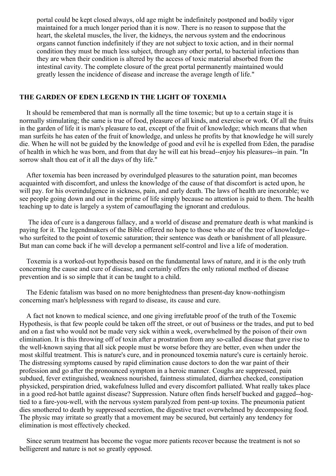<span id="page-17-0"></span>portal could be kept closed always, old age might be indefinitely postponed and bodily vigor maintained for a much longer period than it is now. There is no reason to suppose that the heart, the skeletal muscles, the liver, the kidneys, the nervous system and the endocrinous organs cannot function indefinitely if they are not subject to toxic action, and in their normal condition they must be much less subject, through any other portal, to bacterial infections than they are when their condition is altered by the access of toxic material absorbed from the intestinal cavity. The complete closure of the great portal permanently maintained would greatly lessen the incidence of disease and increase the average length of life."

### **THE GARDEN OF EDEN LEGEND IN THE LIGHT OF TOXEMIA**

It should be remembered that man is normally all the time toxemic; but up to a certain stage it is normally stimulating; the same is true of food, pleasure of all kinds, and exercise or work. Of all the fruits in the garden of life it is man's pleasure to eat, except of the fruit of knowledge; which means that when man surfeits he has eaten of the fruit of knowledge, and unless he profits by that knowledge he will surely die. When he will not be guided by the knowledge of good and evil he is expelled from Eden, the paradise of health in which he was born, and from that day he will eat his bread--enjoy his pleasures--in pain. "In sorrow shalt thou eat of it all the days of thy life."

After toxemia has been increased by overindulged pleasures to the saturation point, man becomes acquainted with discomfort, and unless the knowledge of the cause of that discomfort is acted upon, he will pay. for his overindulgence in sickness, pain, and early death. The laws of health are inexorable; we see people going down and out in the prime of life simply because no attention is paid to them. The health teaching up to date is largely a system of camouflaging the ignorant and credulous.

The idea of cure is a dangerous fallacy, and a world of disease and premature death is what mankind is paying for it. The legendmakers of the Bible offered no hope to those who ate of the tree of knowledge- who surfeited to the point of toxemic saturation; their sentence was death or banishment of all pleasure. But man can come back if he will develop a permanent self-control and live a life of moderation.

Toxemia is a worked-out hypothesis based on the fundamental laws of nature, and it is the only truth concerning the cause and cure of disease, and certainly offers the only rational method of disease prevention and is so simple that it can be taught to a child.

The Edenic fatalism was based on no more benightedness than present-day know-nothingism concerning man's helplessness with regard to disease, its cause and cure.

A fact not known to medical science, and one giving irrefutable proof of the truth of the Toxemic Hypothesis, is that few people could be taken off the street, or out of business or the trades, and put to bed and on a fast who would not be made very sick within a week, overwhelmed by the poison of their own elimination. It is this throwing off of toxin after a prostration from any so-called disease that gave rise to the well-known saying that all sick people must be worse before they are better, even when under the most skilful treatment. This is nature's cure, and in pronounced toxemia nature's cure is certainly heroic. The distressing symptoms caused by rapid elimination cause doctors to don the war paint of their profession and go after the pronounced symptom in a heroic manner. Coughs are suppressed, pain subdued, fever extinguished, weakness nourished, faintness stimulated, diarrhea checked, constipation physicked, perspiration dried, wakefulness lulled and every discomfort palliated. What really takes place in a good red-hot battle against disease? Suppression. Nature often finds herself bucked and gagged--hogtied to a fare-you-well, with the nervous system paralyzed from pent-up toxins. The pneumonia patient dies smothered to death by suppressed secretion, the digestive tract overwhelmed by decomposing food. The physic may irritate so greatly that a movement may be secured, but certainly any tendency for elimination is most effectively checked.

Since serum treatment has become the vogue more patients recover because the treatment is not so belligerent and nature is not so greatly opposed.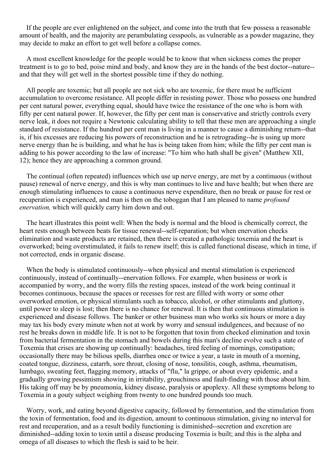If the people are ever enlightened on the subject, and come into the truth that few possess a reasonable amount of health, and the majority are perambulating cesspools, as vulnerable as a powder magazine, they may decide to make an effort to get well before a collapse comes.

A most excellent knowledge for the people would be to know that when sickness comes the proper treatment is to go to bed, poise mind and body, and know they are in the hands of the best doctor--nature- and that they will get well in the shortest possible time if they do nothing.

All people are toxemic; but all people are not sick who are toxemic, for there must be sufficient accumulation to overcome resistance. All people differ in resisting power. Those who possess one hundred per cent natural power, everything equal, should have twice the resistance of the one who is born with fifty per cent natural power. If, however, the fifty per cent man is conservative and strictly controls every nerve leak, it does not require a Newtonic calculating ability to tell that these men are approaching a single standard of resistance. If the hundred per cent man is living in a manner to cause a diminishing return--that is, if his excesses are reducing his powers of reconstruction and he is retrograding--he is using up more nerve energy than he is building, and what he has is being taken from him; while the fifty per cent man is adding to his power according to the law of increase: "To him who hath shall be given" (Matthew XII, 12); hence they are approaching a common ground.

The continual (often repeated) influences which use up nerve energy, are met by a continuous (without pause) renewal of nerve energy, and this is why man continues to live and have health; but when there are enough stimulating influences to cause a continuous nerve expenditure, then no break or pause for rest or recuperation is experienced, and man is then on the toboggan that I am pleased to name *profound enervation,* which will quickly carry him down and out.

The heart illustrates this point well: When the body is normal and the blood is chemically correct, the heart rests enough between beats for tissue renewal--self-reparation; but when enervation checks elimination and waste products are retained, then there is created a pathologic toxemia and the heart is overworked; being overstimulated, it fails to renew itself; this is called functional disease, which in time, if not corrected, ends in organic disease.

When the body is stimulated continuously--when physical and mental stimulation is experienced continuously, instead of continually--enervation follows. For example, when business or work is accompanied by worry, and the worry fills the resting spaces, instead of the work being continual it becomes continuous, because the spaces or recesses for rest are filled with worry or some other overworked emotion, or physical stimulants such as tobacco, alcohol, or other stimulants and gluttony, until power to sleep is lost; then there is no chance for renewal. It is then that continuous stimulation is experienced and disease follows. The banker or other business man who works six hours or more a day may tax his body every minute when not at work by worry and sensual indulgences, and because of no rest he breaks down in middle life. It is not to be forgotten that toxin from checked elimination and toxin from bacterial fermentation in the stomach and bowels during this man's decline evolve such a state of Toxemia that crises are showing up continually: headaches, tired feeling of mornings, constipation; occasionally there may be bilious spells, diarrhea once or twice a year, a taste in mouth of a morning, coated tongue, dizziness, catarrh, sore throat, closing of nose, tonsilitis, cough, asthma, rheumatism, lumbago, sweating feet, flagging memory, attacks of "flu," la grippe, or about every epidemic, and a gradually growing pessimism showing in irritability, grouchiness and fault-finding with those about him. His taking off may be by pneumonia, kidney disease, paralysis or apoplexy. All these symptoms belong to Toxemia in a gouty subject weighing from twenty to one hundred pounds too much.

Worry, work, and eating beyond digestive capacity, followed by fermentation, and the stimulation from the toxin of fermentation, food and its digestion, amount to continuous stimulation, giving no interval for rest and recuperation, and as a result bodily functioning is diminished--secretion and excretion are diminished--adding toxin to toxin until a disease producing Toxemia is built; and this is the alpha and omega of all diseases to which the flesh is said to be heir.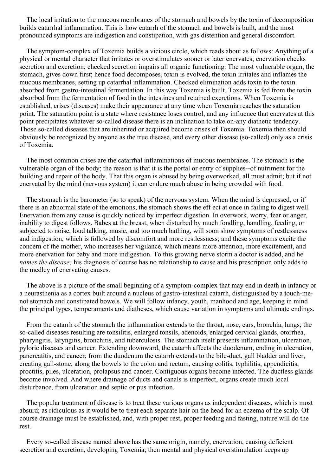The local irritation to the mucous membranes of the stomach and bowels by the toxin of decomposition builds catarrhal inflammation. This is how catarrh of the stomach and bowels is built, and the most pronounced symptoms are indigestion and constipation, with gas distention and general discomfort.

The symptom-complex of Toxemia builds a vicious circle, which reads about as follows: Anything of a physical or mental character that irritates or overstimulates sooner or later enervates; enervation checks secretion and excretion; checked secretion impairs all organic functioning. The most vulnerable organ, the stomach, gives down first; hence food decomposes, toxin is evolved, the toxin irritates and inflames the mucous membranes, setting up catarrhal inflammation. Checked elimination adds toxin to the toxin absorbed from gastro-intestinal fermentation. In this way Toxemia is built. Toxemia is fed from the toxin absorbed from the fermentation of food in the intestines and retained excretions. When Toxemia is established, crises (diseases) make their appearance at any time when Toxemia reaches the saturation point. The saturation point is a state where resistance loses control, and any influence that enervates at this point precipitates whatever so-called disease there is an inclination to take on-any diathetic tendency. Those so-called diseases that are inherited or acquired become crises of Toxemia. Toxemia then should obviously be recognized by anyone as the true disease, and every other disease (so-called) only as a crisis of Toxemia.

The most common crises are the catarrhal inflammations of mucous membranes. The stomach is the vulnerable organ of the body; the reason is that it is the portal or entry of supplies--of nutriment for the building and repair of the body. That this organ is abused by being overworked, all must admit; but if not enervated by the mind (nervous system) it can endure much abuse in being crowded with food.

The stomach is the barometer (so to speak) of the nervous system. When the mind is depressed, or if there is an abnormal state of the emotions, the stomach shows the eff ect at once in failing to digest well. Enervation from any cause is quickly noticed by imperfect digestion. In overwork, worry, fear or anger, inability to digest follows. Babes at the breast, when disturbed by much fondling, handling, feeding, or subjected to noise, loud talking, music, and too much bathing, will soon show symptoms of restlessness and indigestion, which is followed by discomfort and more restlessness; and these symptoms excite the concern of the mother, who increases her vigilance, which means more attention, more excitement, and more enervation for baby and more indigestion. To this growing nerve storm a doctor is added, and he *names the disease;* his diagnosis of course has no relationship to cause and his prescription only adds to the medley of enervating causes.

The above is a picture of the small beginning of a symptom-complex that may end in death in infancy or a neurasthenia as a cortex built around a nucleus of gastro-intestinal catarrh, distinguished by a touch-menot stomach and constipated bowels. We will follow infancy, youth, manhood and age, keeping in mind the principal types, temperaments and diatheses, which cause variation in symptoms and ultimate endings.

From the catarrh of the stomach the inflammation extends to the throat, nose, ears, bronchia, lungs; the so-called diseases resulting are tonsilitis, enlarged tonsils, adenoids, enlarged cervical glands, otorrhea, pharyngitis, laryngitis, bronchitis, and tuberculosis. The stomach itself presents inflammation, ulceration, pyloric diseases and cancer. Extending downward, the catarrh affects the duodenum, ending in ulceration, pancreatitis, and cancer; from the duodenum the catarrh extends to the bile-duct, gall bladder and liver, creating gall-stone; along the bowels to the colon and rectum, causing colitis, typhilitis, appendicitis, proctitis, piles, ulceration, prolapsus and cancer. Contiguous organs become infected. The ductless glands become involved. And where drainage of ducts and canals is imperfect, organs create much local disturbance, from ulceration and septic or pus infection.

The popular treatment of disease is to treat these various organs as independent diseases, which is most absurd; as ridiculous as it would be to treat each separate hair on the head for an eczema of the scalp. Of course drainage must be established, and, with proper rest, proper feeding and fasting, nature will do the rest.

Every so-called disease named above has the same origin, namely, enervation, causing deficient secretion and excretion, developing Toxemia; then mental and physical overstimulation keeps up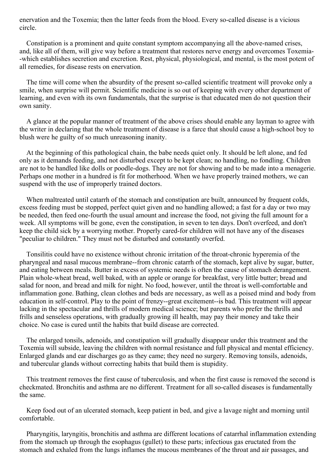enervation and the Toxemia; then the latter feeds from the blood. Every so-called disease is a vicious circle.

Constipation is a prominent and quite constant symptom accompanying all the above-named crises, and, like all of them, will give way before a treatment that restores nerve energy and overcomes Toxemia- -which establishes secretion and excretion. Rest, physical, physiological, and mental, is the most potent of all remedies, for disease rests on enervation.

The time will come when the absurdity of the present so-called scientific treatment will provoke only a smile, when surprise will permit. Scientific medicine is so out of keeping with every other department of learning, and even with its own fundamentals, that the surprise is that educated men do not question their own sanity.

A glance at the popular manner of treatment of the above crises should enable any layman to agree with the writer in declaring that the whole treatment of disease is a farce that should cause a high-school boy to blush were he guilty of so much unreasoning inanity.

At the beginning of this pathological chain, the babe needs quiet only. It should be left alone, and fed only as it demands feeding, and not disturbed except to be kept clean; no handling, no fondling. Children are not to be handled like dolls or poodle-dogs. They are not for showing and to be made into a menagerie. Perhaps one mother in a hundred is fit for motherhood. When we have properly trained mothers, we can suspend with the use of improperly trained doctors.

When maltreated until catarrh of the stomach and constipation are built, announced by frequent colds, excess feeding must be stopped, perfect quiet given and no handling allowed; a fast for a day or two may be needed, then feed one-fourth the usual amount and increase the food, not giving the full amount for a week. All symptoms will be gone, even the constipation, in seven to ten days. Don't overfeed, and don't keep the child sick by a worrying mother. Properly cared-for children will not have any of the diseases "peculiar to children." They must not be disturbed and constantly overfed.

Tonsilitis could have no existence without chronic irritation of the throat-chronic hyperemia of the pharyngeal and nasal mucous membrane--from chronic catarrh of the stomach, kept alive by sugar, butter, and eating between meals. Butter in excess of systemic needs is often the cause of stomach derangement. Plain whole-wheat bread, well baked, with an apple or orange for breakfast, very little butter; bread and salad for noon, and bread and milk for night. No food, however, until the throat is well-comfortable and inflammation gone. Bathing, clean clothes and beds are necessary, as well as a poised mind and body from education in self-control. Play to the point of frenzy--great excitement--is bad. This treatment will appear lacking in the spectacular and thrills of modern medical science; but parents who prefer the thrills and frills and senseless operations, with gradually growing ill health, may pay their money and take their choice. No case is cured until the habits that build disease are corrected.

The enlarged tonsils, adenoids, and constipation will gradually disappear under this treatment and the Toxemia will subside, leaving the children with normal resistance and full physical and mental efficiency. Enlarged glands and ear discharges go as they came; they need no surgery. Removing tonsils, adenoids, and tubercular glands without correcting habits that build them is stupidity.

This treatment removes the first cause of tuberculosis, and when the first cause is removed the second is checkmated. Bronchitis and asthma are no different. Treatment for all so-called diseases is fundamentally the same.

Keep food out of an ulcerated stomach, keep patient in bed, and give a lavage night and morning until comfortable.

Pharyngitis, laryngitis, bronchitis and asthma are different locations of catarrhal inflammation extending from the stomach up through the esophagus (gullet) to these parts; infectious gas eructated from the stomach and exhaled from the lungs inflames the mucous membranes of the throat and air passages, and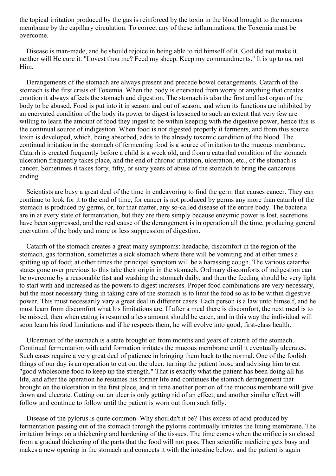the topical irritation produced by the gas is reinforced by the toxin in the blood brought to the mucous membrane by the capillary circulation. To correct any of these inflammations, the Toxemia must be overcome.

Disease is man-made, and he should rejoice in being able to rid himself of it. God did not make it, neither will He cure it. "Lovest thou me? Feed my sheep. Keep my commandments." It is up to us, not Him.

Derangements of the stomach are always present and precede bowel derangements. Catarrh of the stomach is the first crisis of Toxemia. When the body is enervated from worry or anything that creates emotion it always affects the stomach and digestion. The stomach is also the first and last organ of the body to be abused. Food is put into it in season and out of season, and when its functions are inhibited by an enervated condition of the body its power to digest is lessened to such an extent that very few are willing to learn the amount of food they ingest to be within keeping with the digestive power, hence this is the continual source of indigestion. When food is not digested properly it ferments, and from this source toxin is developed, which, being absorbed, adds to the already toxemic condition of the blood. The continual irritation in the stomach of fermenting food is a source of irritation to the mucous membrane. Catarrh is created frequently before a child is a week old, and from a catarrhal condition of the stomach ulceration frequently takes place, and the end of chronic irritation, ulceration, etc., of the stomach is cancer. Sometimes it takes forty, fifty, or sixty years of abuse of the stomach to bring the cancerous ending.

Scientists are busy a great deal of the time in endeavoring to find the germ that causes cancer. They can continue to look for it to the end of time, for cancer is not produced by germs any more than catarrh of the stomach is produced by germs, or, for that matter, any so-called disease of the entire body. The bacteria are in at every state of fermentation, but they are there simply because enzymic power is lost, secretions have been suppressed, and the real cause of the derangement is in operation all the time, producing general enervation of the body and more or less suppression of digestion.

Catarrh of the stomach creates a great many symptoms: headache, discomfort in the region of the stomach, gas formation, sometimes a sick stomach where there will be vomiting and at other times a spitting up of food; at other times the principal symptom will be a harassing cough. The various catarrhal states gone over previous to this take their origin in the stomach. Ordinary discomforts of indigestion can be overcome by a reasonable fast and washing the stomach daily, and then the feeding should be very light to start with and increased as the powers to digest increases. Proper food combinations are very necessary, but the most necessary thing in taking care of the stomach is to limit the food so as to be within digestive power. This must necessarily vary a great deal in different cases. Each person is a law unto himself, and he must learn from discomfort what his limitations are. If after a meal there is discomfort, the next meal is to be missed, then when eating is resumed a less amount should be eaten, and in this way the individual will soon learn his food limitations and if he respects them, he will evolve into good, first-class health.

Ulceration of the stomach is a state brought on from months and years of catarrh of the stomach. Continual fermentation with acid formation irritates the mucous membrane until it eventually ulcerates. Such cases require a very great deal of patience in bringing them back to the normal. One of the foolish things of our day is an operation to cut out the ulcer, turning the patient loose and advising him to eat "good wholesome food to keep up the strength." That is exactly what the patient has been doing all his life, and after the operation he resumes his former life and continues the stomach derangement that brought on the ulceration in the first place, and in time another portion of the mucous membrane will give down and ulcerate. Cutting out an ulcer is only getting rid of an effect, and another similar effect will follow and continue to follow until the patient is worn out from such folly.

Disease of the pylorus is quite common. Why shouldn't it be? This excess of acid produced by fermentation passing out of the stomach through the pylorus continually irritates the lining membrane. The irritation brings on a thickening and hardening of the tissues. The time comes when the orifice is so closed from a gradual thickening of the parts that the food will not pass. Then scientific medicine gets busy and makes a new opening in the stomach and connects it with the intestine below, and the patient is again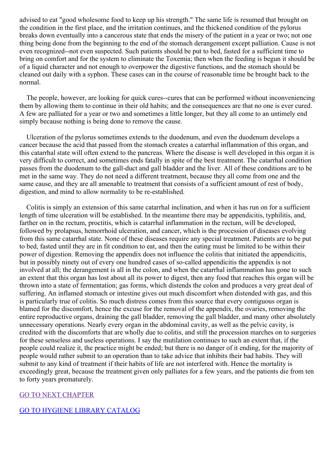advised to eat "good wholesome food to keep up his strength." The same life is resumed that brought on the condition in the first place, and the irritation continues, and the thickened condition of the pylorus breaks down eventually into a cancerous state that ends the misery of the patient in a year or two; not one thing being done from the beginning to the end of the stomach derangement except palliation. Cause is not even recognized--not even suspected. Such patients should be put to bed, fasted for a sufficient time to bring on comfort and for the system to eliminate the Toxemia; then when the feeding is begun it should be of a liquid character and not enough to overpower the digestive functions, and the stomach should be cleaned out daily with a syphon. These cases can in the course of reasonable time be brought back to the normal.

The people, however, are looking for quick cures--cures that can be performed without inconveniencing them by allowing them to continue in their old habits; and the consequences are that no one is ever cured. A few are palliated for a year or two and sometimes a little longer, but they all come to an untimely end simply because nothing is being done to remove the cause.

Ulceration of the pylorus sometimes extends to the duodenum, and even the duodenum develops a cancer because the acid that passed from the stomach creates a catarrhal inflammation of this organ, and this catarrhal state will often extend to the pancreas. Where the disease is well developed in this organ it is very difficult to correct, and sometimes ends fatally in spite of the best treatment. The catarrhal condition passes from the duodenum to the gall-duct and gall bladder and the liver. All of these conditions are to be met in the same way. They do not need a different treatment, because they all come from one and the same cause, and they are all amenable to treatment that consists of a sufficient amount of rest of body, digestion, and mind to allow normality to be re-established.

Colitis is simply an extension of this same catarrhal inclination, and when it has run on for a sufficient length of time ulceration will be established. In the meantime there may be appendicitis, typhilitis, and, farther on in the rectum, proctitis, which is catarrhal inflammation in the rectum, will be developed, followed by prolapsus, hemorrhoid ulceration, and cancer, which is the procession of diseases evolving from this same catarrhal state. None of these diseases require any special treatment. Patients are to be put to bed, fasted until they are in fit condition to eat, and then the eating must be limited to be within their power of digestion. Removing the appendix does not influence the colitis that initiated the appendicitis, but in possibly ninety out of every one hundred cases of so-called appendicitis the appendix is not involved at all; the derangement is all in the colon, and when the catarrhal inflammation has gone to such an extent that this organ has lost about all its power to digest, then any food that reaches this organ will be thrown into a state of fermentation; gas forms, which distends the colon and produces a very great deal of suffering. An inflamed stomach or intestine gives out much discomfort when distended with gas, and this is particularly true of colitis. So much distress comes from this source that every contiguous organ is blamed for the discomfort, hence the excuse for the removal of the appendix, the ovaries, removing the entire reproductive organs, draining the gall bladder, removing the gall bladder, and many other absolutely unnecessary operations. Nearly every organ in the abdominal cavity, as well as the pelvic cavity, is credited with the discomforts that are wholly due to colitis, and still the procession marches on to surgeries for these senseless and useless operations. I say the mutilation continues to such an extent that, if the people could realize it, the practice might be ended; but there is no danger of it ending, for the majority of people would rather submit to an operation than to take advice that inhibits their bad habits. They will submit to any kind of treatment if their habits of life are not interfered with. Hence the mortality is exceedingly great, because the treatment given only palliates for a few years, and the patients die from ten to forty years prematurely.

### GO TO NEXT [CHAPTER](#page-27-0)

# GO TO HYGIENE LIBRARY [CATALOG](../../0202genhealthbiblio.html)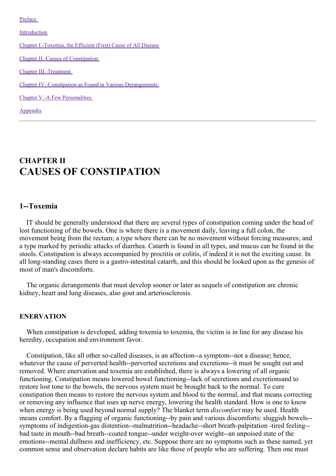[Preface](#page-3-0)

[Introduction](#page-9-0)

Chapter [I.-Toxemia,](#page-17-0) the Efficient (First) Cause of All Disease

Chapter II.-Causes of [Constipation](#page-27-0)

Chapter [III.-Treatment](#page-41-0)

Chapter [IV.-Constipation](#page-57-0) as Found in Various Derangements

Chapter V.-A Few [Personalities](#page-65-0)

[Appendix](#page-67-0)

# **CHAPTER II CAUSES OF CONSTIPATION**

### **1--Toxemia**

IT should be generally understood that there are several types of constipation coming under the head of lost functioning of the bowels. One is where there is a movement daily, leaving a full colon, the movement being from the rectum; a type where there can be no movement without forcing measures; and a type marked by periodic attacks of diarrhea. Catarrh is found in all types, and mucus can be found in the stools. Constipation is always accompanied by proctitis or colitis, if indeed it is not the exciting cause. In all long-standing cases there is a gastro-intestinal catarrh, and this should be looked upon as the genesis of most of man's discomforts.

The organic derangements that must develop sooner or later as sequels of constipation are chronic kidney, heart and lung diseases, also gout and arteriosclerosis.

### **ENERVATION**

When constipation is developed, adding toxemia to toxemia, the victim is in line for any disease his heredity, occupation and environment favor.

Constipation, like all other so-called diseases, is an affection--a symptom--not a disease; hence, whatever the cause of perverted health--perverted secretions and excretions--it must be sought out and removed. Where enervation and toxemia are established, there is always a lowering of all organic functioning. Constipation means lowered bowel functioning--lack of secretions and excretionsand to restore lost tone to the bowels, the nervous system must be brought back to the normal. To cure constipation then means to restore the nervous system and blood to the normal, and that means correcting or removing any influence that uses up nerve energy, lowering the health standard. How is one to know when energy is being used beyond normal supply? The blanket term *discomfort* may be used. Health means comfort. By a flagging of organic functioning--by pain and various discomforts: sluggish bowels- symptoms of indigestion-gas distention--malnutrition--headache--short breath-palpitation -tired feeling- bad taste in mouth--bad breath--coated tongue--under weight-over weight--an unpoised state of the emotions--mental dullness and inefficiency, etc. Suppose there are no symptoms such as these named, yet common sense and observation declare habits are like those of people who are suffering. Then one must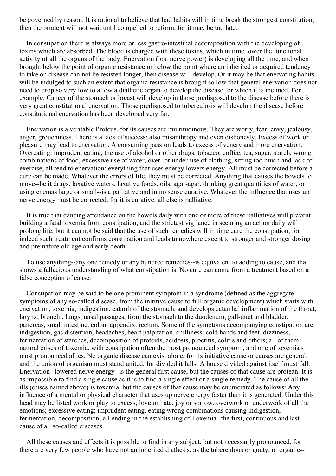be governed by reason. It is rational to believe that bad habits will in time break the strongest constitution; then the prudent will not wait until compelled to reform, for it may be too late.

In constipation there is always more or less gastro-intestinal decomposition with the developing of toxins which are absorbed. The blood is charged with these toxins, which in time lower the functional activity of all the organs of the body. Enervation (lost nerve power) is developing all the time, and when brought below the point of organic resistance or below the point where an inherited or acquired tendency to take on disease can not be resisted longer, then disease will develop. Or it may be that enervating habits will be indulged to such an extent that organic resistance is brought so low that general enervation does not need to drop so very low to allow a diathetic organ to develop the disease for which it is inclined. For example: Cancer of the stomach or breast will develop in those predisposed to the disease before there is very great constitutional enervation. Those predisposed to tuberculosis will develop the disease before constitutional enervation has been developed very far.

Enervation is a veritable Proteus, for its causes are multitudinous. They are worry, fear, envy, jealousy, anger, grouchiness. There is a lack of success; also misanthropy and even dishonesty. Excess of work or pleasure may lead to enervation. A consuming passion leads to excess of venery and more enervation. Overeating, imprudent eating, the use of alcohol or other drugs, tobacco, coffee, tea, sugar, starch, wrong combinations of food, excessive use of water, over- or under-use of clothing, sitting too much and lack of exercise, all tend to enervation; everything that uses energy lowers energy. All must be corrected before a cure can be made. Whatever the errors of life, they must be corrected. Anything that causes the bowels to move--be it drugs, laxative waters, laxative foods, oils, agar-agar, drinking great quantities of water, or using enemas large or small--is a palliative and in no sense curative. Whatever the influence that uses up nerve energy must be corrected, for it is curative; all else is palliative.

It is true that dancing attendance on the bowels daily with one or more of these palliatives will prevent building a fatal toxemia from constipation, and the strictest vigilance in securing an action daily will prolong life, but it can not be said that the use of such remedies will in time cure the constipation, for indeed such treatment confirms constipation and leads to nowhere except to stronger and stronger dosing and premature old age and early death.

To use anything--any one remedy or any hundred remedies--is equivalent to adding to cause, and that shows a fallacious understanding of what constipation is. No cure can come from a treatment based on a false conception of cause.

Constipation may be said to be one prominent symptom in a syndrome (defined as the aggregate symptoms of any so-called disease, from the inititive cause to full organic development) which starts with enervation, toxemia, indigestion, catarrh of the stomach, and develops catarrhal inflammation of the throat, larynx, bronchi, lungs, nasal passages, from the stomach to the duodenum, gall-duct and bladder, pancreas, small intestine, colon, appendix, rectum. Some of the symptoms accompanying constipation are: indigestion, gas distention, headaches, heart palpitation, chilliness, cold hands and feet, dizziness, fermentation of starches, decomposition of proteids, acidosis, proctitis, colitis and others; all of them natural crises of toxemia, with constipation often the most pronounced symptom, and one of toxemia's most pronounced allies. No organic disease can exist alone, for its initiative cause or causes are general, and the union of organism must stand united, for divided it falls. A house divided against itself must fall. Enervation--lowered nerve energy--is the general first cause, but the causes of that cause are protean. It is as impossible to find a single cause as it is to find a single effect or a single remedy. The cause of all the ills (crises named above) is toxemia, but the causes of that cause may be enumerated as follows: Any influence of a mental or physical character that uses up nerve energy faster than it is generated. Under this head may be listed work or play to excess; love or hate; joy or sorrow; overwork or underwork of all the emotions; excessive eating; imprudent eating, eating wrong combinations causing indigestion, fermentation, decomposition; all ending in the establishing of Toxemia--the first, continuous and last cause of all so-called diseases.

All these causes and effects it is possible to find in any subject, but not necessarily pronounced, for there are very few people who have not an inherited diathesis, as the tuberculous or gouty, or organic--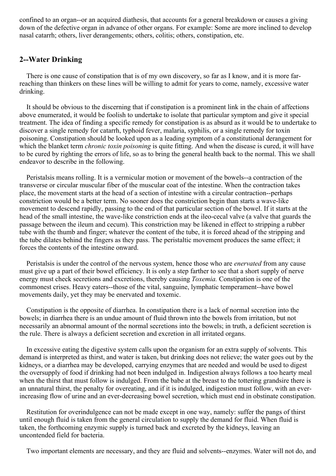confined to an organ--or an acquired diathesis, that accounts for a general breakdown or causes a giving down of the defective organ in advance of other organs. For example: Some are more inclined to develop nasal catarrh; others, liver derangements; others, colitis; others, constipation, etc.

# **2--Water Drinking**

There is one cause of constipation that is of my own discovery, so far as I know, and it is more farreaching than thinkers on these lines will be willing to admit for years to come, namely, excessive water drinking.

It should be obvious to the discerning that if constipation is a prominent link in the chain of affections above enumerated, it would be foolish to undertake to isolate that particular symptom and give it special treatment. The idea of finding a specific remedy for constipation is as absurd as it would be to undertake to discover a single remedy for catarrh, typhoid fever, malaria, syphilis, or a single remedy for toxin poisoning. Constipation should be looked upon as a leading symptom of a constitutional derangement for which the blanket term *chronic toxin poisoning* is quite fitting. And when the disease is cured, it will have to be cured by righting the errors of life, so as to bring the general health back to the normal. This we shall endeavor to describe in the following.

Peristalsis means rolling. It is a vermicular motion or movement of the bowels--a contraction of the transverse or circular muscular fiber of the muscular coat of the intestine. When the contraction takes place, the movement starts at the head of a section of intestine with a circular contraction--perhaps constriction would be a better term. No sooner does the constriction begin than starts a wave-like movement to descend rapidly, passing to the end of that particular section of the bowel. If it starts at the head of the small intestine, the wave-like constriction ends at the ileo-cecal valve (a valve that guards the passage between the ileum and cecum). This constriction may be likened in effect to stripping a rubber tube with the thumb and finger; whatever the content of the tube, it is forced ahead of the stripping and the tube dilates behind the fingers as they pass. The peristaltic movement produces the same effect; it forces the contents of the intestine onward.

Peristalsis is under the control of the nervous system, hence those who are *enervated* from any cause must give up a part of their bowel efficiency. It is only a step farther to see that a short supply of nerve energy must check secretions and excretions, thereby causing *Toxemia.* Constipation is one of the commonest crises. Heavy eaters--those of the vital, sanguine, lymphatic temperament--have bowel movements daily, yet they may be enervated and toxemic.

Constipation is the opposite of diarrhea. In constipation there is a lack of normal secretion into the bowels; in diarrhea there is an undue amount of fluid thrown into the bowels from irritation, but not necessarily an abnormal amount of the normal secretions into the bowels; in truth, a deficient secretion is the rule. There is always a deficient secretion and excretion in all irritated organs.

In excessive eating the digestive system calls upon the organism for an extra supply of solvents. This demand is interpreted as thirst, and water is taken, but drinking does not relieve; the water goes out by the kidneys, or a diarrhea may be developed, carrying enzymes that are needed and would be used to digest the oversupply of food if drinking had not been indulged in. Indigestion always follows a too hearty meal when the thirst that must follow is indulged. From the babe at the breast to the tottering grandsire there is an unnatural thirst, the penalty for overeating, and if it is indulged, indigestion must follow, with an everincreasing flow of urine and an ever-decreasing bowel secretion, which must end in obstinate constipation.

Restitution for overindulgence can not be made except in one way, namely: suffer the pangs of thirst until enough fluid is taken from the general circulation to supply the demand for fluid. When fluid is taken, the forthcoming enzymic supply is turned back and excreted by the kidneys, leaving an uncontended field for bacteria.

Two important elements are necessary, and they are fluid and solvents--enzymes. Water will not do, and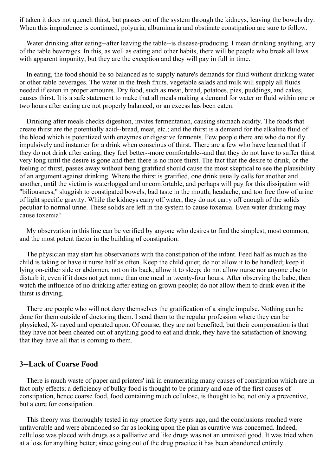if taken it does not quench thirst, but passes out of the system through the kidneys, leaving the bowels dry. When this imprudence is continued, polyuria, albuminuria and obstinate constipation are sure to follow.

Water drinking after eating--after leaving the table--is disease-producing. I mean drinking anything, any of the table beverages. In this, as well as eating and other habits, there will be people who break all laws with apparent impunity, but they are the exception and they will pay in full in time.

In eating, the food should be so balanced as to supply nature's demands for fluid without drinking water or other table beverages. The water in the fresh fruits, vegetable salads and milk will supply all fluids needed if eaten in proper amounts. Dry food, such as meat, bread, potatoes, pies, puddings, and cakes, causes thirst. It is a safe statement to make that all meals making a demand for water or fluid within one or two hours after eating are not properly balanced, or an excess has been eaten.

Drinking after meals checks digestion, invites fermentation, causing stomach acidity. The foods that create thirst are the potentially acid--bread, meat, etc.; and the thirst is a demand for the alkaline fluid of the blood which is potentized with enzymes or digestive ferments. Few people there are who do not fly impulsively and instanter for a drink when conscious of thirst. There are a few who have learned that if they do not drink after eating, they feel better--more comfortable--and that they do not have to suffer thirst very long until the desire is gone and then there is no more thirst. The fact that the desire to drink, or the feeling of thirst, passes away without being gratified should cause the most skeptical to see the plausibility of an argument against drinking. Where the thirst is gratified, one drink usually calls for another and another, until the victim is waterlogged and uncomfortable, and perhaps will pay for this dissipation with "biliousness," sluggish to constipated bowels, bad taste in the mouth, headache, and too free flow of urine of light specific gravity. While the kidneys carry off water, they do not carry off enough of the solids peculiar to normal urine. These solids are left in the system to cause toxemia. Even water drinking may cause toxemia!

My observation in this line can be verified by anyone who desires to find the simplest, most common, and the most potent factor in the building of constipation.

The physician may start his observations with the constipation of the infant. Feed half as much as the child is taking or have it nurse half as often. Keep the child quiet; do not allow it to be handled; keep it lying on-either side or abdomen, not on its back; allow it to sleep; do not allow nurse nor anyone else to disturb it, even if it does not get more than one meal in twenty-four hours. After observing the babe, then watch the influence of no drinking after eating on grown people; do not allow them to drink even if the thirst is driving.

There are people who will not deny themselves the gratification of a single impulse. Nothing can be done for them outside of doctoring them. I send them to the regular profession where they can be physicked, X- rayed and operated upon. Of course, they are not benefited, but their compensation is that they have not been cheated out of anything good to eat and drink, they have the satisfaction of knowing that they have all that is coming to them.

### **3--Lack of Coarse Food**

There is much waste of paper and printers' ink in enumerating many causes of constipation which are in fact only effects; a deficiency of bulky food is thought to be primary and one of the first causes of constipation, hence coarse food, food containing much cellulose, is thought to be, not only a preventive, but a cure for constipation.

This theory was thoroughly tested in my practice forty years ago, and the conclusions reached were unfavorable and were abandoned so far as looking upon the plan as curative was concerned. Indeed, cellulose was placed with drugs as a palliative and like drugs was not an unmixed good. It was tried when at a loss for anything better; since going out of the drug practice it has been abandoned entirely.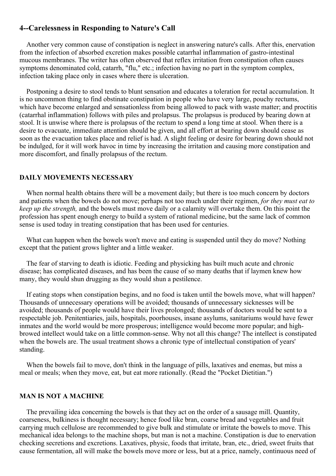# <span id="page-27-0"></span>**4--Carelessness in Responding to Nature's Call**

Another very common cause of constipation is neglect in answering nature's calls. After this, enervation from the infection of absorbed excretion makes possible catarrhal inflammation of gastro-intestinal mucous membranes. The writer has often observed that reflex irritation from constipation often causes symptoms denominated cold, catarrh, "flu," etc.; infection having no part in the symptom complex, infection taking place only in cases where there is ulceration.

Postponing a desire to stool tends to blunt sensation and educates a toleration for rectal accumulation. It is no uncommon thing to find obstinate constipation in people who have very large, pouchy rectums, which have become enlarged and sensationless from being allowed to pack with waste matter; and proctitis (catarrhal inflammation) follows with piles and prolapsus. The prolapsus is produced by bearing down at stool. It is unwise where there is prolapsus of the rectum to spend a long time at stool. When there is a desire to evacuate, immediate attention should be given, and all effort at bearing down should cease as soon as the evacuation takes place and relief is had. A slight feeling or desire for bearing down should not be indulged, for it will work havoc in time by increasing the irritation and causing more constipation and more discomfort, and finally prolapsus of the rectum.

### **DAILY MOVEMENTS NECESSARY**

When normal health obtains there will be a movement daily; but there is too much concern by doctors and patients when the bowels do not move; perhaps not too much under their regimen, *for they must eat to keep up the strength,* and the bowels must move daily or a calamity will overtake them. On this point the profession has spent enough energy to build a system of rational medicine, but the same lack of common sense is used today in treating constipation that has been used for centuries.

What can happen when the bowels won't move and eating is suspended until they do move? Nothing except that the patient grows lighter and a little weaker.

The fear of starving to death is idiotic. Feeding and physicking has built much acute and chronic disease; has complicated diseases, and has been the cause of so many deaths that if laymen knew how many, they would shun drugging as they would shun a pestilence.

If eating stops when constipation begins, and no food is taken until the bowels move, what will happen? Thousands of unnecessary operations will be avoided; thousands of unnecessary sicknesses will be avoided; thousands of people would have their lives prolonged; thousands of doctors would be sent to a respectable job. Penitentiaries, jails, hospitals, poorhouses, insane asylums, sanitariums would have fewer inmates and the world would be more prosperous; intelligence would become more popular; and highbrowed intellect would take on a little common-sense. Why not all this change? The intellect is constipated when the bowels are. The usual treatment shows a chronic type of intellectual constipation of years' standing.

When the bowels fail to move, don't think in the language of pills, laxatives and enemas, but miss a meal or meals; when they move, eat, but eat more rationally. (Read the "Pocket Dietitian.")

### **MAN IS NOT A MACHINE**

The prevailing idea concerning the bowels is that they act on the order of a sausage mill. Quantity, coarseness, bulkiness is thought necessary; hence food like bran, coarse bread and vegetables and fruit carrying much cellulose are recommended to give bulk and stimulate or irritate the bowels to move. This mechanical idea belongs to the machine shops, but man is not a machine. Constipation is due to enervation checking secretions and excretions. Laxatives, physic, foods that irritate, bran, etc., dried, sweet fruits that cause fermentation, all will make the bowels move more or less, but at a price, namely, continuous need of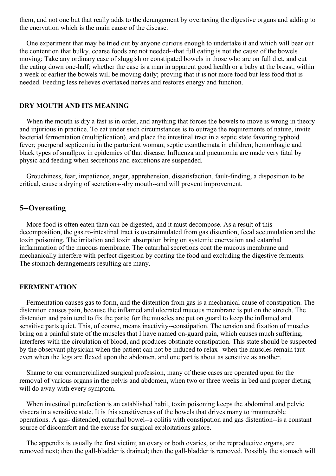them, and not one but that really adds to the derangement by overtaxing the digestive organs and adding to the enervation which is the main cause of the disease.

One experiment that may be tried out by anyone curious enough to undertake it and which will bear out the contention that bulky, coarse foods are not needed--that full eating is not the cause of the bowels moving: Take any ordinary case of sluggish or constipated bowels in those who are on full diet, and cut the eating down one-half; whether the case is a man in apparent good health or a baby at the breast, within a week or earlier the bowels will be moving daily; proving that it is not more food but less food that is needed. Feeding less relieves overtaxed nerves and restores energy and function.

### **DRY MOUTH AND ITS MEANING**

When the mouth is dry a fast is in order, and anything that forces the bowels to move is wrong in theory and injurious in practice. To eat under such circumstances is to outrage the requirements of nature, invite bacterial fermentation (multiplication), and place the intestinal tract in a septic state favoring typhoid fever; puerperal septicemia in the parturient woman; septic exanthemata in children; hemorrhagic and black types of smallpox in epidemics of that disease. Influenza and pneumonia are made very fatal by physic and feeding when secretions and excretions are suspended.

Grouchiness, fear, impatience, anger, apprehension, dissatisfaction, fault-finding, a disposition to be critical, cause a drying of secretions--dry mouth--and will prevent improvement.

### **5--Overeating**

More food is often eaten than can be digested, and it must decompose. As a result of this decomposition, the gastro-intestinal tract is overstimulated from gas distention, fecal accumulation and the toxin poisoning. The irritation and toxin absorption bring on systemic enervation and catarrhal inflammation of the mucous membrane. The catarrhal secretions coat the mucous membrane and mechanically interfere with perfect digestion by coating the food and excluding the digestive ferments. The stomach derangements resulting are many.

### **FERMENTATION**

Fermentation causes gas to form, and the distention from gas is a mechanical cause of constipation. The distention causes pain, because the inflamed and ulcerated mucous membrane is put on the stretch. The distention and pain tend to fix the parts; for the muscles are put on guard to keep the inflamed and sensitive parts quiet. This, of course, means inactivity--constipation. The tension and fixation of muscles bring on a painful state of the muscles that I have named on-guard pain, which causes much suffering, interferes with the circulation of blood, and produces obstinate constipation. This state should be suspected by the observant physician when the patient can not be induced to relax--when the muscles remain taut even when the legs are flexed upon the abdomen, and one part is about as sensitive as another.

Shame to our commercialized surgical profession, many of these cases are operated upon for the removal of various organs in the pelvis and abdomen, when two or three weeks in bed and proper dieting will do away with every symptom.

When intestinal putrefaction is an established habit, toxin poisoning keeps the abdominal and pelvic viscera in a sensitive state. It is this sensitiveness of the bowels that drives many to innumerable operations. A gas- distended, catarrhal bowel--a colitis with constipation and gas distention--is a constant source of discomfort and the excuse for surgical exploitations galore.

The appendix is usually the first victim; an ovary or both ovaries, or the reproductive organs, are removed next; then the gall-bladder is drained; then the gall-bladder is removed. Possibly the stomach will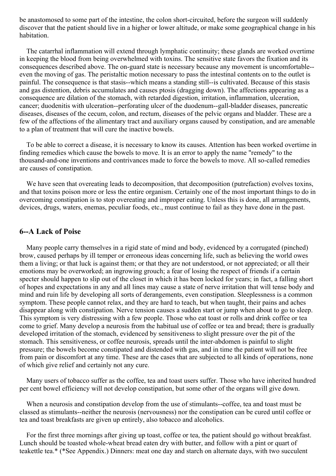be anastomosed to some part of the intestine, the colon short-circuited, before the surgeon will suddenly discover that the patient should live in a higher or lower altitude, or make some geographical change in his habitation.

The catarrhal inflammation will extend through lymphatic continuity; these glands are worked overtime in keeping the blood from being overwhelmed with toxins. The sensitive state favors the fixation and its consequences described above. The on-guard state is necessary because any movement is uncomfortable- even the moving of gas. The peristaltic motion necessary to pass the intestinal contents on to the outlet is painful. The consequence is that stasis--which means a standing still--is cultivated. Because of this stasis and gas distention, debris accumulates and causes ptosis (dragging down). The affections appearing as a consequence are dilation of the stomach, with retarded digestion, irritation, inflammation, ulceration, cancer; duodenitis with ulceration--perforating ulcer of the duodenum--gall-bladder diseases, pancreatic diseases, diseases of the cecum, colon, and rectum, diseases of the pelvic organs and bladder. These are a few of the affections of the alimentary tract and auxiliary organs caused by constipation, and are amenable to a plan of treatment that will cure the inactive bowels.

To be able to correct a disease, it is necessary to know its causes. Attention has been worked overtime in finding remedies which cause the bowels to move. It is an error to apply the name "remedy" to the thousand-and-one inventions and contrivances made to force the bowels to move. All so-called remedies are causes of constipation.

We have seen that overeating leads to decomposition, that decomposition (putrefaction) evolves toxins, and that toxins poison more or less the entire organism. Certainly one of the most important things to do in overcoming constipation is to stop overeating and improper eating. Unless this is done, all arrangements, devices, drugs, waters, enemas, peculiar foods, etc., must continue to fail as they have done in the past.

### **6--A Lack of Poise**

Many people carry themselves in a rigid state of mind and body, evidenced by a corrugated (pinched) brow, caused perhaps by ill temper or erroneous ideas concerning life, such as believing the world owes them a living; or that luck is against them; or that they are not understood, or not appreciated; or all their emotions may be overworked; an ingrowing grouch; a fear of losing the respect of friends if a certain specter should happen to slip out of the closet in which it has been locked for years; in fact, a falling short of hopes and expectations in any and all lines may cause a state of nerve irritation that will tense body and mind and ruin life by developing all sorts of derangements, even constipation. Sleeplessness is a common symptom. These people cannot relax, and they are hard to teach, but when taught, their pains and aches disappear along with constipation. Nerve tension causes a sudden start or jump when about to go to sleep. This symptom is very distressing with a few people. Those who eat toast or rolls and drink coffee or tea come to grief. Many develop a neurosis from the habitual use of coffee or tea and bread; there is gradually developed irritation of the stomach, evidenced by sensitiveness to slight pressure over the pit of the stomach. This sensitiveness, or coffee neurosis, spreads until the inter-abdomen is painful to slight pressure; the bowels become constipated and distended with gas, and in time the patient will not be free from pain or discomfort at any time. These are the cases that are subjected to all kinds of operations, none of which give relief and certainly not any cure.

Many users of tobacco suffer as the coffee, tea and toast users suffer. Those who have inherited hundred per cent bowel efficiency will not develop constipation, but some other of the organs will give down.

When a neurosis and constipation develop from the use of stimulants--coffee, tea and toast must be classed as stimulants--neither the neurosis (nervousness) nor the constipation can be cured until coffee or tea and toast breakfasts are given up entirely, also tobacco and alcoholics.

For the first three mornings after giving up toast, coffee or tea, the patient should go without breakfast. Lunch should be toasted whole-wheat bread eaten dry with butter, and follow with a pint or quart of teakettle tea.\* (\*See Appendix.) Dinners: meat one day and starch on alternate days, with two succulent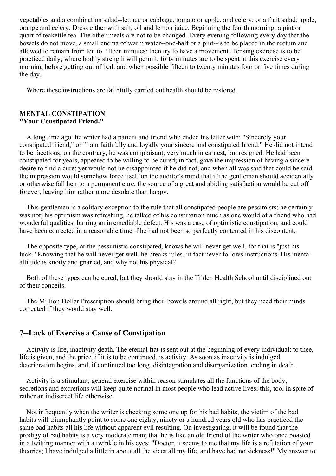vegetables and a combination salad--lettuce or cabbage, tomato or apple, and celery; or a fruit salad: apple, orange and celery. Dress either with salt, oil and lemon juice. Beginning the fourth morning: a pint or quart of teakettle tea. The other meals are not to be changed. Every evening following every day that the bowels do not move, a small enema of warm water--one-half or a pint--is to be placed in the rectum and allowed to remain from ten to fifteen minutes; then try to have a movement. Tensing exercise is to be practiced daily; where bodily strength will permit, forty minutes are to be spent at this exercise every morning before getting out of bed; and when possible fifteen to twenty minutes four or five times during the day.

Where these instructions are faithfully carried out health should be restored.

### **MENTAL CONSTIPATION "Your Constipated Friend."**

A long time ago the writer had a patient and friend who ended his letter with: "Sincerely your constipated friend," or "I am faithfully and loyally your sincere and constipated friend." He did not intend to be facetious; on the contrary, he was complaisant, very much in earnest, but resigned. He had been constipated for years, appeared to be willing to be cured; in fact, gave the impression of having a sincere desire to find a cure; yet would not be disappointed if he did not; and when all was said that could be said, the impression would somehow force itself on the auditor's mind that if the gentleman should accidentally or otherwise fall heir to a permanent cure, the source of a great and abiding satisfaction would be cut off forever, leaving him rather more desolate than happy.

This gentleman is a solitary exception to the rule that all constipated people are pessimists; he certainly was not; his optimism was refreshing, he talked of his constipation much as one would of a friend who had wonderful qualities, barring an irremediable defect. His was a case of optimistic constipation, and could have been corrected in a reasonable time if he had not been so perfectly contented in his discontent.

The opposite type, or the pessimistic constipated, knows he will never get well, for that is "just his luck." Knowing that he will never get well, he breaks rules, in fact never follows instructions. His mental attitude is knotty and gnarled, and why not his physical?

Both of these types can be cured, but they should stay in the Tilden Health School until disciplined out of their conceits.

The Million Dollar Prescription should bring their bowels around all right, but they need their minds corrected if they would stay well.

# **7--Lack of Exercise a Cause of Constipation**

Activity is life, inactivity death. The eternal fiat is sent out at the beginning of every individual: to thee, life is given, and the price, if it is to be continued, is activity. As soon as inactivity is indulged, deterioration begins, and, if continued too long, disintegration and disorganization, ending in death.

Activity is a stimulant; general exercise within reason stimulates all the functions of the body; secretions and excretions will keep quite normal in most people who lead active lives; this, too, in spite of rather an indiscreet life otherwise.

Not infrequently when the writer is checking some one up for his bad habits, the victim of the bad habits will triumphantly point to some one eighty, ninety or a hundred years old who has practiced the same bad habits all his life without apparent evil resulting. On investigating, it will be found that the prodigy of bad habits is a very moderate man; that he is like an old friend of the writer who once boasted in a twitting manner with a twinkle in his eyes: "Doctor, it seems to me that my life is a refutation of your theories; I have indulged a little in about all the vices all my life, and have had no sickness!" My answer to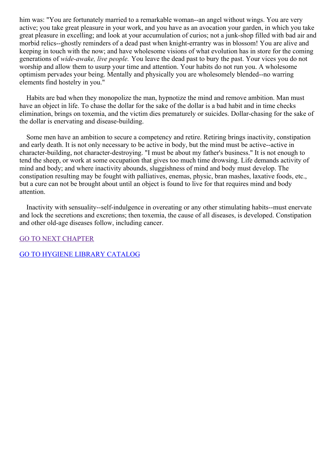him was: "You are fortunately married to a remarkable woman--an angel without wings. You are very active; you take great pleasure in your work, and you have as an avocation your garden, in which you take great pleasure in excelling; and look at your accumulation of curios; not a junk-shop filled with bad air and morbid relics--ghostly reminders of a dead past when knight-errantry was in blossom! You are alive and keeping in touch with the now; and have wholesome visions of what evolution has in store for the coming generations of *wide-awake, live people.* You leave the dead past to bury the past. Your vices you do not worship and allow them to usurp your time and attention. Your habits do not run you. A wholesome optimism pervades your being. Mentally and physically you are wholesomely blended--no warring elements find hostelry in you."

Habits are bad when they monopolize the man, hypnotize the mind and remove ambition. Man must have an object in life. To chase the dollar for the sake of the dollar is a bad habit and in time checks elimination, brings on toxemia, and the victim dies prematurely or suicides. Dollar-chasing for the sake of the dollar is enervating and disease-building.

Some men have an ambition to secure a competency and retire. Retiring brings inactivity, constipation and early death. It is not only necessary to be active in body, but the mind must be active--active in character-building, not character-destroying. "I must be about my father's business." It is not enough to tend the sheep, or work at some occupation that gives too much time drowsing. Life demands activity of mind and body; and where inactivity abounds, sluggishness of mind and body must develop. The constipation resulting may be fought with palliatives, enemas, physic, bran mashes, laxative foods, etc., but a cure can not be brought about until an object is found to live for that requires mind and body attention.

Inactivity with sensuality--self-indulgence in overeating or any other stimulating habits--must enervate and lock the secretions and excretions; then toxemia, the cause of all diseases, is developed. Constipation and other old-age diseases follow, including cancer.

GO TO NEXT [CHAPTER](#page-41-0)

# GO TO HYGIENE LIBRARY [CATALOG](../0201hyglibcat.html)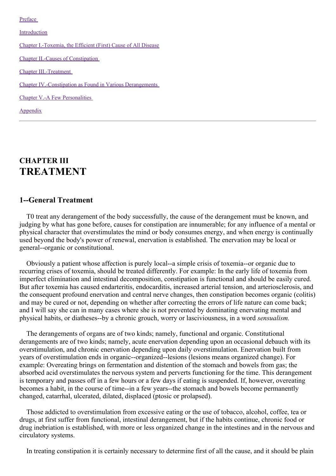[Preface](#page-3-0)

[Introduction](#page-9-0)

Chapter [I.-Toxemia,](#page-17-0) the Efficient (First) Cause of All Disease

Chapter II.-Causes of [Constipation](#page-27-0)

Chapter [III.-Treatment](#page-41-0)

Chapter [IV.-Constipation](#page-57-0) as Found in Various Derangements

Chapter V.-A Few [Personalities](#page-65-0)

[Appendix](#page-67-0)

# **CHAPTER III TREATMENT**

### **1--General Treatment**

T0 treat any derangement of the body successfully, the cause of the derangement must be known, and judging by what has gone before, causes for constipation are innumerable; for any influence of a mental or physical character that overstimulates the mind or body consumes energy, and when energy is continually used beyond the body's power of renewal, enervation is established. The enervation may be local or general--organic or constitutional.

Obviously a patient whose affection is purely local--a simple crisis of toxemia--or organic due to recurring crises of toxemia, should be treated differently. For example: In the early life of toxemia from imperfect elimination and intestinal decomposition, constipation is functional and should be easily cured. But after toxemia has caused endarteritis, endocarditis, increased arterial tension, and arteriosclerosis, and the consequent profound enervation and central nerve changes, then constipation becomes organic (colitis) and may be cured or not, depending on whether after correcting the errors of life nature can come back; and I will say she can in many cases where she is not prevented by dominating enervating mental and physical habits, or diatheses--by a chronic grouch, worry or lasciviousness, in a word *sensualism.*

The derangements of organs are of two kinds; namely, functional and organic. Constitutional derangements are of two kinds; namely, acute enervation depending upon an occasional debauch with its overstimulation, and chronic enervation depending upon daily overstimulation. Enervation built from years of overstimulation ends in organic--organized--lesions (lesions means organized change). For example: Overeating brings on fermentation and distention of the stomach and bowels from gas; the absorbed acid overstimulates the nervous system and perverts functioning for the time. This derangement is temporary and passes off in a few hours or a few days if eating is suspended. If, however, overeating becomes a habit, in the course of time--in a few years--the stomach and bowels become permanently changed, catarrhal, ulcerated, dilated, displaced (ptosic or prolapsed).

Those addicted to overstimulation from excessive eating or the use of tobacco, alcohol, coffee, tea or drugs, at first suffer from functional, intestinal derangement, but if the habits continue, chronic food or drug inebriation is established, with more or less organized change in the intestines and in the nervous and circulatory systems.

In treating constipation it is certainly necessary to determine first of all the cause, and it should be plain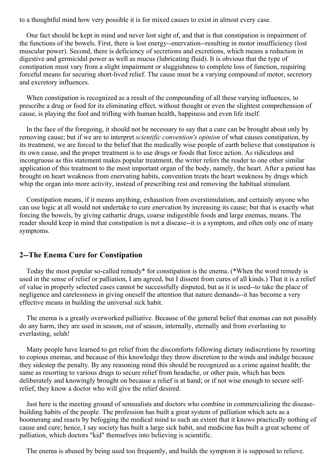to a thoughtful mind how very possible it is for mixed causes to exist in almost every case.

One fact should be kept in mind and never lost sight of, and that is that constipation is impairment of the functions of the bowels. First, there is lost energy--enervation--resulting in motor insufficiency (lost muscular power). Second, there is deficiency of secretions and excretions, which means a reduction in digestive and germicidal power as well as mucus (lubricating fluid). It is obvious that the type of constipation must vary from a slight impairment or sluggishness to complete loss of function, requiring forceful means for securing short-lived relief. The cause must be a varying compound of motor, secretory and excretory influences.

When constipation is recognized as a result of the compounding of all these varying influences, to prescribe a drug or food for its eliminating effect, without thought or even the slightest comprehension of cause, is playing the fool and trifling with human health, happiness and even life itself.

In the face of the foregoing, it should not be necessary to say that a cure can be brought about only by removing cause; but if we are to interpret *scientific convention's opinion* of what causes constipation, by its treatment, we are forced to the belief that the medically wise people of earth believe that constipation is its own cause, and the proper treatment is to use drugs or foods that force action. As ridiculous and incongruous as this statement makes popular treatment, the writer refers the reader to one other similar application of this treatment to the most important organ of the body, namely, the heart. After a patient has brought on heart weakness from enervating habits, convention treats the heart weakness by drugs which whip the organ into more activity, instead of prescribing rest and removing the habitual stimulant.

Constipation means, if it means anything, exhaustion from overstimulation, and certainly anyone who can use logic at all would not undertake to cure enervation by increasing its cause; but that is exactly what forcing the bowels, by giving cathartic drugs, coarse indigestible foods and large enemas, means. The reader should keep in mind that constipation is not a disease--it is a symptom, and often only one of many symptoms.

### **2--The Enema Cure for Constipation**

Today the most popular so-called remedy\* for constipation is the enema. (\*When the word remedy is used in the sense of relief or palliation, I am agreed, but I dissent from cures of all kinds.) That it is a relief of value in properly selected cases cannot be successfully disputed, but as it is used--to take the place of negligence and carelessness in giving oneself the attention that nature demands--it has become a very effective means in building the universal sick habit.

The enema is a greatly overworked palliative. Because of the general belief that enemas can not possibly do any harm, they are used in season, out of season, internally, eternally and from everlasting to everlasting, selah!

Many people have learned to get relief from the discomforts following dietary indiscretions by resorting to copious enemas, and because of this knowledge they throw discretion to the winds and indulge because they sidestep the penalty. By any reasoning mind this should be recognized as a crime against health; the same as resorting to various drugs to secure relief from headache, or other pain, which has been deliberately and knowingly brought on because a relief is at hand; or if not wise enough to secure selfrelief, they know a doctor who will give the relief desired.

Just here is the meeting ground of sensualists and doctors who combine in commercializing the diseasebuilding habits of the people. The profession has built a great system of palliation which acts as a boomerang and reacts by befogging the medical mind to such an extent that it knows practically nothing of cause and cure; hence, I say society has built a large sick habit, and medicine has built a great scheme of palliation, which doctors "kid" themselves into believing is scientific.

The enema is abused by being used too frequently, and builds the symptom it is supposed to relieve.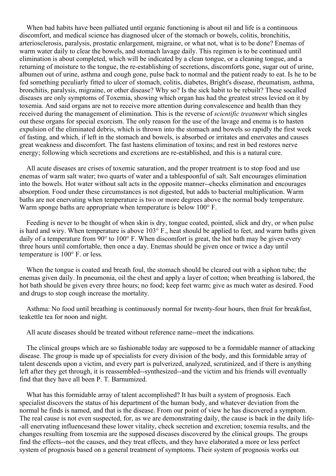When bad habits have been palliated until organic functioning is about nil and life is a continuous discomfort, and medical science has diagnosed ulcer of the stomach or bowels, colitis, bronchitis, arteriosclerosis, paralysis, prostatic enlargement, migraine, or what not, what is to be done? Enemas of warm water daily to clear the bowels, and stomach lavage daily. This regimen is to be continued until elimination is about completed, which will be indicated by a clean tongue, or a cleaning tongue, and a returning of moisture to the tongue, the re-establishing of secretions, discomforts gone, sugar out of urine, albumen out of urine, asthma and cough gone, pulse back to normal and the patient ready to eat. Is he to be fed something peculiarly fitted to ulcer of stomach, colitis, diabetes, Bright's disease, rheumatism, asthma, bronchitis, paralysis, migraine, or other disease? Why so? Is the sick habit to be rebuilt? These socalled diseases are only symptoms of Toxemia, showing which organ has had the greatest stress levied on it by toxemia. And said organs are not to receive more attention during convalescence and health than they received during the management of elimination. This is the reverse of *scientific treatment* which singles out these organs for special exorcism. The only reason for the use of the lavage and enema is to hasten expulsion of the eliminated debris, which is thrown into the stomach and bowels so rapidly the first week of fasting, and which, if left in the stomach and bowels, is absorbed or irritates and enervates and causes great weakness and discomfort. The fast hastens elimination of toxins; and rest in bed restores nerve energy; following which secretions and excretions are re-established, and this is a natural cure.

All acute diseases are crises of toxemic saturation, and the proper treatment is to stop food and use enemas of warm salt water; two quarts of water and a tablespoonful of salt. Salt encourages elimination into the bowels. Hot water without salt acts in the opposite manner--checks elimination and encourages absorption. Food under these circumstances is not digested, but adds to bacterial multiplication. Warm baths are not enervating when temperature is two or more degrees above the normal body temperature. Warm sponge baths are appropriate when temperature is below 100 $^{\circ}$  F.

Feeding is never to be thought of when skin is dry, tongue coated, pointed, slick and dry, or when pulse is hard and wiry. When temperature is above 103° F., heat should be applied to feet, and warm baths given daily of a temperature from 90° to 100° F. When discomfort is great, the hot bath may be given every three hours until comfortable, then once a day. Enemas should be given once or twice a day until temperature is 100° F. or less.

When the tongue is coated and breath foul, the stomach should be cleared out with a siphon tube; the enemas given daily. In pneumonia, oil the chest and apply a layer of cotton; when breathing is labored, the hot bath should be given every three hours; no food; keep feet warm; give as much water as desired. Food and drugs to stop cough increase the mortality.

Asthma: No food until breathing is continuously normal for twenty-four hours, then fruit for breakfast, teakettle tea for noon and night.

All acute diseases should be treated without reference name--meet the indications.

The clinical groups which are so fashionable today are supposed to be a formidable manner of attacking disease. The group is made up of specialists for every division of the body, and this formidable array of talent descends upon a victim, and every part is pulverized, analyzed, scrutinized, and if there is anything left after they get through, it is reassembled--synthesized--and the victim and his friends will eventually find that they have all been P. T. Barnumized.

What has this formidable array of talent accomplished? It has built a system of prognosis. Each specialist discovers the status of his department of the human body, and whatever deviation from the normal he finds is named, and that is the disease. From our point of view he has discovered a symptom. The real cause is not even suspected, for, as we are demonstrating daily, the cause is back in the daily life- -all enervating influencesand these lower vitality, check secretion and excretion; toxemia results, and the changes resulting from toxemia are the supposed diseases discovered by the clinical groups. The groups find the effects--not the causes, and they treat effects, and they have elaborated a more or less perfect system of prognosis based on a general treatment of symptoms. Their system of prognosis works out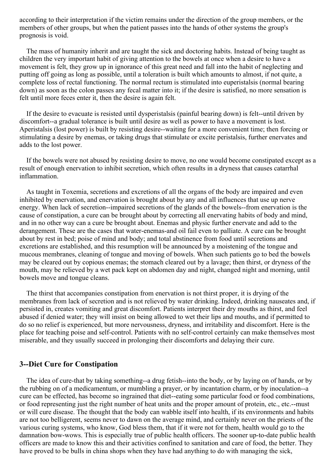according to their interpretation if the victim remains under the direction of the group members, or the members of other groups, but when the patient passes into the hands of other systems the group's prognosis is void.

The mass of humanity inherit and are taught the sick and doctoring habits. Instead of being taught as children the very important habit of giving attention to the bowels at once when a desire to have a movement is felt, they grow up in ignorance of this great need and fall into the habit of neglecting and putting off going as long as possible, until a toleration is built which amounts to almost, if not quite, a complete loss of rectal functioning. The normal rectum is stimulated into euperistalsis (normal bearing down) as soon as the colon passes any fecal matter into it; if the desire is satisfied, no more sensation is felt until more feces enter it, then the desire is again felt.

If the desire to evacuate is resisted until dysperistalsis (painful bearing down) is felt--until driven by discomfort--a gradual tolerance is built until desire as well as power to have a movement is lost. Aperistalsis (lost power) is built by resisting desire--waiting for a more convenient time; then forcing or stimulating a desire by enemas, or taking drugs that stimulate or excite peristalsis, further enervates and adds to the lost power.

If the bowels were not abused by resisting desire to move, no one would become constipated except as a result of enough enervation to inhibit secretion, which often results in a dryness that causes catarrhal inflammation.

As taught in Toxemia, secretions and excretions of all the organs of the body are impaired and even inhibited by enervation, and enervation is brought about by any and all influences that use up nerve energy. When lack of secretion--impaired secretions of the glands of the bowels--from enervation is the cause of constipation, a cure can be brought about by correcting all enervating habits of body and mind, and in no other way can a cure be brought about. Enemas and physic further enervate and add to the derangement. These are the cases that water-enemas-and oil fail even to palliate. A cure can be brought about by rest in bed; poise of mind and body; and total abstinence from food until secretions and excretions are established, and this resumption will be announced by a moistening of the tongue and mucous membranes, cleaning of tongue and moving of bowels. When such patients go to bed the bowels may be cleared out by copious enemas; the stomach cleared out by a lavage; then thirst, or dryness of the mouth, may be relieved by a wet pack kept on abdomen day and night, changed night and morning, until bowels move and tongue cleans.

The thirst that accompanies constipation from enervation is not thirst proper, it is drying of the membranes from lack of secretion and is not relieved by water drinking. Indeed, drinking nauseates and, if persisted in, creates vomiting and great discomfort. Patients interpret their dry mouths as thirst, and feel abused if denied water; they will insist on being allowed to wet their lips and mouths, and if permitted to do so no relief is experienced, but more nervousness, dryness, and irritability and discomfort. Here is the place for teaching poise and self-control. Patients with no self-control certainly can make themselves most miserable, and they usually succeed in prolonging their discomforts and delaying their cure.

### **3--Diet Cure for Constipation**

The idea of cure-that by taking something--a drug fetish--into the body, or by laying on of hands, or by the rubbing on of a medicamentum, or mumbling a prayer, or by incantation charm, or by inoculation--a cure can be effected, has become so ingrained that diet--eating some particular food or food combinations, or food representing just the right number of heat units and the proper amount of protein, etc., etc.--must or will cure disease. The thought that the body can wabble itself into health, if its environments and habits are not too belligerent, seems never to dawn on the average mind, and certainly never on the priests of the various curing systems, who know, God bless them, that if it were not for them, health would go to the damnation bow-wows. This is especially true of public health officers. The sooner up-to-date public health officers are made to know this and their activities confined to sanitation and care of food, the better. They have proved to be bulls in china shops when they have had anything to do with managing the sick,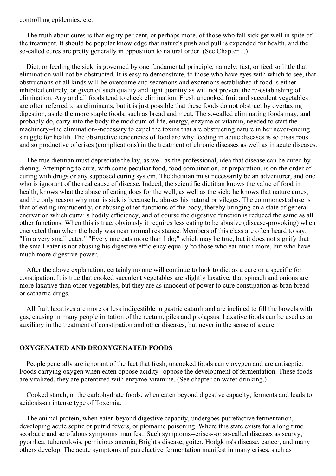controlling epidemics, etc.

The truth about cures is that eighty per cent, or perhaps more, of those who fall sick get well in spite of the treatment. It should be popular knowledge that nature's push and pull is expended for health, and the so-called cures are pretty generally in opposition to natural order. (See Chapter 1.)

Diet, or feeding the sick, is governed by one fundamental principle, namely: fast, or feed so little that elimination will not be obstructed. It is easy to demonstrate, to those who have eyes with which to see, that obstructions of all kinds will be overcome and secretions and excretions established if food is either inhibited entirely, or given of such quality and light quantity as will not prevent the re-establishing of elimination. Any and all foods tend to check elimination. Fresh uncooked fruit and succulent vegetables are often referred to as eliminants, but it is just possible that these foods do not obstruct by overtaxing digestion, as do the more staple foods, such as bread and meat. The so-called eliminating foods may, and probably do, carry into the body the modicum of life, energy, enzyme or vitamin, needed to start the machinery--the elimination--necessary to expel the toxins that are obstructing nature in her never-ending struggle for health. The obstructive tendencies of food are why feeding in acute diseases is so disastrous and so productive of crises (complications) in the treatment of chronic diseases as well as in acute diseases.

The true dietitian must depreciate the lay, as well as the professional, idea that disease can be cured by dieting. Attempting to cure, with some peculiar food, food combination, or preparation, is on the order of curing with drugs or any supposed curing system. The dietitian must necessarily be an adventurer, and one who is ignorant of the real cause of disease. Indeed, the scientific dietitian knows the value of food in health, knows what the abuse of eating does for the well, as well as the sick; he knows that nature cures, and the only reason why man is sick is because he abuses his natural privileges. The commonest abuse is that of eating imprudently, or abusing other functions of the body, thereby bringing on a state of general enervation which curtails bodily efficiency, and of course the digestive function is reduced the same as all other functions. When this is true, obviously it requires less eating to be abusive (disease-provoking) when enervated than when the body was near normal resistance. Members of this class are often heard to say: "I'm a very small eater;" "Every one eats more than I do;" which may be true, but it does not signify that the small eater is not abusing his digestive efficiency equally 'to those who eat much more, but who have much more digestive power.

After the above explanation, certainly no one will continue to look to diet as a cure or a specific for constipation. It is true that cooked succulent vegetables are slightly laxative, that spinach and onions are more laxative than other vegetables, but they are as innocent of power to cure constipation as bran bread or cathartic drugs.

All fruit laxatives are more or less indigestible in gastric catarrh and are inclined to fill the bowels with gas, causing in many people irritation of the rectum, piles and prolapsus. Laxative foods can be used as an auxiliary in the treatment of constipation and other diseases, but never in the sense of a cure.

### **OXYGENATED AND DEOXYGENATED FOODS**

People generally are ignorant of the fact that fresh, uncooked foods carry oxygen and are antiseptic. Foods carrying oxygen when eaten oppose acidity--oppose the development of fermentation. These foods are vitalized, they are potentized with enzyme-vitamine. (See chapter on water drinking.)

Cooked starch, or the carbohydrate foods, when eaten beyond digestive capacity, ferments and leads to acidosis-an intense type of Toxemia.

The animal protein, when eaten beyond digestive capacity, undergoes putrefactive fermentation, developing acute septic or putrid fevers, or ptomaine poisoning. Where this state exists for a long time scorbutic and scrofulous symptoms manifest. Such symptoms--crises--or so-called diseases as scurvy, pyorrhea, tuberculosis, pernicious anemia, Bright's disease, goiter, Hodgkins's disease, cancer, and many others develop. The acute symptoms of putrefactive fermentation manifest in many crises, such as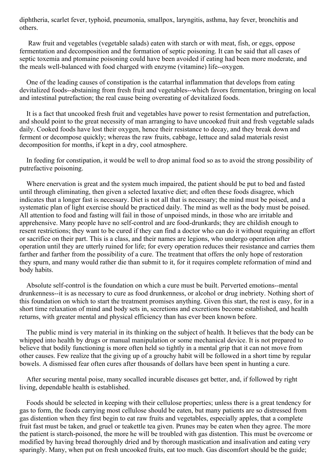diphtheria, scarlet fever, typhoid, pneumonia, smallpox, laryngitis, asthma, hay fever, bronchitis and others.

Raw fruit and vegetables (vegetable salads) eaten with starch or with meat, fish, or eggs, oppose fermentation and decomposition and the formation of septic poisoning. It can be said that all cases of septic toxemia and ptomaine poisoning could have been avoided if eating had been more moderate, and the meals well-balanced with food charged with enzyme (vitamine) life--oxygen.

One of the leading causes of constipation is the catarrhal inflammation that develops from eating devitalized foods--abstaining from fresh fruit and vegetables--which favors fermentation, bringing on local and intestinal putrefaction; the real cause being overeating of devitalized foods.

It is a fact that uncooked fresh fruit and vegetables have power to resist fermentation and putrefaction, and should point to the great necessity of man arranging to have uncooked fruit and fresh vegetable salads daily. Cooked foods have lost their oxygen, hence their resistance to decay, and they break down and ferment or decompose quickly; whereas the raw fruits, cabbage, lettuce and salad materials resist decomposition for months, if kept in a dry, cool atmosphere.

In feeding for constipation, it would be well to drop animal food so as to avoid the strong possibility of putrefactive poisoning.

Where enervation is great and the system much impaired, the patient should be put to bed and fasted until through eliminating, then given a selected laxative diet; and often these foods disagree, which indicates that a longer fast is necessary. Diet is not all that is necessary; the mind must be poised, and a systematic plan of light exercise should be practiced daily. The mind as well as the body must be poised. All attention to food and fasting will fail in those of unpoised minds, in those who are irritable and apprehensive. Many people have no self-control and are food-drunkards; they are childish enough to resent restrictions; they want to be cured if they can find a doctor who can do it without requiring an effort or sacrifice on their part. This is a class, and their names are legions, who undergo operation after operation until they are utterly ruined for life; for every operation reduces their resistance and carries them farther and farther from the possibility of a cure. The treatment that offers the only hope of restoration they spurn, and many would rather die than submit to it, for it requires complete reformation of mind and body habits.

Absolute self-control is the foundation on which a cure must be built. Perverted emotions--mental drunkenness--it is as necessary to cure as food drunkenness, or alcohol or drug inebriety. Nothing short of this foundation on which to start the treatment promises anything. Given this start, the rest is easy, for in a short time relaxation of mind and body sets in, secretions and excretions become established, and health returns, with greater mental and physical efficiency than has ever been known before.

The public mind is very material in its thinking on the subject of health. It believes that the body can be whipped into health by drugs or manual manipulation or some mechanical device. It is not prepared to believe that bodily functioning is more often held so tightly in a mental grip that it can not move from other causes. Few realize that the giving up of a grouchy habit will be followed in a short time by regular bowels. A dismissed fear often cures after thousands of dollars have been spent in hunting a cure.

After securing mental poise, many socalled incurable diseases get better, and, if followed by right living, dependable health is established.

Foods should be selected in keeping with their cellulose properties; unless there is a great tendency for gas to form, the foods carrying most cellulose should be eaten, but many patients are so distressed from gas distention when they first begin to eat raw fruits and vegetables, especially apples, that a complete fruit fast must be taken, and gruel or teakettle tea given. Prunes may be eaten when they agree. The more the patient is starch-poisoned, the more he will be troubled with gas distention. This must be overcome or modified by having bread thoroughly dried and by thorough mastication and insalivation and eating very sparingly. Many, when put on fresh uncooked fruits, eat too much. Gas discomfort should be the guide;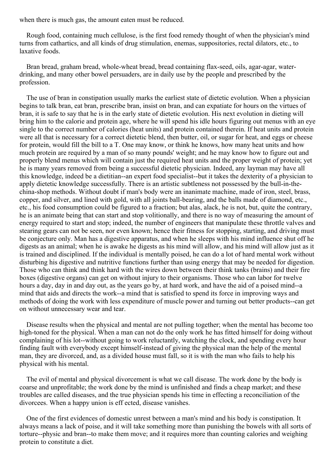when there is much gas, the amount eaten must be reduced.

Rough food, containing much cellulose, is the first food remedy thought of when the physician's mind turns from cathartics, and all kinds of drug stimulation, enemas, suppositories, rectal dilators, etc., to laxative foods.

Bran bread, graham bread, whole-wheat bread, bread containing flax-seed, oils, agar-agar, waterdrinking, and many other bowel persuaders, are in daily use by the people and prescribed by the profession.

The use of bran in constipation usually marks the earliest state of dietetic evolution. When a physician begins to talk bran, eat bran, prescribe bran, insist on bran, and can expatiate for hours on the virtues of bran, it is safe to say that he is in the early state of dietetic evolution. His next evolution in dieting will bring him to the calorie and protein age, where he will spend his idle hours figuring out menus with an eye single to the correct number of calories (heat units) and protein contained therein. If heat units and protein were all that is necessary for a correct dietetic blend, then butter, oil, or sugar for heat, and eggs or cheese for protein, would fill the bill to a T. One may know, or think he knows, how many heat units and how much protein are required by a man of so many pounds' weight; and he may know how to figure out and properly blend menus which will contain just the required heat units and the proper weight of protein; yet he is many years removed from being a successful dietetic physician. Indeed, any layman may have all this knowledge, indeed be a dietitian--an expert food specialist--but it takes the dexterity of a physician to apply dietetic knowledge successfully. There is an artistic subtleness not possessed by the bull-in-thechina-shop methods. Without doubt if man's body were an inanimate machine, made of iron, steel, brass, copper, and silver, and lined with gold, with all joints ball-bearing, and the balls made of diamond, etc., etc., his food consumption could be figured to a fraction; but alas, alack, he is not, but, quite the contrary, he is an animate being that can start and stop volitionally, and there is no way of measuring the amount of energy required to start and stop; indeed, the number of engineers that manipulate these throttle valves and stearing gears can not be seen, nor even known; hence their fitness for stopping, starting, and driving must be conjecture only. Man has a digestive apparatus, and when he sleeps with his mind influence shut off he digests as an animal; when he is awake he digests as his mind will allow, and his mind will allow just as it is trained and disciplined. If the individual is mentally poised, he can do a lot of hard mental work without disturbing his digestive and nutritive functions further than using energy that may be needed for digestion. Those who can think and think hard with the wires down between their think tanks (brains) and their fire boxes (digestive organs) can get on without injury to their organisms. Those who can labor for twelve hours a day, day in and day out, as the years go by, at hard work, and have the aid of a poised mind--a mind that aids and directs the work--a mind that is satisfied to spend its force in improving ways and methods of doing the work with less expenditure of muscle power and turning out better products--can get on without unnecessary wear and tear.

Disease results when the physical and mental are not pulling together; when the mental has become too high-toned for the physical. When a man can not do the only work he has fitted himself for doing without complaining of his lot--without going to work reluctantly, watching the clock, and spending every hour finding fault with everybody except himself-instead of giving the physical man the help of the mental man, they are divorced, and, as a divided house must fall, so it is with the man who fails to help his physical with his mental.

The evil of mental and physical divorcement is what we call disease. The work done by the body is coarse and unprofitable; the work done by the mind is unfinished and finds a cheap market; and these troubles are called diseases, and the true physician spends his time in effecting a reconciliation of the divorcees. When a happy union is eff ected, disease vanishes.

One of the first evidences of domestic unrest between a man's mind and his body is constipation. It always means a lack of poise, and it will take something more than punishing the bowels with all sorts of torture--physic and bran--to make them move; and it requires more than counting calories and weighing protein to constitute a diet.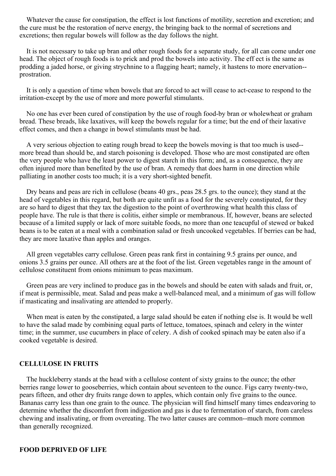Whatever the cause for constipation, the effect is lost functions of motility, secretion and excretion; and the cure must be the restoration of nerve energy, the bringing back to the normal of secretions and excretions; then regular bowels will follow as the day follows the night.

It is not necessary to take up bran and other rough foods for a separate study, for all can come under one head. The object of rough foods is to prick and prod the bowels into activity. The eff ect is the same as prodding a jaded horse, or giving strychnine to a flagging heart; namely, it hastens to more enervation- prostration.

It is only a question of time when bowels that are forced to act will cease to act-cease to respond to the irritation-except by the use of more and more powerful stimulants.

No one has ever been cured of constipation by the use of rough food-by bran or wholewheat or graham bread. These breads, like laxatives, will keep the bowels regular for a time; but the end of their laxative effect comes, and then a change in bowel stimulants must be had.

A very serious objection to eating rough bread to keep the bowels moving is that too much is used- more bread than should be, and starch poisoning is developed. Those who are most constipated are often the very people who have the least power to digest starch in this form; and, as a consequence, they are often injured more than benefited by the use of bran. A remedy that does harm in one direction while palliating in another costs too much; it is a very short-sighted benefit.

Dry beans and peas are rich in cellulose (beans 40 grs., peas 28.5 grs. to the ounce); they stand at the head of vegetables in this regard, but both are quite unfit as a food for the severely constipated, for they are so hard to digest that they tax the digestion to the point of overthrowing what health this class of people have. The rule is that there is colitis, either simple or membranous. If, however, beans are selected because of a limited supply or lack of more suitable foods, no more than one teacupful of stewed or baked beans is to be eaten at a meal with a combination salad or fresh uncooked vegetables. If berries can be had, they are more laxative than apples and oranges.

All green vegetables carry cellulose. Green peas rank first in containing 9.5 grains per ounce, and onions 3.5 grains per ounce. All others are at the foot of the list. Green vegetables range in the amount of cellulose constituent from onions minimum to peas maximum.

Green peas are very inclined to produce gas in the bowels and should be eaten with salads and fruit, or, if meat is permissible, meat. Salad and peas make a well-balanced meal, and a minimum of gas will follow if masticating and insalivating are attended to properly.

When meat is eaten by the constipated, a large salad should be eaten if nothing else is. It would be well to have the salad made by combining equal parts of lettuce, tomatoes, spinach and celery in the winter time; in the summer, use cucumbers in place of celery. A dish of cooked spinach may be eaten also if a cooked vegetable is desired.

#### **CELLULOSE IN FRUITS**

The huckleberry stands at the head with a cellulose content of sixty grains to the ounce; the other berries range lower to gooseberries, which contain about seventeen to the ounce. Figs carry twenty-two, pears fifteen, and other dry fruits range down to apples, which contain only five grains to the ounce. Bananas carry less than one grain to the ounce. The physician will find himself many times endeavoring to determine whether the discomfort from indigestion and gas is due to fermentation of starch, from careless chewing and insalivating, or from overeating. The two latter causes are common--much more common than generally recognized.

#### **FOOD DEPRIVED OF LIFE**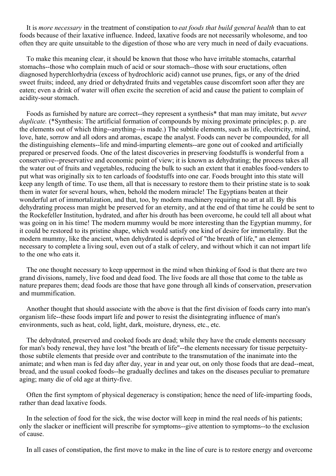It is *more necessary* in the treatment of constipation to *eat foods that build general health* than to eat foods because of their laxative influence. Indeed, laxative foods are not necessarily wholesome, and too often they are quite unsuitable to the digestion of those who are very much in need of daily evacuations.

To make this meaning clear, it should be known that those who have irritable stomachs, catarrhal stomachs--those who complain much of acid or sour stomach--those with sour eructations, often diagnosed hyperchlorhydria (excess of hydrochloric acid) cannot use prunes, figs, or any of the dried sweet fruits; indeed, any dried or dehydrated fruits and vegetables cause discomfort soon after they are eaten; even a drink of water will often excite the secretion of acid and cause the patient to complain of acidity-sour stomach.

Foods as furnished by nature are correct--they represent a synthesis\* that man may imitate, but *never duplicate.* (\*Synthesis: The artificial formation of compounds by mixing proximate principles; p. p. are the elements out of which thing--anything--is made.) The subtile elements, such as life, electricity, mind, love, hate, sorrow and all odors and aromas, escape the analyst. Foods can never be compounded, for all the distinguishing elements--life and mind-imparting elements--are gone out of cooked and artificially prepared or preserved foods. One of the latest discoveries in preserving foodstuffs is wonderful from a conservative--preservative and economic point of view; it is known as dehydrating; the process takes all the water out of fruits and vegetables, reducing the bulk to such an extent that it enables food-venders to put what was originally six to ten carloads of foodstuffs into one car. Foods brought into this state will keep any length of time. To use them, all that is necessary to restore them to their pristine state is to soak them in water for several hours, when, behold the modern miracle! The Egyptians beaten at their wonderful art of immortalization, and that, too, by modern machinery requiring no art at all. By this dehydrating process man might be preserved for an eternity, and at the end of that time he could be sent to the Rockefeller Institution, hydrated, and after his drouth has been overcome, he could tell all about what was going on in his time! The modern mummy would be more interesting than the Egyptian mummy, for it could be restored to its pristine shape, which would satisfy one kind of desire for immortality. But the modern mummy, like the ancient, when dehydrated is deprived of "the breath of life," an element necessary to complete a living soul, even out of a stalk of celery, and without which it can not impart life to the one who eats it.

The one thought necessary to keep uppermost in the mind when thinking of food is that there are two grand divisions, namely, live food and dead food. The live foods are all those that come to the table as nature prepares them; dead foods are those that have gone through all kinds of conservation, preservation and mummification.

Another thought that should associate with the above is that the first division of foods carry into man's organism life--these foods impart life and power to resist the disintegrating influence of man's environments, such as heat, cold, light, dark, moisture, dryness, etc., etc.

The dehydrated, preserved and cooked foods are dead; while they have the crude elements necessary for man's body renewal, they have lost "the breath of life"--the elements necessary for tissue perpetuitythose subtile elements that preside over and contribute to the transmutation of the inanimate into the animate; and when man is fed day after day, year in and year out, on only those foods that are dead--meat, bread, and the usual cooked foods--he gradually declines and takes on the diseases peculiar to premature aging; many die of old age at thirty-five.

Often the first symptom of physical degeneracy is constipation; hence the need of life-imparting foods, rather than dead laxative foods.

In the selection of food for the sick, the wise doctor will keep in mind the real needs of his patients; only the slacker or inefficient will prescribe for symptoms--give attention to symptoms--to the exclusion of cause.

In all cases of constipation, the first move to make in the line of cure is to restore energy and overcome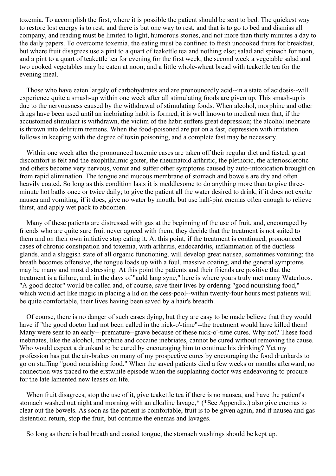<span id="page-41-0"></span>toxemia. To accomplish the first, where it is possible the patient should be sent to bed. The quickest way to restore lost energy is to rest, and there is but one way to rest, and that is to go to bed and dismiss all company, and reading must be limited to light, humorous stories, and not more than thirty minutes a day to the daily papers. To overcome toxemia, the eating must be confined to fresh uncooked fruits for breakfast, but where fruit disagrees use a pint to a quart of teakettle tea and nothing else; salad and spinach for noon, and a pint to a quart of teakettle tea for evening for the first week; the second week a vegetable salad and two cooked vegetables may be eaten at noon; and a little whole-wheat bread with teakettle tea for the evening meal.

Those who have eaten largely of carbohydrates and are pronouncedly acid--in a state of acidosis--will experience quite a smash-up within one week after all stimulating foods are given up. This smash-up is due to the nervousness caused by the withdrawal of stimulating foods. When alcohol, morphine and other drugs have been used until an inebriating habit is formed, it is well known to medical men that, if the accustomed stimulant is withdrawn, the victim of the habit suffers great depression; the alcohol inebriate is thrown into delirium tremens. When the food-poisoned are put on a fast, depression with irritation follows in keeping with the degree of toxin poisoning, and a complete fast may be necessary.

Within one week after the pronounced toxemic cases are taken off their regular diet and fasted, great discomfort is felt and the exophthalmic goiter, the rheumatoid arthritic, the plethoric, the arteriosclerotic and others become very nervous, vomit and suffer other symptoms caused by auto-intoxication brought on from rapid elimination. The tongue and mucous membrane of stomach and bowels are dry and often heavily coated. So long as this condition lasts it is meddlesome to do anything more than to give threeminute hot baths once or twice daily; to give the patient all the water desired to drink, if it does not excite nausea and vomiting; if it does, give no water by mouth, but use half-pint enemas often enough to relieve thirst, and apply wet pack to abdomen.

Many of these patients are distressed with gas at the beginning of the use of fruit, and, encouraged by friends who are quite sure fruit never agreed with them, they decide that the treatment is not suited to them and on their own initiative stop eating it. At this point, if the treatment is continued, pronounced cases of chronic constipation and toxemia, with arthritis, endocarditis, inflammation of the ductless glands, and a sluggish state of all organic functioning, will develop great nausea, sometimes vomiting; the breath becomes offensive, the tongue loads up with a foul, massive coating, and the general symptoms may be many and most distressing. At this point the patients and their friends are positive that the treatment is a failure, and, in the days of "auld lang syne," here is where yours truly met many Waterloos. "A good doctor" would be called and, of course, save their lives by ordering "good nourishing food," which would act like magic in placing a lid on the cess-pool--within twenty-four hours most patients will be quite comfortable, their lives having been saved by a hair's breadth.

Of course, there is no danger of such cases dying, but they are easy to be made believe that they would have if "the good doctor had not been called in the nick-o'-time"--the treatment would have killed them! Many were sent to an early---premature--grave because of these nick-o'-time cures. Why not? These food inebriates, like the alcohol, morphine and cocaine inebriates, cannot be cured without removing the cause. Who would expect a drunkard to be cured by encouraging him to continue his drinking? Yet my profession has put the air-brakes on many of my prospective cures by encouraging the food drunkards to go on stuffing "good nourishing food." When the saved patients died a few weeks or months afterward, no connection was traced to the erstwhile episode when the supplanting doctor was endeavoring to procure for the late lamented new leases on life.

When fruit disagrees, stop the use of it, give teakettle tea if there is no nausea, and have the patient's stomach washed out night and morning with an alkaline lavage,\* (\*See Appendix.) also give enemas to clear out the bowels. As soon as the patient is comfortable, fruit is to be given again, and if nausea and gas distention return, stop the fruit, but continue the enemas and lavages.

So long as there is bad breath and coated tongue, the stomach washings should be kept up.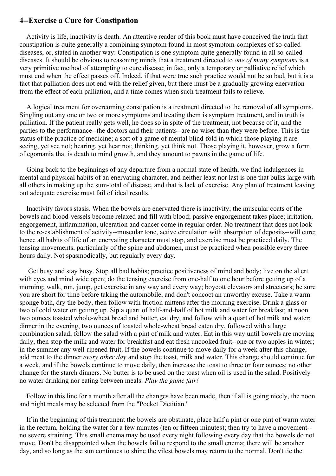### **4--Exercise a Cure for Constipation**

Activity is life, inactivity is death. An attentive reader of this book must have conceived the truth that constipation is quite generally a combining symptom found in most symptom-complexes of so-called diseases, or, stated in another way: Constipation is one symptom quite generally found in all so-called diseases. It should be obvious to reasoning minds that a treatment directed to *one of many symptoms* is a very primitive method of attempting to cure disease; in fact, only a temporary or palliative relief which must end when the effect passes off. Indeed, if that were true such practice would not be so bad, but it is a fact that palliation does not end with the relief given, but there must be a gradually growing enervation from the effect of each palliation, and a time comes when such treatment fails to relieve.

A logical treatment for overcoming constipation is a treatment directed to the removal of all symptoms. Singling out any one or two or more symptoms and treating them is symptom treatment, and in truth is palliation. If the patient really gets well, he does so in spite of the treatment, not because of it, and the parties to the performance--the doctors and their patients--are no wiser than they were before. This is the status of the practice of medicine; a sort of a game of mental blind-fold in which those playing it are seeing, yet see not; hearing, yet hear not; thinking, yet think not. Those playing it, however, grow a form of egomania that is death to mind growth, and they amount to pawns in the game of life.

Going back to the beginnings of any departure from a normal state of health, we find indulgences in mental and physical habits of an enervating character, and neither least nor last is one that bulks large with all others in making up the sum-total of disease, and that is lack of exercise. Any plan of treatment leaving out adequate exercise must fail of ideal results.

Inactivity favors stasis. When the bowels are enervated there is inactivity; the muscular coats of the bowels and blood-vessels become relaxed and fill with blood; passive engorgement takes place; irritation, engorgement, inflammation, ulceration and cancer come in regular order. No treatment that does not look to the re-establishment of activity--muscular tone, active circulation with absorption of deposits--will cure; hence all habits of life of an enervating character must stop, and exercise must be practiced daily. The tensing movements, particularly of the spine and abdomen, must be practiced when possible every three hours daily. Not spasmodically, but regularly every day.

Get busy and stay busy. Stop all bad habits; practice positiveness of mind and body; live on the al ert with eyes and mind wide open; do the tensing exercise from one-half to one hour before getting up of a morning; walk, run, jump, get exercise in any way and every way; boycott elevators and streetcars; be sure you are short for time before taking the automobile, and don't concoct an unworthy excuse. Take a warm sponge bath, dry the body, then follow with friction mittens after the morning exercise. Drink a glass or two of cold water on getting up. Sip a quart of half-and-half of hot milk and water for breakfast; at noon two ounces toasted whole-wheat bread and butter, eat dry, and follow with a quart of hot milk and water; dinner in the evening, two ounces of toasted whole-wheat bread eaten dry, followed with a large combination salad; follow the salad with a pint of milk and water. Eat in this way until bowels are moving daily, then stop the milk and water for breakfast and eat fresh uncooked fruit--one or two apples in winter; in the summer any well-ripened fruit. If the bowels continue to move daily for a week after this change, add meat to the dinner *every other day* and stop the toast, milk and water. This change should continue for a week, and if the bowels continue to move daily, then increase the toast to three or four ounces; no other change for the starch dinners. No butter is to be used on the toast when oil is used in the salad. Positively no water drinking nor eating between meals. *Play the game fair!*

Follow in this line for a month after all the changes have been made, then if all is going nicely, the noon and night meals may be selected from the "Pocket Dietitian."

If in the beginning of this treatment the bowels are obstinate, place half a pint or one pint of warm water in the rectum, holding the water for a few minutes (ten or fifteen minutes); then try to have a movement- no severe straining. This small enema may be used every night following every day that the bowels do not move. Don't be disappointed when the bowels fail to respond to the small enema; there will be another day, and so long as the sun continues to shine the vilest bowels may return to the normal. Don't tie the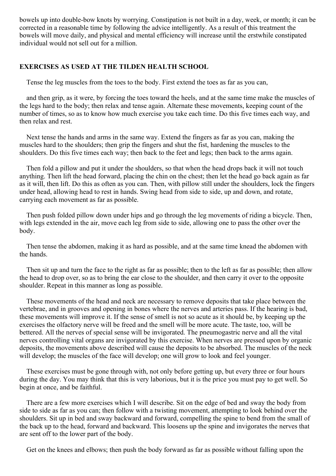bowels up into double-bow knots by worrying. Constipation is not built in a day, week, or month; it can be corrected in a reasonable time by following the advice intelligently. As a result of this treatment the bowels will move daily, and physical and mental efficiency will increase until the erstwhile constipated individual would not sell out for a million.

### **EXERCISES AS USED AT THE TILDEN HEALTH SCHOOL**

Tense the leg muscles from the toes to the body. First extend the toes as far as you can,

and then grip, as it were, by forcing the toes toward the heels, and at the same time make the muscles of the legs hard to the body; then relax and tense again. Alternate these movements, keeping count of the number of times, so as to know how much exercise you take each time. Do this five times each way, and then relax and rest.

Next tense the hands and arms in the same way. Extend the fingers as far as you can, making the muscles hard to the shoulders; then grip the fingers and shut the fist, hardening the muscles to the shoulders. Do this five times each way; then back to the feet and legs; then back to the arms again.

Then fold a pillow and put it under the shoulders, so that when the head drops back it will not touch anything. Then lift the head forward, placing the chin on the chest; then let the head go back again as far as it will, then lift. Do this as often as you can. Then, with pillow still under the shoulders, lock the fingers under head, allowing head to rest in hands. Swing head from side to side, up and down, and rotate, carrying each movement as far as possible.

Then push folded pillow down under hips and go through the leg movements of riding a bicycle. Then, with legs extended in the air, move each leg from side to side, allowing one to pass the other over the body.

Then tense the abdomen, making it as hard as possible, and at the same time knead the abdomen with the hands.

Then sit up and turn the face to the right as far as possible; then to the left as far as possible; then allow the head to drop over, so as to bring the ear close to the shoulder, and then carry it over to the opposite shoulder. Repeat in this manner as long as possible.

These movements of the head and neck are necessary to remove deposits that take place between the vertebrae, and in grooves and opening in bones where the nerves and arteries pass. If the hearing is bad, these movements will improve it. If the sense of smell is not so acute as it should be, by keeping up the exercises the olfactory nerve will be freed and the smell will be more acute. The taste, too, will be bettered. All the nerves of special sense will be invigorated. The pneumogastric nerve and all the vital nerves controlling vital organs are invigorated by this exercise. When nerves are pressed upon by organic deposits, the movements above described will cause the deposits to be absorbed. The muscles of the neck will develop; the muscles of the face will develop; one will grow to look and feel younger.

These exercises must be gone through with, not only before getting up, but every three or four hours during the day. You may think that this is very laborious, but it is the price you must pay to get well. So begin at once, and be faithful.

There are a few more exercises which I will describe. Sit on the edge of bed and sway the body from side to side as far as you can; then follow with a twisting movement, attempting to look behind over the shoulders. Sit up in bed and sway backward and forward, compelling the spine to bend from the small of the back up to the head, forward and backward. This loosens up the spine and invigorates the nerves that are sent off to the lower part of the body.

Get on the knees and elbows; then push the body forward as far as possible without falling upon the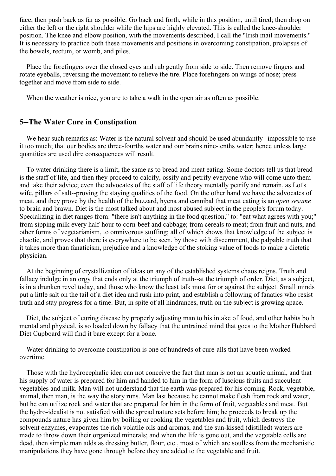face; then push back as far as possible. Go back and forth, while in this position, until tired; then drop on either the left or the right shoulder while the hips are highly elevated. This is called the knee-shoulder position. The knee and elbow position, with the movements described, I call the "Irish mail movements." It is necessary to practice both these movements and positions in overcoming constipation, prolapsus of the bowels, rectum, or womb, and piles.

Place the forefingers over the closed eyes and rub gently from side to side. Then remove fingers and rotate eyeballs, reversing the movement to relieve the tire. Place forefingers on wings of nose; press together and move from side to side.

When the weather is nice, you are to take a walk in the open air as often as possible.

### **5--The Water Cure in Constipation**

We hear such remarks as: Water is the natural solvent and should be used abundantly--impossible to use it too much; that our bodies are three-fourths water and our brains nine-tenths water; hence unless large quantities are used dire consequences will result.

To water drinking there is a limit, the same as to bread and meat eating. Some doctors tell us that bread is the staff of life, and then they proceed to calcify, ossify and petrify everyone who will come unto them and take their advice; even the advocates of the staff of life theory mentally petrify and remain, as Lot's wife, pillars of salt--proving the staying qualities of the food. On the other hand we have the advocates of meat, and they prove by the health of the buzzard, hyena and cannibal that meat eating is an *open sesame* to brain and brawn. Diet is the most talked about and most abused subject in the people's forum today. Specializing in diet ranges from: "there isn't anything in the food question," to: "eat what agrees with you;" from sipping milk every half-hour to corn-beef and cabbage; from cereals to meat; from fruit and nuts, and other forms of vegetarianism, to omnivorous stuffing; all of which shows that knowledge of the subject is chaotic, and proves that there is everywhere to be seen, by those with discernment, the palpable truth that it takes more than fanaticism, prejudice and a knowledge of the stoking value of foods to make a dietetic physician.

At the beginning of crystallization of ideas on any of the established systems chaos reigns. Truth and fallacy indulge in an orgy that ends only at the triumph of truth--at the triumph of order. Diet, as a subject, is in a drunken revel today, and those who know the least talk most for or against the subject. Small minds put a little salt on the tail of a diet idea and rush into print, and establish a following of fanatics who resist truth and stay progress for a time. But, in spite of all hindrances, truth on the subject is growing apace.

Diet, the subject of curing disease by properly adjusting man to his intake of food, and other habits both mental and physical, is so loaded down by fallacy that the untrained mind that goes to the Mother Hubbard Diet Cupboard will find it bare except for a bone.

Water drinking to overcome constipation is one of hundreds of cure-alls that have been worked overtime.

Those with the hydrocephalic idea can not conceive the fact that man is not an aquatic animal, and that his supply of water is prepared for him and handed to him in the form of luscious fruits and succulent vegetables and milk. Man will not understand that the earth was prepared for his coming. Rock, vegetable, animal, then man, is the way the story runs. Man last because he cannot make flesh from rock and water, but he can utilize rock and water that are prepared for him in the form of fruit, vegetables and meat. But the hydro-idealist is not satisfied with the spread nature sets before him; he proceeds to break up the compounds nature has given him by boiling or cooking the vegetables and fruit, which destroys the solvent enzymes, evaporates the rich volatile oils and aromas, and the sun-kissed (distilled) waters are made to throw down their organized minerals; and when the life is gone out, and the vegetable cells are dead, then simple man adds as dressing butter, flour, etc., most of which are soulless from the mechanistic manipulations they have gone through before they are added to the vegetable and fruit.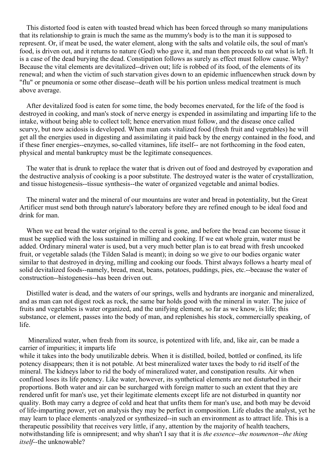This distorted food is eaten with toasted bread which has been forced through so many manipulations that its relationship to grain is much the same as the mummy's body is to the man it is supposed to represent. Or, if meat be used, the water element, along with the salts and volatile oils, the soul of man's food, is driven out, and it returns to nature (God) who gave it, and man then proceeds to eat what is left. It is a case of the dead burying the dead. Constipation follows as surely as effect must follow cause. Why? Because the vital elements are devitalized--driven out; life is robbed of its food, of the elements of its renewal; and when the victim of such starvation gives down to an epidemic influencewhen struck down by "flu" or pneumonia or some other disease--death will be his portion unless medical treatment is much above average.

After devitalized food is eaten for some time, the body becomes enervated, for the life of the food is destroyed in cooking, and man's stock of nerve energy is expended in assimilating and imparting life to the intake, without being able to collect toll; hence enervation must follow, and the disease once called scurvy, but now acidosis is developed. When man eats vitalized food (fresh fruit and vegetables) he will get all the energies used in digesting and assimilating it paid back by the energy contained in the food, and if these finer energies--enzymes, so-called vitamines, life itself-- are not forthcoming in the food eaten, physical and mental bankruptcy must be the legitimate consequences.

The water that is drunk to replace the water that is driven out of food and destroyed by evaporation and the destructive analysis of cooking is a poor substitute. The destroyed water is the water of crystallization, and tissue histogenesis--tissue synthesis--the water of organized vegetable and animal bodies.

The mineral water and the mineral of our mountains are water and bread in potentiality, but the Great Artificer must send both through nature's laboratory before they are refined enough to be ideal food and drink for man.

When we eat bread the water original to the cereal is gone, and before the bread can become tissue it must be supplied with the loss sustained in milling and cooking. If we eat whole grain, water must be added. Ordinary mineral water is used, but a very much better plan is to eat bread with fresh uncooked fruit, or vegetable salads (the Tilden Salad is meant); in doing so we give to our bodies organic water similar to that destroyed in drying, milling and cooking our foods. Thirst always follows a hearty meal of solid devitalized foods--namely, bread, meat, beans, potatoes, puddings, pies, etc.--because the water of construction--histogenesis--has been driven out.

Distilled water is dead, and the waters of our springs, wells and hydrants are inorganic and mineralized, and as man can not digest rock as rock, the same bar holds good with the mineral in water. The juice of fruits and vegetables is water organized, and the unifying element, so far as we know, is life; this substance, or element, passes into the body of man, and replenishes his stock, commercially speaking, of life.

Mineralized water, when fresh from its source, is potentized with life, and, like air, can be made a carrier of impurities; it imparts life while it takes into the body unutilizable debris. When it is distilled, boiled, bottled or confined, its life potency disappears; then it is not potable. At best mineralized water taxes the body to rid itself of the mineral. The kidneys labor to rid the body of mineralized water, and constipation results. Air when confined loses its life potency. Like water, however, its synthetical elements are not disturbed in their proportions. Both water and air can be surcharged with foreign matter to such an extent that they are rendered unfit for man's use, yet their legitimate elements except life are not disturbed in quantity nor quality. Both may carry a degree of cold and heat that unfits them for man's use, and both may be devoid of life-imparting power, yet on analysis they may be perfect in composition. Life eludes the analyst, yet he may learn to place elements -analyzed or synthesized--in such an environment as to attract life. This is a therapeutic possibility that receives very little, if any, attention by the majority of health teachers, notwithstanding life is omnipresent; and why shan't I say that it is *the essence--the noumenon--the thing itself--*the unknowable?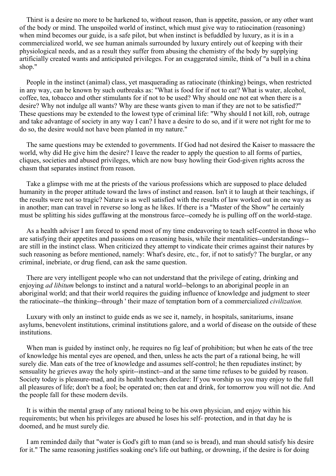Thirst is a desire no more to be harkened to, without reason, than is appetite, passion, or any other want of the body or mind. The unspoiled world of instinct, which must give way to ratiocination (reasoning) when mind becomes our guide, is a safe pilot, but when instinct is befuddled by luxury, as it is in a commercialized world, we see human animals surrounded by luxury entirely out of keeping with their physiological needs, and as a result they suffer from abusing the chemistry of the body by supplying artificially created wants and anticipated privileges. For an exaggerated simile, think of "a bull in a china shop."

People in the instinct (animal) class, yet masquerading as ratiocinate (thinking) beings, when restricted in any way, can be known by such outbreaks as: "What is food for if not to eat? What is water, alcohol, coffee, tea, tobacco and other stimulants for if not to be used? Why should one not eat when there is a desire? Why not indulge all wants? Why are these wants given to man if they are not to be satisfied?" These questions may be extended to the lowest type of criminal life: "Why should I not kill, rob, outrage and take advantage of society in any way I can? I have a desire to do so, and if it were not right for me to do so, the desire would not have been planted in my nature."

The same questions may be extended to governments. If God had not desired the Kaiser to massacre the world, why did He give him the desire? I leave the reader to apply the question to all forms of parties, cliques, societies and abused privileges, which are now busy howling their God-given rights across the chasm that separates instinct from reason.

Take a glimpse with me at the priests of the various professions which are supposed to place deluded humanity in the proper attitude toward the laws of instinct and reason. Isn't it to laugh at their teachings, if the results were not so tragic? Nature is as well satisfied with the results of law worked out in one way as in another; man can travel in reverse so long as he likes. If there is a "Master of the Show" he certainly must be splitting his sides guffawing at the monstrous farce--comedy he is pulling off on the world-stage.

As a health adviser I am forced to spend most of my time endeavoring to teach self-control in those who are satisfying their appetites and passions on a reasoning basis, while their mentalities--understandings- are still in the instinct class. When criticized they attempt to vindicate their crimes against their natures by such reasoning as before mentioned, namely: What's desire, etc., for, if not to satisfy? The burglar, or any criminal, inebriate, or drug fiend, can ask the same question.

There are very intelligent people who can not understand that the privilege of eating, drinking and enjoying *ad libitum* belongs to instinct and a natural world--belongs to an aboriginal people in an aboriginal world; and that their world requires the guiding influence of knowledge and judgment to steer the ratiocinate--the thinking--through ' their maze of temptation born of a commercialized *civilization.*

Luxury with only an instinct to guide ends as we see it, namely, in hospitals, sanitariums, insane asylums, benevolent institutions, criminal institutions galore, and a world of disease on the outside of these institutions.

When man is guided by instinct only, he requires no fig leaf of prohibition; but when he eats of the tree of knowledge his mental eyes are opened, and then, unless he acts the part of a rational being, he will surely die. Man eats of the tree of knowledge and assumes self-control; he then repudiates instinct; by sensuality he grieves away the holy spirit--instinct--and at the same time refuses to be guided by reason. Society today is pleasure-mad, and its health teachers declare: If you worship us you may enjoy to the full all pleasures of life; don't be a fool; be operated on; then eat and drink, for tomorrow you will not die. And the people fall for these modern devils.

It is within the mental grasp of any rational being to be his own physician, and enjoy within his requirements; but when his privileges are abused he loses his self- protection, and in that day he is doomed, and he must surely die.

I am reminded daily that "water is God's gift to man (and so is bread), and man should satisfy his desire for it." The same reasoning justifies soaking one's life out bathing, or drowning, if the desire is for doing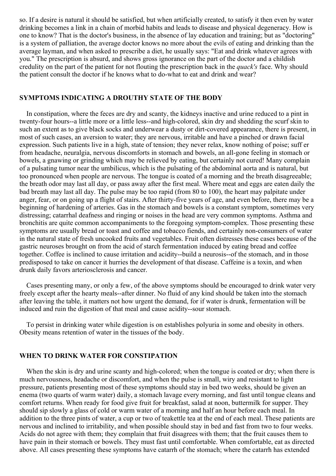so. If a desire is natural it should be satisfied, but when artificially created, to satisfy it then even by water drinking becomes a link in a chain of morbid habits and leads to disease and physical degeneracy. How is one to know? That is the doctor's business, in the absence of lay education and training; but as "doctoring" is a system of palliation, the average doctor knows no more about the evils of eating and drinking than the average layman, and when asked to prescribe a diet, he usually says: "Eat and drink whatever agrees with you." The prescription is absurd, and shows gross ignorance on the part of the doctor and a childish credulity on the part of the patient for not flouting the prescription back in the *quack's* face. Why should the patient consult the doctor if he knows what to do-what to eat and drink and wear?

### **SYMPTOMS INDICATING A DROUTHY STATE OF THE BODY**

In constipation, where the feces are dry and scanty, the kidneys inactive and urine reduced to a pint in twenty-four hours--a little more or a little less--and high-colored, skin dry and shedding the scurf skin to such an extent as to give black socks and underwear a dusty or dirt-covered appearance, there is present, in most of such cases, an aversion to water; they are nervous, irritable and have a pinched or drawn facial expression. Such patients live in a high, state of tension; they never relax, know nothing of poise; suff er from headache, neuralgia, nervous discomforts in stomach and bowels, an all-gone feeling in stomach or bowels, a gnawing or grinding which may be relieved by eating, but certainly not cured! Many complain of a pulsating tumor near the umbilicus, which is the pulsating of the abdominal aorta and is natural, but too pronounced when people are nervous. The tongue is coated of a morning and the breath disagreeable; the breath odor may last all day, or pass away after the first meal. Where meat and eggs are eaten daily the bad breath may last all day. The pulse may be too rapid (from 80 to 100), the heart may palpitate under anger, fear, or on going up a flight of stairs. After thirty-five years of age, and even before, there may be a beginning of hardening of arteries. Gas in the stomach and bowels is a constant symptom, sometimes very distressing; catarrhal deafness and ringing or noises in the head are very common symptoms. Asthma and bronchitis are quite common accompaniments to the foregoing symptom-complex. Those presenting these symptoms are usually bread or toast and coffee and tobacco fiends, and certainly non-consumers of water in the natural state of fresh uncooked fruits and vegetables. Fruit often distresses these cases because of the gastric neuroses brought on from the acid of starch fermentation induced by eating bread and coffee together. Coffee is inclined to cause irritation and acidity--build a neurosis--of the stomach, and in those predisposed to take on cancer it hurries the development of that disease. Caffeine is a toxin, and when drunk daily favors arteriosclerosis and cancer.

Cases presenting many, or only a few, of the above symptoms should be encouraged to drink water very freely except after the hearty meals--after dinner. No fluid of any kind should be taken into the stomach after leaving the table, it matters not how urgent the demand, for if water is drunk, fermentation will be induced and ruin the digestion of that meal and cause acidity--sour stomach.

To persist in drinking water while digestion is on establishes polyuria in some and obesity in others. Obesity means retention of water in the tissues of the body.

### **WHEN TO DRINK WATER FOR CONSTIPATION**

When the skin is dry and urine scanty and high-colored; when the tongue is coated or dry; when there is much nervousness, headache or discomfort, and when the pulse is small, wiry and resistant to light pressure, patients presenting most of these symptoms should stay in bed two weeks, should be given an enema (two quarts of warm water) daily, a stomach lavage every morning, and fast until tongue cleans and comfort returns. When ready for food give fruit for breakfast, salad at noon, buttermilk for supper. They should sip slowly a glass of cold or warm water of a morning and half an hour before each meal. In addition to the three pints of water, a cup or two of teakettle tea at the end of each meal. These patients are nervous and inclined to irritability, and when possible should stay in bed and fast from two to four weeks. Acids do not agree with them; they complain that fruit disagrees with them; that the fruit causes them to have pain in their stomach or bowels. They must fast until comfortable. When comfortable, eat as directed above. All cases presenting these symptoms have catarrh of the stomach; where the catarrh has extended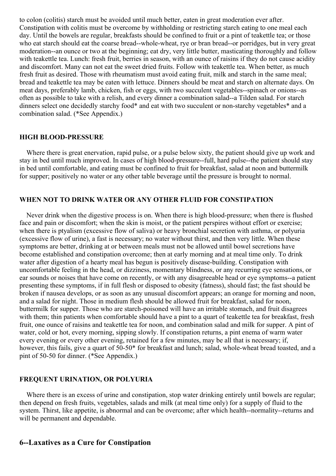to colon (colitis) starch must be avoided until much better, eaten in great moderation ever after. Constipation with colitis must be overcome by withholding or restricting starch eating to one meal each day. Until the bowels are regular, breakfasts should be confined to fruit or a pint of teakettle tea; or those who eat starch should eat the coarse bread--whole-wheat, rye or bran bread--or porridges, but in very great moderation--an ounce or two at the beginning; eat dry, very little butter, masticating thoroughly and follow with teakettle tea. Lunch: fresh fruit, berries in season, with an ounce of raisins if they do not cause acidity and discomfort. Many can not eat the sweet dried fruits. Follow with teakettle tea. When better, as much fresh fruit as desired. Those with rheumatism must avoid eating fruit, milk and starch in the same meal; bread and teakettle tea may be eaten with lettuce. Dinners should be meat and starch on alternate days. On meat days, preferably lamb, chicken, fish or eggs, with two succulent vegetables--spinach or onions--as often as possible to take with a relish, and every dinner a combination salad--a Tilden salad. For starch dinners select one decidedly starchy food\* and eat with two succulent or non-starchy vegetables\* and a combination salad. (\*See Appendix.)

### **HIGH BLOOD-PRESSURE**

Where there is great enervation, rapid pulse, or a pulse below sixty, the patient should give up work and stay in bed until much improved. In cases of high blood-pressure--full, hard pulse--the patient should stay in bed until comfortable, and eating must be confined to fruit for breakfast, salad at noon and buttermilk for supper; positively no water or any other table beverage until the pressure is brought to normal.

### **WHEN NOT TO DRINK WATER OR ANY OTHER FLUID FOR CONSTIPATION**

Never drink when the digestive process is on. When there is high blood-pressure; when there is flushed face and pain or discomfort; when the skin is moist, or the patient perspires without effort or exercise; when there is ptyalism (excessive flow of saliva) or heavy bronchial secretion with asthma, or polyuria (excessive flow of urine), a fast is necessary; no water without thirst, and then very little. When these symptoms are better, drinking at or between meals must not be allowed until bowel secretions have become established and constipation overcome; then at early morning and at meal time only. To drink water after digestion of a hearty meal has begun is positively disease-building. Constipation with uncomfortable feeling in the head, or dizziness, momentary blindness, or any recurring eye sensations, or ear sounds or noises that have come on recently, or with any disagreeable head or eye symptoms--a patient presenting these symptoms, if in full flesh or disposed to obesity (fatness), should fast; the fast should be broken if nausea develops, or as soon as any unusual discomfort appears; an orange for morning and noon, and a salad for night. Those in medium flesh should be allowed fruit for breakfast, salad for noon, buttermilk for supper. Those who are starch-poisoned will have an irritable stomach, and fruit disagrees with them; thin patients when comfortable should have a pint to a quart of teakettle tea for breakfast, fresh fruit, one ounce of raisins and teakettle tea for noon, and combination salad and milk for supper. A pint of water, cold or hot, every morning, sipping slowly. If constipation returns, a pint enema of warm water every evening or every other evening, retained for a few minutes, may be all that is necessary; if, however, this fails, give a quart of 50-50<sup>\*</sup> for breakfast and lunch; salad, whole-wheat bread toasted, and a pint of 50-50 for dinner. (\*See Appendix.)

#### **FREQUENT URINATION, OR POLYURIA**

Where there is an excess of urine and constipation, stop water drinking entirely until bowels are regular; then depend on fresh fruits, vegetables, salads and milk (at meal time only) for a supply of fluid to the system. Thirst, like appetite, is abnormal and can be overcome; after which health--normality--returns and will be permanent and dependable.

### **6--Laxatives as a Cure for Constipation**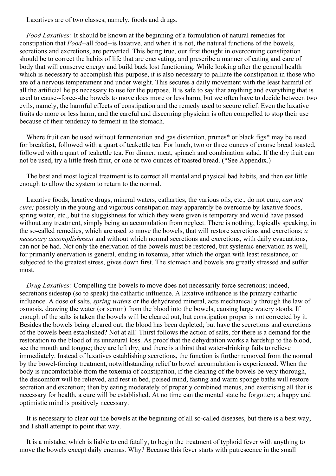Laxatives are of two classes, namely, foods and drugs.

*Food Laxatives:* It should be known at the beginning of a formulation of natural remedies for constipation that *Food--*all food--is laxative, and when it is not, the natural functions of the bowels, secretions and excretions, are perverted. This being true, our first thought in overcoming constipation should be to correct the habits of life that are enervating, and prescribe a manner of eating and care of body that will conserve energy and build back lost functioning. While looking after the general health which is necessary to accomplish this purpose, it is also necessary to palliate the constipation in those who are of a nervous temperament and under weight. This secures a daily movement with the least harmful of all the artificial helps necessary to use for the purpose. It is safe to say that anything and everything that is used to cause--force--the bowels to move does more or less harm, but we often have to decide between two evils, namely, the harmful effects of constipation and the remedy used to secure relief. Even the laxative fruits do more or less harm, and the careful and discerning physician is often compelled to stop their use because of their tendency to ferment in the stomach.

Where fruit can be used without fermentation and gas distention, prunes<sup>\*</sup> or black figs<sup>\*</sup> may be used for breakfast, followed with a quart of teakettle tea. For lunch, two or three ounces of coarse bread toasted, followed with a quart of teakettle tea. For dinner, meat, spinach and combination salad. If the dry fruit can not be used, try a little fresh fruit, or one or two ounces of toasted bread. (\*See Appendix.)

The best and most logical treatment is to correct all mental and physical bad habits, and then eat little enough to allow the system to return to the normal.

Laxative foods, laxative drugs, mineral waters, cathartics, the various oils, etc., do not cure, *can not cure;* possibly in the young and vigorous constipation may apparently be overcome by laxative foods, spring water, etc., but the sluggishness for which they were given is temporary and would have passed without any treatment, simply being an accumulation from neglect. There is nothing, logically speaking, in the so-called remedies, which are used to move the bowels, that will restore secretions and excretions; *a necessary accomplishment* and without which normal secretions and excretions, with daily evacuations, can not be had. Not only the enervation of the bowels must be restored, but systemic enervation as well, for primarily enervation is general, ending in toxemia, after which the organ with least resistance, or subjected to the greatest stress, gives down first. The stomach and bowels are greatly stressed and suffer most.

*Drug Laxatives:* Compelling the bowels to move does not necessarily force secretions; indeed, secretions sidestep (so to speak) the cathartic influence. A laxative influence is the primary cathartic influence. A dose of salts, *spring waters* or the dehydrated mineral, acts mechanically through the law of osmosis, drawing the water (or serum) from the blood into the bowels, causing large watery stools. If enough of the salts is taken the bowels will be cleared out, but constipation proper is not corrected by it. Besides the bowels being cleared out, the blood has been depleted; but have the secretions and excretions of the bowels been established? Not at all! Thirst follows the action of salts, for there is a demand for the restoration to the blood of its unnatural loss. As proof that the dehydration works a hardship to the blood, see the mouth and tongue; they are left dry, and there is a thirst that water-drinking fails to relieve immediately. Instead of laxatives establishing secretions, the function is further removed from the normal by the bowel-forcing treatment, notwithstanding relief to bowel accumulation is experienced. When the body is uncomfortable from the toxemia of constipation, if the clearing of the bowels be very thorough, the discomfort will be relieved, and rest in bed, poised mind, fasting and warm sponge baths will restore secretion and excretion; then by eating moderately of properly combined menus, and exercising all that is necessary for health, a cure will be established. At no time can the mental state be forgotten; a happy and optimistic mind is positively necessary.

It is necessary to clear out the bowels at the beginning of all so-called diseases, but there is a best way, and I shall attempt to point that way.

It is a mistake, which is liable to end fatally, to begin the treatment of typhoid fever with anything to move the bowels except daily enemas. Why? Because this fever starts with putrescence in the small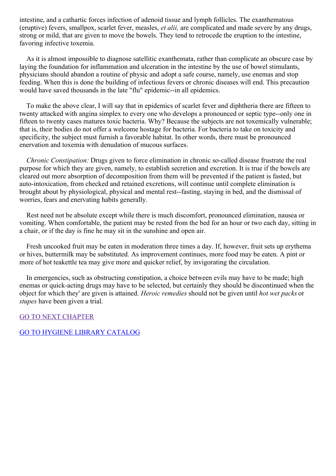intestine, and a cathartic forces infection of adenoid tissue and lymph follicles. The exanthematous (eruptive) fevers, smallpox, scarlet fever, measles, *et alii,* are complicated and made severe by any drugs, strong or mild, that are given to move the bowels. They tend to retrocede the eruption to the intestine, favoring infective toxemia.

As it is almost impossible to diagnose satellitic exanthemata, rather than complicate an obscure case by laying the foundation for inflammation and ulceration in the intestine by the use of bowel stimulants, physicians should abandon a routine of physic and adopt a safe course, namely, use enemas and stop feeding. When this is done the building of infectious fevers or chronic diseases will end. This precaution would have saved thousands in the late "flu" epidemic--in all epidemics.

To make the above clear, I will say that in epidemics of scarlet fever and diphtheria there are fifteen to twenty attacked with angina simplex to every one who develops a pronounced or septic type--only one in fifteen to twenty cases matures toxic bacteria. Why? Because the subjects are not toxemically vulnerable; that is, their bodies do not offer a welcome hostage for bacteria. For bacteria to take on toxicity and specificity, the subject must furnish a favorable habitat. In other words, there must be pronounced enervation and toxemia with denudation of mucous surfaces.

*Chronic Constipation:* Drugs given to force elimination in chronic so-called disease frustrate the real purpose for which they are given, namely, to establish secretion and excretion. It is true if the bowels are cleared out more absorption of decomposition from them will be prevented if the patient is fasted, but auto-intoxication, from checked and retained excretions, will continue until complete elimination is brought about by physiological, physical and mental rest--fasting, staying in bed, and the dismissal of worries, fears and enervating habits generally.

Rest need not be absolute except while there is much discomfort, pronounced elimination, nausea or vomiting. When comfortable, the patient may be rested from the bed for an hour or two each day, sitting in a chair, or if the day is fine he may sit in the sunshine and open air.

Fresh uncooked fruit may be eaten in moderation three times a day. If, however, fruit sets up erythema or hives, buttermilk may be substituted. As improvement continues, more food may be eaten. A pint or more of hot teakettle tea may give more and quicker relief, by invigorating the circulation.

In emergencies, such as obstructing constipation, a choice between evils may have to be made; high enemas or quick-acting drugs may have to be selected, but certainly they should be discontinued when the object for which they' are given is attained. *Heroic remedies* should not be given until *hot wet packs* or *stupes* have been given a trial.

GO TO NEXT [CHAPTER](#page-57-0)

### GO TO HYGIENE LIBRARY [CATALOG](../0201hyglibcat.html)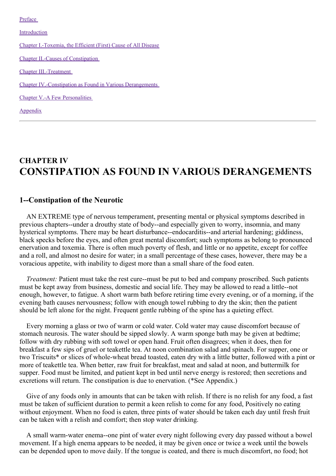[Preface](#page-3-0)

[Introduction](#page-9-0)

Chapter [I.-Toxemia,](#page-17-0) the Efficient (First) Cause of All Disease

Chapter II.-Causes of [Constipation](#page-27-0)

Chapter [III.-Treatment](#page-41-0)

Chapter [IV.-Constipation](#page-57-0) as Found in Various Derangements

Chapter V.-A Few [Personalities](#page-65-0)

[Appendix](#page-67-0)

# **CHAPTER IV CONSTIPATION AS FOUND IN VARIOUS DERANGEMENTS**

### **1--Constipation of the Neurotic**

AN EXTREME type of nervous temperament, presenting mental or physical symptoms described in previous chapters--under a drouthy state of body--and especially given to worry, insomnia, and many hysterical symptoms. There may be heart disturbance--endocarditis--and arterial hardening; giddiness, black specks before the eyes, and often great mental discomfort; such symptoms as belong to pronounced enervation and toxemia. There is often much poverty of flesh, and little or no appetite, except for coffee and a roll, and almost no desire for water; in a small percentage of these cases, however, there may be a voracious appetite, with inability to digest more than a small share of the food eaten.

*Treatment:* Patient must take the rest cure--must be put to bed and company proscribed. Such patients must be kept away from business, domestic and social life. They may be allowed to read a little--not enough, however, to fatigue. A short warm bath before retiring time every evening, or of a morning, if the evening bath causes nervousness; follow with enough towel rubbing to dry the skin; then the patient should be left alone for the night. Frequent gentle rubbing of the spine has a quieting effect.

Every morning a glass or two of warm or cold water. Cold water may cause discomfort because of stomach neurosis. The water should be sipped slowly. A warm sponge bath may be given at bedtime; follow with dry rubbing with soft towel or open hand. Fruit often disagrees; when it does, then for breakfast a few sips of gruel or teakettle tea. At noon combination salad and spinach. For supper, one or two Triscuits\* or slices of whole-wheat bread toasted, eaten dry with a little butter, followed with a pint or more of teakettle tea. When better, raw fruit for breakfast, meat and salad at noon, and buttermilk for supper. Food must be limited, and patient kept in bed until nerve energy is restored; then secretions and excretions will return. The constipation is due to enervation. (\*See Appendix.)

Give of any foods only in amounts that can be taken with relish. If there is no relish for any food, a fast must be taken of sufficient duration to permit a keen relish to come for any food, Positively no eating without enjoyment. When no food is eaten, three pints of water should be taken each day until fresh fruit can be taken with a relish and comfort; then stop water drinking.

A small warm-water enema--one pint of water every night following every day passed without a bowel movement. If a high enema appears to be needed, it may be given once or twice a week until the bowels can be depended upon to move daily. If the tongue is coated, and there is much discomfort, no food; hot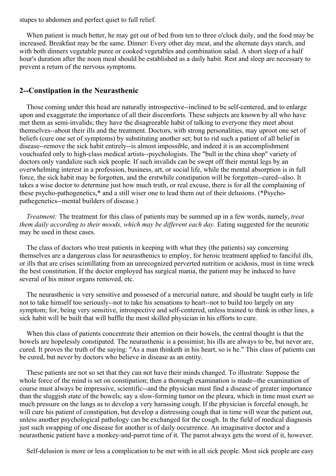stupes to abdomen and perfect quiet to full relief.

When patient is much better, he may get out of bed from ten to three o'clock daily, and the food may be increased. Breakfast may be the same. Dinner: Every other day meat, and the alternate days starch, and with both dinners vegetable puree or cooked vegetables and combination salad. A short sleep of a half hour's duration after the noon meal should be established as a daily habit. Rest and sleep are necessary to prevent a return of the nervous symptoms.

# **2--Constipation in the Neurasthenic**

Those coming under this head are naturally introspective--inclined to be self-centered, and to enlarge upon and exaggerate the importance of all their discomforts. These subjects are known by all who have met them as semi-invalids; they have the disagreeable habit of talking to everyone they meet about themselves--about their ills and the treatment. Doctors, with strong personalities, may uproot one set of beliefs (cure one set of symptoms) by substituting another set; but to rid such a patient of all belief in disease--remove the sick habit entirely--is almost impossible, and indeed it is an accomplishment vouchsafed only to high-class medical artists--psychologists. The "bull in the china shop" variety of doctors only vandalize such sick people. If such invalids can be swept off their mental legs by an overwhelming interest in a profession, business, art, or social life, while the mental absorption is in full force, the sick habit may be forgotten, and the erstwhile constipation will be forgotten--cured--also. It takes a wise doctor to determine just how much truth, or real excuse, there is for all the complaining of these psycho-pathogenetics,\* and a still wiser one to lead them out of their delusions. (\*Psychopathegenetics--mental builders of disease.)

*Treatment:* The treatment for this class of patients may be summed up in a few words, namely, *treat them daily according to their moods, which may be dif erent each day.* Eating suggested for the neurotic may be used in these cases.

The class of doctors who treat patients in keeping with what they (the patients) say concerning themselves are a dangerous class for neurasthenics to employ, for heroic treatment applied to fanciful ills, or ills that are crises scintillating from an unrecognized perverted nutrition or acidosis, must in time wreck the best constitution. If the doctor employed has surgical mania, the patient may be induced to have several of his minor organs removed, etc.

The neurasthenic is very sensitive and possesed of a mercurial nature, and should be taught early in life not to take himself too seriously--not to take his sensations to heart--not to build too largely on any symptom; for, being very sensitive, introspective and self-centered, unless trained to think in other lines, a sick habit will be built that will baffle the most skilled physician in his efforts to cure.

When this class of patients concentrate their attention on their bowels, the central thought is that the bowels are hopelessly constipated. The neurasthenic is a pessimist; his ills are always to be, but never are, cured. It proves the truth of the saying: "As a man thinketh in his heart, so is he." This class of patients can be cured, but never by doctors who believe in disease as an entity.

These patients are not so set that they can not have their minds changed. To illustrate: Suppose the whole force of the mind is set on constipation; then a thorough examination is made--the examination of course must always be impressive, scientific--and the physician must find a disease of greater importance than the sluggish state of the bowels; say a slow-forming tumor on the pleura, which in time must exert so much pressure on the lungs as to develop a very harassing cough. If the physician is forceful enough, he will cure his patient of constipation, but develop a distressing cough that in time will wear the patient out, unless another psychological pathology can be exchanged for the cough. In the field of medical diagnosis just such swapping of one disease for another is of daily occurrence. An imaginative doctor and a neurasthenic patient have a monkey-and-parrot time of it. The parrot always gets the worst of it, however.

Self-delusion is more or less a complication to be met with in all sick people. Most sick people are easy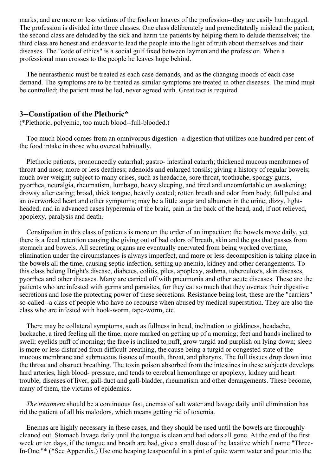marks, and are more or less victims of the fools or knaves of the profession--they are easily humbugged. The profession is divided into three classes. One class deliberately and premeditatedly mislead the patient; the second class are deluded by the sick and harm the patients by helping them to delude themselves; the third class are honest and endeavor to lead the people into the light of truth about themselves and their diseases. The "code of ethics" is a social gulf fixed between laymen and the profession. When a professional man crosses to the people he leaves hope behind.

The neurasthenic must be treated as each case demands, and as the changing moods of each case demand. The symptoms are to be treated as similar symptoms are treated in other diseases. The mind must be controlled; the patient must be led, never agreed with. Great tact is required.

### **3--Constipation of the Plethoric\***

(\*Plethoric, polyemic, too much blood--full-blooded.)

Too much blood comes from an omnivorous digestion--a digestion that utilizes one hundred per cent of the food intake in those who overeat habitually.

Plethoric patients, pronouncedly catarrhal; gastro- intestinal catarrh; thickened mucous membranes of throat and nose; more or less deafness; adenoids and enlarged tonsils; giving a history of regular bowels; much over weight; subject to many crises, such as headache, sore throat, toothache, spongy gums, pyorrhea, neuralgia, rheumatism, lumbago, heavy sleeping, and tired and uncomfortable on awakening; drowsy after eating; broad, thick tongue, heavily coated; rotten breath and odor from body; full pulse and an overworked heart and other symptoms; may be a little sugar and albumen in the urine; dizzy, lightheaded; and in advanced cases hyperemia of the brain, pain in the back of the head, and, if not relieved, apoplexy, paralysis and death.

Constipation in this class of patients is more on the order of an impaction; the bowels move daily, yet there is a fecal retention causing the giving out of bad odors of breath, skin and the gas that passes from stomach and bowels. All secreting organs are eventually enervated from being worked overtime, elimination under the circumstances is always imperfect, and more or less decomposition is taking place in the bowels all the time, causing septic infection, setting up anemia, kidney and other derangements. To this class belong Bright's disease, diabetes, colitis, piles, apoplexy, asthma, tuberculosis, skin diseases, pyorrhea and other diseases. Many are carried off with pneumonia and other acute diseases. These are the patients who are infested with germs and parasites, for they eat so much that they overtax their digestive secretions and lose the protecting power of these secretions. Resistance being lost, these are the "carriers" so-called--a class of people who have no recourse when abused by medical superstition. They are also the class who are infested with hook-worm, tape-worm, etc.

There may be collateral symptoms, such as fullness in head, inclination to giddiness, headache, backache, a tired feeling all the time, more marked on getting up of a morning; feet and hands inclined to swell; eyelids puff of morning; the face is inclined to puff, grow turgid and purplish on lying down; sleep is more or less disturbed from difficult breathing, the cause being a turgid or congested state of the mucous membrane and submucous tissues of mouth, throat, and pharynx. The full tissues drop down into the throat and obstruct breathing. The toxin poison absorbed from the intestines in these subjects develops hard arteries, high blood- pressure, and tends to cerebral hemorrhage or apoplexy, kidney and heart trouble, diseases of liver, gall-duct and gall-bladder, rheumatism and other derangements. These become, many of them, the victims of epidemics.

*The treatment* should be a continuous fast, enemas of salt water and lavage daily until elimination has rid the patient of all his malodors, which means getting rid of toxemia.

Enemas are highly necessary in these cases, and they should be used until the bowels are thoroughly cleaned out. Stomach lavage daily until the tongue is clean and bad odors all gone. At the end of the first week or ten days, if the tongue and breath are bad, give a small dose of the laxative which I name "Three-In-One."\* (\*See Appendix.) Use one heaping teaspoonful in a pint of quite warm water and pour into the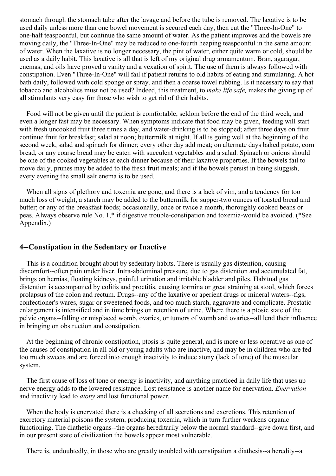stomach through the stomach tube after the lavage and before the tube is removed. The laxative is to be used daily unless more than one bowel movement is secured each day, then cut the "Three-In-One" to one-half teaspoonful, but continue the same amount of water. As the patient improves and the bowels are moving daily, the "Three-In-One" may be reduced to one-fourth heaping teaspoonful in the same amount of water. When the laxative is no longer necessary, the pint of water, either quite warm or cold, should be used as a daily habit. This laxative is all that is left of my original drug armamentum. Bran, agaragar, enemas, and oils have proved a vanity and a vexation of spirit. The use of them is always followed with constipation. Even "Three-In-One" will fail if patient returns to old habits of eating and stimulating. A hot bath daily, followed with cold sponge or spray, and then a coarse towel rubbing. Is it necessary to say that tobacco and alcoholics must not be used? Indeed, this treatment, to *make life safe,* makes the giving up of all stimulants very easy for those who wish to get rid of their habits.

Food will not be given until the patient is comfortable, seldom before the end of the third week, and even a longer fast may be necessary. When symptoms indicate that food may be given, feeding will start with fresh uncooked fruit three times a day, and water-drinking is to be stopped; after three days on fruit continue fruit for breakfast; salad at noon; buttermilk at night. If all is going well at the beginning of the second week, salad and spinach for dinner; every other day add meat; on alternate days baked potato, corn bread, or any coarse bread may be eaten with succulent vegetables and a salad. Spinach or onions should be one of the cooked vegetables at each dinner because of their laxative properties. If the bowels fail to move daily, prunes may be added to the fresh fruit meals; and if the bowels persist in being sluggish, every evening the small salt enema is to be used.

When all signs of plethory and toxemia are gone, and there is a lack of vim, and a tendency for too much loss of weight, a starch may be added to the buttermilk for supper-two ounces of toasted bread and butter; or any of the breakfast foods; occasionally, once or twice a month, thoroughly cooked beans or peas. Always observe rule No. 1,\* if digestive trouble-constipation and toxemia-would be avoided. (\*See Appendix.)

# **4--Constipation in the Sedentary or Inactive**

This is a condition brought about by sedentary habits. There is usually gas distention, causing discomfort--often pain under liver. Intra-abdominal pressure, due to gas distention and accumulated fat, brings on hernias, floating kidneys, painful urination and irritable bladder and piles. Habitual gas distention is accompanied by colitis and proctitis, causing tormina or great straining at stool, which forces prolapsus of the colon and rectum. Drugs--any of the laxative or aperient drugs or mineral waters--figs, confectioner's wares, sugar or sweetened foods, and too much starch, aggravate and complicate. Prostatic enlargement is intensified and in time brings on retention of urine. Where there is a ptosic state of the pelvic organs--falling or misplaced womb, ovaries, or tumors of womb and ovaries--all lend their influence in bringing on obstruction and constipation.

At the beginning of chronic constipation, ptosis is quite general, and is more or less operative as one of the causes of constipation in all old or young adults who are inactive, and may be in children who are fed too much sweets and are forced into enough inactivity to induce atony (lack of tone) of the muscular system.

The first cause of loss of tone or energy is inactivity, and anything practiced in daily life that uses up nerve energy adds to the lowered resistance. Lost resistance is another name for enervation. *Enervation* and inactivity lead to *atony* and lost functional power.

When the body is enervated there is a checking of all secretions and excretions. This retention of excretory material poisons the system, producing toxemia, which in turn further weakens organic functioning. The diathetic organs--the organs hereditarily below the normal standard--give down first, and in our present state of civilization the bowels appear most vulnerable.

There is, undoubtedly, in those who are greatly troubled with constipation a diathesis--a heredity--a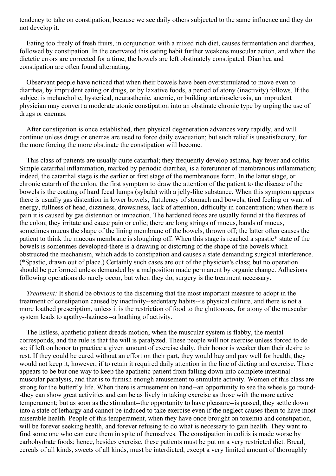tendency to take on constipation, because we see daily others subjected to the same influence and they do not develop it.

Eating too freely of fresh fruits, in conjunction with a mixed rich diet, causes fermentation and diarrhea, followed by constipation. In the enervated this eating habit further weakens muscular action, and when the dietetic errors are corrected for a time, the bowels are left obstinately constipated. Diarrhea and constipation are often found alternating.

Observant people have noticed that when their bowels have been overstimulated to move even to diarrhea, by imprudent eating or drugs, or by laxative foods, a period of atony (inactivity) follows. If the subject is melancholic, hysterical, neurasthenic, anemic, or building arteriosclerosis, an imprudent physician may convert a moderate atonic constipation into an obstinate chronic type by urging the use of drugs or enemas.

After constipation is once established, then physical degeneration advances very rapidly, and will continue unless drugs or enemas are used to force daily evacuation; but such relief is unsatisfactory, for the more forcing the more obstinate the constipation will become.

This class of patients are usually quite catarrhal; they frequently develop asthma, hay fever and colitis. Simple catarrhal inflammation, marked by periodic diarrhea, is a forerunner of membranous inflammation; indeed, the catarrhal stage is the earlier or first stage of the membranous form. In the latter stage, or chronic catarrh of the colon, the first symptom to draw the attention of the patient to the disease of the bowels is the coating of hard fecal lumps (sybala) with a jelly-like substance. When this symptom appears there is usually gas distention in lower bowels, flatulency of stomach and bowels, tired feeling or want of energy, fullness of head, dizziness, drowsiness, lack of attention, difficulty in concentration; when there is pain it is caused by gas distention or impaction. The hardened feces are usually found at the flexures of the colon; they irritate and cause pain or colic; there are long strings of mucus, bands of mucus, sometimes mucus the shape of the lining membrane of the bowels, thrown off; the latter often causes the patient to think the mucous membrane is sloughing off. When this stage is reached a spastic\* state of the bowels is sometimes developed-there is a drawing or distorting of the shape of the bowels which obstructed the mechanism, which adds to constipation and causes a state demanding surgical interference. (\*Spastic, drawn out of place.) Certainly such cases are out of the physician's class; but no operation should be performed unless demanded by a malposition made permanent by organic change. Adhesions following operations do rarely occur, but when they do, surgery is the treatment necessary.

*Treatment:* It should be obvious to the discerning that the most important measure to adopt in the treatment of constipation caused by inactivity--sedentary habits--is physical culture, and there is not a more loathed prescription, unless it is the restriction of food to the gluttonous, for atony of the muscular system leads to apathy--laziness--a loathing of activity.

The listless, apathetic patient dreads motion; when the muscular system is flabby, the mental corresponds, and the rule is that the will is paralyzed. These people will not exercise unless forced to do so; if left on honor to practice a given amount of exercise daily, their honor is weaker than their desire to rest. If they could be cured without an effort on their part, they would buy and pay well for health; they would not keep it, however, if to retain it required daily attention in the line of dieting and exercise. There appears to be but one way to keep the apathetic patient from falling down into complete intestinal muscular paralysis, and that is to furnish enough amusement to stimulate activity. Women of this class are strong for the butterfly life. When there is amusement on hand--an opportunity to see the wheels go round- -they can show great activities and can be as lively in taking exercise as those with the more active temperament; but as soon as the stimulant--the opportunity to have pleasure--is passed, they settle down into a state of lethargy and cannot be induced to take exercise even if the neglect causes them to have most miserable health. People of this temperament, when they have once brought on toxemia and constipation, will be forever seeking health, and forever refusing to do what is necessary to gain health. They want to find some one who can cure them in spite of themselves. The constipation in colitis is made worse by carbohydrate foods; hence, besides exercise, these patients must be put on a very restricted diet. Bread, cereals of all kinds, sweets of all kinds, must be interdicted, except a very limited amount of thoroughly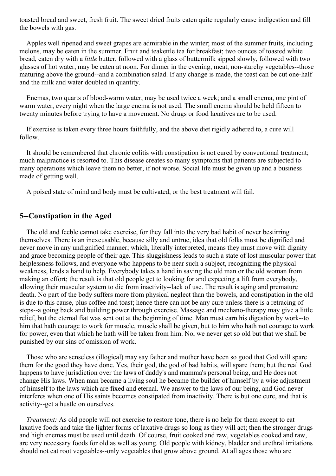toasted bread and sweet, fresh fruit. The sweet dried fruits eaten quite regularly cause indigestion and fill the bowels with gas.

Apples well ripened and sweet grapes are admirable in the winter; most of the summer fruits, including melons, may be eaten in the summer. Fruit and teakettle tea for breakfast; two ounces of toasted white bread, eaten dry with a *little* butter, followed with a glass of buttermilk sipped slowly, followed with two glasses of hot water, may be eaten at noon. For dinner in the evening, meat, non-starchy vegetables--those maturing above the ground--and a combination salad. If any change is made, the toast can be cut one-half and the milk and water doubled in quantity.

Enemas, two quarts of blood-warm water, may be used twice a week; and a small enema, one pint of warm water, every night when the large enema is not used. The small enema should be held fifteen to twenty minutes before trying to have a movement. No drugs or food laxatives are to be used.

If exercise is taken every three hours faithfully, and the above diet rigidly adhered to, a cure will follow.

It should be remembered that chronic colitis with constipation is not cured by conventional treatment; much malpractice is resorted to. This disease creates so many symptoms that patients are subjected to many operations which leave them no better, if not worse. Social life must be given up and a business made of getting well.

A poised state of mind and body must be cultivated, or the best treatment will fail.

### **5--Constipation in the Aged**

The old and feeble cannot take exercise, for they fall into the very bad habit of never bestirring themselves. There is an inexcusable, because silly and untrue, idea that old folks must be dignified and never move in any undignified manner; which, literally interpreted, means they must move with dignity and grace becoming people of their age. This sluggishness leads to such a state of lost muscular power that helplessness follows, and everyone who happens to be near such a subject, recognizing the physical weakness, lends a hand to help. Everybody takes a hand in saving the old man or the old woman from making an effort; the result is that old people get to looking for and expecting a lift from everybody, allowing their muscular system to die from inactivity--lack of use. The result is aging and premature death. No part of the body suffers more from physical neglect than the bowels, and constipation in the old is due to this cause, plus coffee and toast; hence there can not be any cure unless there is a retracing of steps--a going back and building power through exercise. Massage and mechano-therapy may give a little relief, but the eternal fiat was sent out at the beginning of time. Man must earn his digestion by work--to him that hath courage to work for muscle, muscle shall be given, but to him who hath not courage to work for power, even that which he hath will be taken from him. No, we never get so old but that we shall be punished by our sins of omission of work.

Those who are senseless (illogical) may say father and mother have been so good that God will spare them for the good they have done. Yes, their god, the god of bad habits, will spare them; but the real God happens to have jurisdiction over the laws of daddy's and mamma's personal being, and He does not change His laws. When man became a living soul he became the builder of himself by a wise adjustment of himself to the laws which are fixed and eternal. We answer to the laws of our being, and God never interferes when one of His saints becomes constipated from inactivity. There is but one cure, and that is activity--get a hustle on ourselves.

*Treatment:* As old people will not exercise to restore tone, there is no help for them except to eat laxative foods and take the lighter forms of laxative drugs so long as they will act; then the stronger drugs and high enemas must be used until death. Of course, fruit cooked and raw, vegetables cooked and raw, are very necessary foods for old as well as young. Old people with kidney, bladder and urethral irritations should not eat root vegetables--only vegetables that grow above ground. At all ages those who are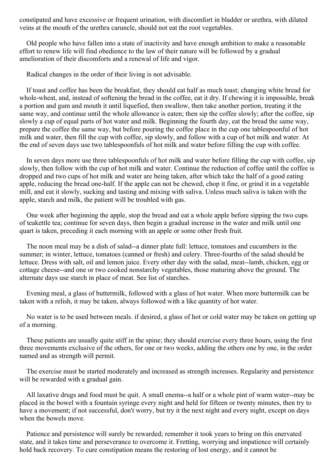<span id="page-57-0"></span>constipated and have excessive or frequent urination, with discomfort in bladder or urethra, with dilated veins at the mouth of the urethra caruncle, should not eat the root vegetables.

Old people who have fallen into a state of inactivity and have enough ambition to make a reasonable effort to renew life will find obedience to the law of their nature will be followed by a gradual amelioration of their discomforts and a renewal of life and vigor.

Radical changes in the order of their living is not advisable.

If toast and coffee has been the breakfast, they should eat half as much toast; changing white bread for whole-wheat, and, instead of softening the bread in the coffee, eat it dry. If chewing it is impossible, break a portion and gum and mouth it until liquefied, then swallow, then take another portion, treating it the same way, and continue until the whole allowance is eaten; then sip the coffee slowly; after the coffee, sip slowly a cup of equal parts of hot water and milk. Beginning the fourth day, eat the bread the same way, prepare the coffee the same way, but before pouring the coffee place in the cup one tablespoonful of hot milk and water, then fill the cup with coffee, sip slowly, and follow with a cup of hot milk and water. At the end of seven days use two tablespoonfuls of hot milk and water before filling the cup with coffee.

In seven days more use three tablespoonfuls of hot milk and water before filling the cup with coffee, sip slowly, then follow with the cup of hot milk and water. Continue the reduction of coffee until the coffee is dropped and two cups of hot milk and water are being taken, after which take the half of a good eating apple, reducing the bread one-half. If the apple can not be chewed, chop it fine, or grind it in a vegetable mill, and eat it slowly, sucking and tasting and mixing with saliva. Unless much saliva is taken with the apple, starch and milk, the patient will be troubled with gas.

One week after beginning the apple, stop the bread and eat a whole apple before sipping the two cups of teakettle tea; continue for seven days, then begin a gradual increase in the water and milk until one quart is taken, preceding it each morning with an apple or some other fresh fruit.

The noon meal may be a dish of salad--a dinner plate full: lettuce, tomatoes and cucumbers in the summer; in winter, lettuce, tomatoes (canned or fresh) and celery. Three-fourths of the salad should be lettuce. Dress with salt, oil and lemon juice. Every other day with the salad, meat--lamb, chicken, egg or cottage cheese--and one or two cooked nonstarchy vegetables, those maturing above the ground. The alternate days use starch in place of meat. See list of starches.

Evening meal, a glass of buttermilk, followed with a glass of hot water. When more buttermilk can be taken with a relish, it may be taken, always followed with a like quantity of hot water.

No water is to be used between meals. if desired, a glass of hot or cold water may be taken on getting up of a morning.

These patients are usually quite stiff in the spine; they should exercise every three hours, using the first three movements exclusive of the others, for one or two weeks, adding the others one by one, in the order named and as strength will permit.

The exercise must be started moderately and increased as strength increases. Regularity and persistence will be rewarded with a gradual gain.

All laxative drugs and food must be quit. A small enema--a half or a whole pint of warm water--may be placed in the bowel with a fountain syringe every night and held for fifteen or twenty minutes, then try to have a movement; if not successful, don't worry, but try it the next night and every night, except on days when the bowels move.

Patience and persistence will surely be rewarded; remember it took years to bring on this enervated state, and it takes time and perseverance to overcome it. Fretting, worrying and impatience will certainly hold back recovery. To cure constipation means the restoring of lost energy, and it cannot be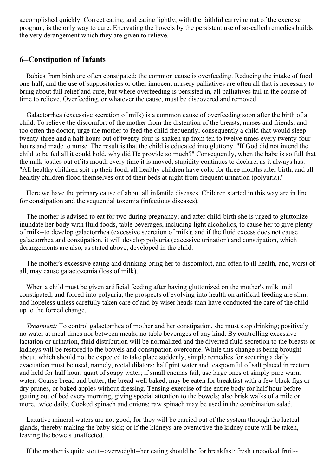accomplished quickly. Correct eating, and eating lightly, with the faithful carrying out of the exercise program, is the only way to cure. Enervating the bowels by the persistent use of so-called remedies builds the very derangement which they are given to relieve.

# **6--Constipation of Infants**

Babies from birth are often constipated; the common cause is overfeeding. Reducing the intake of food one-half, and the use of suppositories or other innocent nursery palliatives are often all that is necessary to bring about full relief and cure, but where overfeeding is persisted in, all palliatives fail in the course of time to relieve. Overfeeding, or whatever the cause, must be discovered and removed.

Galactorrhea (excessive secretion of milk) is a common cause of overfeeding soon after the birth of a child. To relieve the discomfort of the mother from the distention of the breasts, nurses and friends, and too often the doctor, urge the mother to feed the child frequently; consequently a child that would sleep twenty-three and a half hours out of twenty-four is shaken up from ten to twelve times every twenty-four hours and made to nurse. The result is that the child is educated into gluttony. "If God did not intend the child to be fed all it could hold, why did He provide so much?" Consequently, when the babe is so full that the milk jostles out of its mouth every time it is moved, stupidity continues to declare, as it always has: "All healthy children spit up their food; all healthy children have colic for three months after birth; and all healthy children flood themselves out of their beds at night from frequent urination (polyuria)."

Here we have the primary cause of about all infantile diseases. Children started in this way are in line for constipation and the sequential toxemia (infectious diseases).

The mother is advised to eat for two during pregnancy; and after child-birth she is urged to gluttonize- inundate her body with fluid foods, table beverages, including light alcoholics, to cause her to give plenty of milk--to develop galactorrhea (excessive secretion of milk); and if the fluid excess does not cause galactorrhea and constipation, it will develop polyuria (excessive urination) and constipation, which derangements are also, as stated above, developed in the child.

The mother's excessive eating and drinking bring her to discomfort, and often to ill health, and, worst of all, may cause galactozemia (loss of milk).

When a child must be given artificial feeding after having gluttonized on the mother's milk until constipated, and forced into polyuria, the prospects of evolving into health on artificial feeding are slim, and hopeless unless carefully taken care of and by wiser heads than have conducted the care of the child up to the forced change.

*Treatment:* To control galactorrhea of mother and her constipation, she must stop drinking; positively no water at meal times nor between meals; no table beverages of any kind. By controlling excessive lactation or urination, fluid distribution will be normalized and the diverted fluid secretion to the breasts or kidneys will be restored to the bowels and constipation overcome. While this change is being brought about, which should not be expected to take place suddenly, simple remedies for securing a daily evacuation must be used, namely, rectal dilators; half pint water and teaspoonful of salt placed in rectum and held for half hour; quart of soapy water; if small enemas fail, use large ones of simply pure warm water. Coarse bread and butter, the bread well baked, may be eaten for breakfast with a few black figs or dry prunes, or baked apples without dressing. Tensing exercise of the entire body for half hour before getting out of bed every morning, giving special attention to the bowels; also brisk walks of a mile or more, twice daily. Cooked spinach and onions; raw spinach may be used in the combination salad.

Laxative mineral waters are not good, for they will be carried out of the system through the lacteal glands, thereby making the baby sick; or if the kidneys are overactive the kidney route will be taken, leaving the bowels unaffected.

If the mother is quite stout--overweight--her eating should be for breakfast: fresh uncooked fruit--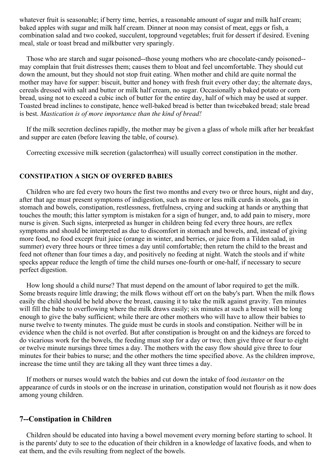whatever fruit is seasonable; if berry time, berries, a reasonable amount of sugar and milk half cream; baked apples with sugar and milk half cream. Dinner at noon may consist of meat, eggs or fish, a combination salad and two cooked, succulent, topground vegetables; fruit for dessert if desired. Evening meal, stale or toast bread and milkbutter very sparingly.

Those who are starch and sugar poisoned--those young mothers who are chocolate-candy poisoned- may complain that fruit distresses them; causes them to bloat and feel uncomfortable. They should cut down the amount, but they should not stop fruit eating. When mother and child are quite normal the mother may have for supper: biscuit, butter and honey with fresh fruit every other day; the alternate days, cereals dressed with salt and butter or milk half cream, no sugar. Occasionally a baked potato or corn bread, using not to exceed a cubic inch of butter for the entire day, half of which may be used at supper. Toasted bread inclines to constipate, hence well-baked bread is better than twicebaked bread; stale bread is best. *Mastication is of more importance than the kind of bread!*

If the milk secretion declines rapidly, the mother may be given a glass of whole milk after her breakfast and supper are eaten (before leaving the table, of course).

Correcting excessive milk secretion (galactorrhea) will usually correct constipation in the mother.

### **CONSTIPATION A SIGN OF OVERFED BABIES**

Children who are fed every two hours the first two months and every two or three hours, night and day, after that age must present symptoms of indigestion, such as more or less milk curds in stools, gas in stomach and bowels, constipation, restlessness, fretfulness, crying and sucking at hands or anything that touches the mouth; this latter symptom is mistaken for a sign of hunger, and, to add pain to misery, more nurse is given. Such signs, interpreted as hunger in children being fed every three hours, are reflex symptoms and should be interpreted as due to discomfort in stomach and bowels, and, instead of giving more food, no food except fruit juice (orange in winter, and berries, or juice from a Tilden salad, in summer) every three hours or three times a day until comfortable; then return the child to the breast and feed not oftener than four times a day, and positively no feeding at night. Watch the stools and if white specks appear reduce the length of time the child nurses one-fourth or one-half, if necessary to secure perfect digestion.

How long should a child nurse? That must depend on the amount of labor required to get the milk. Some breasts require little drawing; the milk flows without eff ort on the baby's part. When the milk flows easily the child should be held above the breast, causing it to take the milk against gravity. Ten minutes will fill the babe to overflowing where the milk draws easily; six minutes at such a breast will be long enough to give the baby sufficient; while there are other mothers who will have to allow their babies to nurse twelve to twenty minutes. The guide must be curds in stools and constipation. Neither will be in evidence when the child is not overfed. But after constipation is brought on and the kidneys are forced to do vicarious work for the bowels, the feeding must stop for a day or two; then give three or four to eight or twelve minute nursings three times a day. The mothers with the easy flow should give three to four minutes for their babies to nurse; and the other mothers the time specified above. As the children improve, increase the time until they are taking all they want three times a day.

If mothers or nurses would watch the babies and cut down the intake of food *instanter* on the appearance of curds in stools or on the increase in urination, constipation would not flourish as it now does among young children.

# **7--Constipation in Children**

Children should be educated into having a bowel movement every morning before starting to school. It is the parents' duty to see to the education of their children in a knowledge of laxative foods, and when to eat them, and the evils resulting from neglect of the bowels.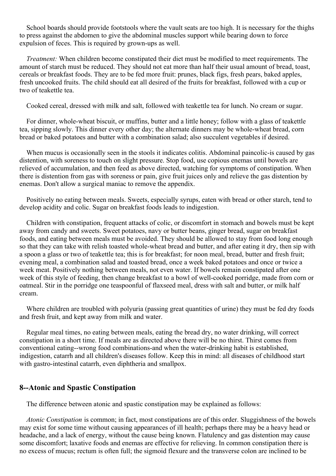School boards should provide footstools where the vault seats are too high. It is necessary for the thighs to press against the abdomen to give the abdominal muscles support while bearing down to force expulsion of feces. This is required by grown-ups as well.

*Treatment:* When children become constipated their diet must be modified to meet requirements. The amount of starch must be reduced. They should not eat more than half their usual amount of bread, toast, cereals or breakfast foods. They are to be fed more fruit: prunes, black figs, fresh pears, baked apples, fresh uncooked fruits. The child should eat all desired of the fruits for breakfast, followed with a cup or two of teakettle tea.

Cooked cereal, dressed with milk and salt, followed with teakettle tea for lunch. No cream or sugar.

For dinner, whole-wheat biscuit, or muffins, butter and a little honey; follow with a glass of teakettle tea, sipping slowly. This dinner every other day; the alternate dinners may be whole-wheat bread, corn bread or baked potatoes and butter with a combination salad; also succulent vegetables if desired.

When mucus is occasionally seen in the stools it indicates colitis. Abdominal paincolic-is caused by gas distention, with soreness to touch on slight pressure. Stop food, use copious enemas until bowels are relieved of accumulation, and then feed as above directed, watching for symptoms of constipation. When there is distention from gas with soreness or pain, give fruit juices only and relieve the gas distention by enemas. Don't allow a surgical maniac to remove the appendix.

Positively no eating between meals. Sweets, especially syrups, eaten with bread or other starch, tend to develop acidity and colic. Sugar on breakfast foods leads to indigestion.

Children with constipation, frequent attacks of colic, or discomfort in stomach and bowels must be kept away from candy and sweets. Sweet potatoes, navy or butter beans, ginger bread, sugar on breakfast foods, and eating between meals must be avoided. They should be allowed to stay from food long enough so that they can take with relish toasted whole-wheat bread and butter, and after eating it dry, then sip with a spoon a glass or two of teakettle tea; this is for breakfast; for noon meal, bread, butter and fresh fruit; evening meal, a combination salad and toasted bread, once a week baked potatoes and once or twice a week meat. Positively nothing between meals, not even water. If bowels remain constipated after one week of this style of feeding, then change breakfast to a bowl of well-cooked porridge, made from corn or oatmeal. Stir in the porridge one teaspoonful of flaxseed meal, dress with salt and butter, or milk half cream.

Where children are troubled with polyuria (passing great quantities of urine) they must be fed dry foods and fresh fruit, and kept away from milk and water.

Regular meal times, no eating between meals, eating the bread dry, no water drinking, will correct constipation in a short time. If meals are as directed above there will be no thirst. Thirst comes from conventional eating--wrong food combinations-and when the water-drinking habit is established, indigestion, catarrh and all children's diseases follow. Keep this in mind: all diseases of childhood start with gastro-intestinal catarrh, even diphtheria and smallpox.

### **8--Atonic and Spastic Constipation**

The difference between atonic and spastic constipation may be explained as follows:

*Atonic Constipation* is common; in fact, most constipations are of this order. Sluggishness of the bowels may exist for some time without causing appearances of ill health; perhaps there may be a heavy head or headache, and a lack of energy, without the cause being known. Flatulency and gas distention may cause some discomfort; laxative foods and enemas are effective for relieving. In common constipation there is no excess of mucus; rectum is often full; the sigmoid flexure and the transverse colon are inclined to be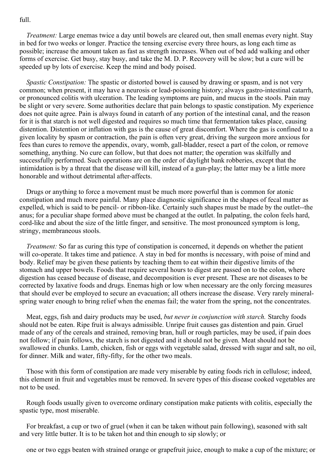### full.

*Treatment:* Large enemas twice a day until bowels are cleared out, then small enemas every night. Stay in bed for two weeks or longer. Practice the tensing exercise every three hours, as long each time as possible; increase the amount taken as fast as strength increases. When out of bed add walking and other forms of exercise. Get busy, stay busy, and take the M. D. P. Recovery will be slow; but a cure will be speeded up by lots of exercise. Keep the mind and body poised.

*Spastic Constipation:* The spastic or distorted bowel is caused by drawing or spasm, and is not very common; when present, it may have a neurosis or lead-poisoning history; always gastro-intestinal catarrh, or pronounced colitis with ulceration. The leading symptoms are pain, and mucus in the stools. Pain may be slight or very severe. Some authorities declare that pain belongs to spastic constipation. My experience does not quite agree. Pain is always found in catarrh of any portion of the intestinal canal, and the reason for it is that starch is not well digested and requires so much time that fermentation takes place, causing distention. Distention or inflation with gas is the cause of great discomfort. Where the gas is confined to a given locality by spasm or contraction, the pain is often very great, driving the surgeon more anxious for fees than cures to remove the appendix, ovary, womb, gall-bladder, resect a part of the colon, or remove something, anything. No cure can follow, but that does not matter; the operation was skilfully and successfully performed. Such operations are on the order of daylight bank robberies, except that the intimidation is by a threat that the disease will kill, instead of a gun-play; the latter may be a little more honorable and without detrimental after-affects.

Drugs or anything to force a movement must be much more powerful than is common for atonic constipation and much more painful. Many place diagnostic significance in the shapes of fecal matter as expelled, which is said to be pencil- or ribbon-like. Certainly such shapes must be made by the outlet--the anus; for a peculiar shape formed above must be changed at the outlet. In palpating, the colon feels hard, cord-like and about the size of the little finger, and sensitive. The most pronounced symptom is long, stringy, membraneous stools.

*Treatment:* So far as curing this type of constipation is concerned, it depends on whether the patient will co-operate. It takes time and patience. A stay in bed for months is necessary, with poise of mind and body. Relief may be given these patients by teaching them to eat within their digestive limits of the stomach and upper bowels. Foods that require several hours to digest are passed on to the colon, where digestion has ceased because of disease, and decomposition is ever present. These are not diseases to be corrected by laxative foods and drugs. Enemas high or low when necessary are the only forcing measures that should ever be employed to secure an evacuation; all others increase the disease. Very rarely mineralspring water enough to bring relief when the enemas fail; the water from the spring, not the concentrates.

Meat, eggs, fish and dairy products may be used, *but never in conjunction with starch.* Starchy foods should not be eaten. Ripe fruit is always admissible. Unripe fruit causes gas distention and pain. Gruel made of any of the cereals and strained, removing bran, hull or rough particles, may be used, if pain does not follow; if pain follows, the starch is not digested and it should not be given. Meat should not be swallowed in chunks. Lamb, chicken, fish or eggs with vegetable salad, dressed with sugar and salt, no oil, for dinner. Milk and water, fifty-fifty, for the other two meals.

Those with this form of constipation are made very miserable by eating foods rich in cellulose; indeed, this element in fruit and vegetables must be removed. In severe types of this disease cooked vegetables are not to be used.

Rough foods usually given to overcome ordinary constipation make patients with colitis, especially the spastic type, most miserable.

For breakfast, a cup or two of gruel (when it can be taken without pain following), seasoned with salt and very little butter. It is to be taken hot and thin enough to sip slowly; or

one or two eggs beaten with strained orange or grapefruit juice, enough to make a cup of the mixture; or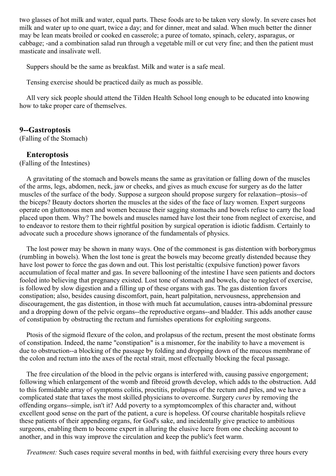two glasses of hot milk and water, equal parts. These foods are to be taken very slowly. In severe cases hot milk and water up to one quart, twice a day; and for dinner, meat and salad. When much better the dinner may be lean meats broiled or cooked en casserole; a puree of tomato, spinach, celery, asparagus, or cabbage; -and a combination salad run through a vegetable mill or cut very fine; and then the patient must masticate and insalivate well.

Suppers should be the same as breakfast. Milk and water is a safe meal.

Tensing exercise should be practiced daily as much as possible.

All very sick people should attend the Tilden Health School long enough to be educated into knowing how to take proper care of themselves.

### **9--Gastroptosis**

(Falling of the Stomach)

### **Enteroptosis**

(Falling of the Intestines)

A gravitating of the stomach and bowels means the same as gravitation or falling down of the muscles of the arms, legs, abdomen, neck, jaw or cheeks, and gives as much excuse for surgery as do the latter muscles of the surface of the body. Suppose a surgeon should propose surgery for relaxation--ptosis--of the biceps? Beauty doctors shorten the muscles at the sides of the face of lazy women. Expert surgeons operate on gluttonous men and women because their sagging stomachs and bowels refuse to carry the load placed upon them. Why? The bowels and muscles named have lost their tone from neglect of exercise, and to endeavor to restore them to their rightful position by surgical operation is idiotic faddism. Certainly to advocate such a procedure shows ignorance of the fundamentals of physics.

The lost power may be shown in many ways. One of the commonest is gas distention with borborygmus (rumbling in bowels). When the lost tone is great the bowels may become greatly distended because they have lost power to force the gas down and out. This lost peristaltic (expulsive function) power favors accumulation of fecal matter and gas. In severe ballooning of the intestine I have seen patients and doctors fooled into believing that pregnancy existed. Lost tone of stomach and bowels, due to neglect of exercise, is followed by slow digestion and a filling up of these organs with gas. The gas distention favors constipation; also, besides causing discomfort, pain, heart palpitation, nervousness, apprehension and discouragement, the gas distention, in those with much fat accumulation, causes intra-abdominal pressure and a dropping down of the pelvic organs--the reproductive organs--and bladder. This adds another cause of constipation by obstructing the rectum and furnishes operations for exploiting surgeons.

Ptosis of the sigmoid flexure of the colon, and prolapsus of the rectum, present the most obstinate forms of constipation. Indeed, the name "constipation" is a misnomer, for the inability to have a movement is due to obstruction--a blocking of the passage by folding and dropping down of the mucous membrane of the colon and rectum into the axes of the rectal strait, most effectually blocking the fecal passage.

The free circulation of the blood in the pelvic organs is interfered with, causing passive engorgement; following which enlargement of the womb and fibroid growth develop, which adds to the obstruction. Add to this formidable array of symptoms colitis, proctitis, prolapsus of the rectum and piles, and we have a complicated state that taxes the most skilled physicians to overcome. Surgery *cures* by removing the offending organs--simple, isn't it? Add poverty to a symptomcomplex of this character and, without excellent good sense on the part of the patient, a cure is hopeless. Of course charitable hospitals relieve these patients of their appending organs, for God's sake, and incidentally give practice to ambitious surgeons, enabling them to become expert in alluring the elusive lucre from one checking account to another, and in this way improve the circulation and keep the public's feet warm.

*Treatment:* Such cases require several months in bed, with faithful exercising every three hours every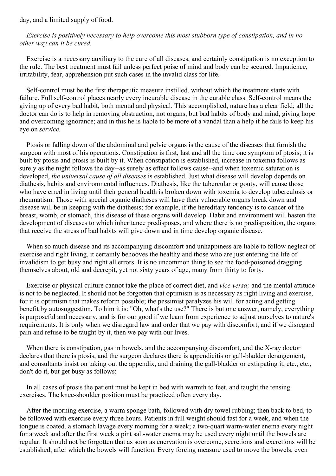day, and a limited supply of food.

*Exercise is positively necessary to help overcome this most stubborn type of constipation, and in no other way can it be cured.*

Exercise is a necessary auxiliary to the cure of all diseases, and certainly constipation is no exception to the rule. The best treatment must fail unless perfect poise of mind and body can be secured. Impatience, irritability, fear, apprehension put such cases in the invalid class for life.

Self-control must be the first therapeutic measure instilled, without which the treatment starts with failure. Full self-control places nearly every incurable disease in the curable class. Self-control means the giving up of every bad habit, both mental and physical. This accomplished, nature has a clear field; all the doctor can do is to help in removing obstruction, not organs, but bad habits of body and mind, giving hope and overcoming ignorance; and in this he is liable to be more of a vandal than a help if he fails to keep his eye on *service.*

Ptosis or falling down of the abdominal and pelvic organs is the cause of the diseases that furnish the surgeon with most of his operations. Constipation is first, last and all the time one symptom of ptosis; it is built by ptosis and ptosis is built by it. When constipation is established, increase in toxemia follows as surely as the night follows the day--as surely as effect follows cause--and when toxemic saturation is developed, *the universal cause of all diseases* is established. Just what disease will develop depends on diathesis, habits and environmental influences. Diathesis, like the tubercular or gouty, will cause those who have erred in living until their general health is broken down with toxemia to develop tuberculosis or rheumatism. Those with special organic diatheses will have their vulnerable organs break down and disease will be in keeping with the diathesis; for example, if the hereditary tendency is to cancer of the breast, womb, or stomach, this disease of these organs will develop. Habit and environment will hasten the development of diseases to which inheritance predisposes, and where there is no predisposition, the organs that receive the stress of bad habits will give down and in time develop organic disease.

When so much disease and its accompanying discomfort and unhappiness are liable to follow neglect of exercise and right living, it certainly behooves the healthy and those who are just entering the life of invalidism to get busy and right all errors. It is no uncommon thing to see the food-poisoned dragging themselves about, old and decrepit, yet not sixty years of age, many from thirty to forty.

Exercise or physical culture cannot take the place of correct diet, and *vice versa;* and the mental attitude is not to be neglected. It should not be forgotten that optimism is as necessary as right living and exercise, for it is optimism that makes reform possible; the pessimist paralyzes his will for acting and getting benefit by autosuggestion. To him it is: "Oh, what's the use?" There is but one answer, namely, everything is purposeful and necessary, and is for our good if we learn from experience to adjust ourselves to nature's requirements. It is only when we disregard law and order that we pay with discomfort, and if we disregard pain and refuse to be taught by it, then we pay with our lives.

When there is constipation, gas in bowels, and the accompanying discomfort, and the X-ray doctor declares that there is ptosis, and the surgeon declares there is appendicitis or gall-bladder derangement, and consultants insist on taking out the appendix, and draining the gall-bladder or extirpating it, etc., etc., don't do it, but get busy as follows:

In all cases of ptosis the patient must be kept in bed with warmth to feet, and taught the tensing exercises. The knee-shoulder position must be practiced often every day.

After the morning exercise, a warm sponge bath, followed with dry towel rubbing; then back to bed, to be followed with exercise every three hours. Patients in full weight should fast for a week, and when the tongue is coated, a stomach lavage every morning for a week; a two-quart warm-water enema every night for a week and after the first week a pint salt-water enema may be used every night until the bowels are regular. It should not be forgotten that as soon as enervation is overcome, secretions and excretions will be established, after which the bowels will function. Every forcing measure used to move the bowels, even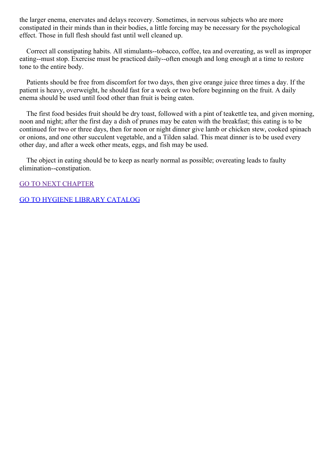the larger enema, enervates and delays recovery. Sometimes, in nervous subjects who are more constipated in their minds than in their bodies, a little forcing may be necessary for the psychological effect. Those in full flesh should fast until well cleaned up.

Correct all constipating habits. All stimulants--tobacco, coffee, tea and overeating, as well as improper eating--must stop. Exercise must be practiced daily--often enough and long enough at a time to restore tone to the entire body.

Patients should be free from discomfort for two days, then give orange juice three times a day. If the patient is heavy, overweight, he should fast for a week or two before beginning on the fruit. A daily enema should be used until food other than fruit is being eaten.

The first food besides fruit should be dry toast, followed with a pint of teakettle tea, and given morning, noon and night; after the first day a dish of prunes may be eaten with the breakfast; this eating is to be continued for two or three days, then for noon or night dinner give lamb or chicken stew, cooked spinach or onions, and one other succulent vegetable, and a Tilden salad. This meat dinner is to be used every other day, and after a week other meats, eggs, and fish may be used.

The object in eating should be to keep as nearly normal as possible; overeating leads to faulty elimination--constipation.

GO TO NEXT [CHAPTER](#page-65-0)

GO TO HYGIENE LIBRARY [CATALOG](../0201hyglibcat.html)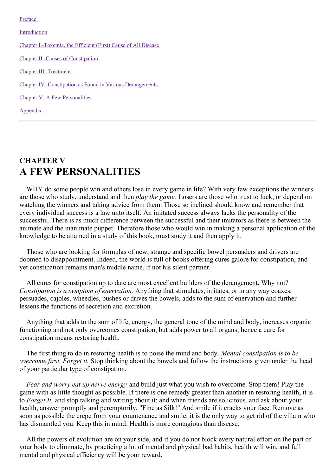<span id="page-65-0"></span>[Preface](#page-3-0)

[Introduction](#page-9-0)

Chapter [I.-Toxemia,](#page-17-0) the Efficient (First) Cause of All Disease

Chapter II.-Causes of [Constipation](#page-27-0)

Chapter [III.-Treatment](#page-41-0)

Chapter [IV.-Constipation](#page-57-0) as Found in Various Derangements

Chapter V.-A Few [Personalities](#page-65-0)

[Appendix](#page-67-0)

# **CHAPTER V A FEW PERSONALITIES**

WHY do some people win and others lose in every game in life? With very few exceptions the winners are those who study, understand and then *play the game.* Losers are those who trust to luck, or depend on watching the winners and taking advice from them. Those so inclined should know and remember that every individual success is a law unto itself. An imitated success always lacks the personality of the successful. There is as much difference between the successful and their imitators as there is between the animate and the inanimate puppet. Therefore those who would win in making a personal application of the knowledge to be attained in a study of this book, must study it and then apply it.

Those who are looking for formulas of new, strange and specific bowel persuaders and drivers are doomed to disappointment. Indeed, the world is full of books offering cures galore for constipation, and yet constipation remains man's middle name, if not his silent partner.

All cures for constipation up to date are most excellent builders of the derangement. Why not? *Constipation is a symptom of enervation.* Anything that stimulates, irritates, or in any way coaxes, persuades, cajoles, wheedles, pushes or drives the bowels, adds to the sum of enervation and further lessens the functions of secretion and excretion.

Anything that adds to the sum of life, energy, the general tone of the mind and body, increases organic functioning and not only overcomes constipation, but adds power to all organs; hence a cure for constipation means restoring health.

The first thing to do in restoring health is to poise the mind and body. *Mental constipation is to be overcome first. Forget it.* Stop thinking about the bowels and follow the instructions given under the head of your particular type of constipation.

*Fear and worry eat up nerve energy* and build just what you wish to overcome. Stop them! Play the game with as little thought as possible. If there is one remedy greater than another in restoring health, it is to *Forget It,* and stop talking and writing about it; and when friends are solicitous, and ask about your health, answer promptly and peremptorily, "Fine as Silk!" And smile if it cracks your face. Remove as soon as possible the crepe from your countenance and smile; it is the only way to get rid of the villain who has dismantled you. Keep this in mind: Health is more contagious than disease.

All the powers of evolution are on your side, and if you do not block every natural effort on the part of your body to eliminate, by practicing a lot of mental and physical bad habits, health will win, and full mental and physical efficiency will be your reward.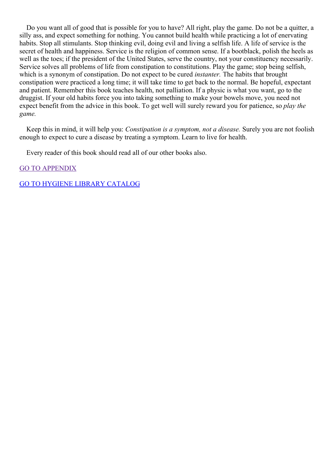Do you want all of good that is possible for you to have? All right, play the game. Do not be a quitter, a silly ass, and expect something for nothing. You cannot build health while practicing a lot of enervating habits. Stop all stimulants. Stop thinking evil, doing evil and living a selfish life. A life of service is the secret of health and happiness. Service is the religion of common sense. If a bootblack, polish the heels as well as the toes; if the president of the United States, serve the country, not your constituency necessarily. Service solves all problems of life from constipation to constitutions. Play the game; stop being selfish, which is a synonym of constipation. Do not expect to be cured *instanter.* The habits that brought constipation were practiced a long time; it will take time to get back to the normal. Be hopeful, expectant and patient. Remember this book teaches health, not palliation. If a physic is what you want, go to the druggist. If your old habits force you into taking something to make your bowels move, you need not expect benefit from the advice in this book. To get well will surely reward you for patience, so *play the game.*

Keep this in mind, it will help you: *Constipation is a symptom, not a disease.* Surely you are not foolish enough to expect to cure a disease by treating a symptom. Learn to live for health.

Every reader of this book should read all of our other books also.

GO TO [APPENDIX](#page-67-0)

GO TO HYGIENE LIBRARY [CATALOG](../0201hyglibcat.html)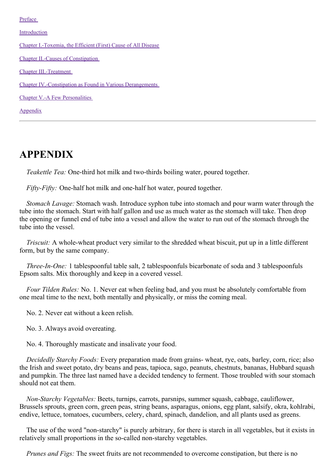<span id="page-67-0"></span>[Preface](#page-3-0)

[Introduction](#page-9-0)

Chapter [I.-Toxemia,](#page-17-0) the Efficient (First) Cause of All Disease Chapter II.-Causes of [Constipation](#page-27-0) Chapter [III.-Treatment](#page-41-0) Chapter [IV.-Constipation](#page-57-0) as Found in Various Derangements Chapter V.-A Few [Personalities](#page-65-0) [Appendix](#page-67-0)

**APPENDIX**

*Teakettle Tea:* One-third hot milk and two-thirds boiling water, poured together.

*Fifty-Fifty:* One-half hot milk and one-half hot water, poured together.

*Stomach Lavage:* Stomach wash. Introduce syphon tube into stomach and pour warm water through the tube into the stomach. Start with half gallon and use as much water as the stomach will take. Then drop the opening or funnel end of tube into a vessel and allow the water to run out of the stomach through the tube into the vessel.

*Triscuit:* A whole-wheat product very similar to the shredded wheat biscuit, put up in a little different form, but by the same company.

*Three-In-One:* 1 tablespoonful table salt, 2 tablespoonfuls bicarbonate of soda and 3 tablespoonfuls Epsom salts. Mix thoroughly and keep in a covered vessel.

*Four Tilden Rules:* No. 1. Never eat when feeling bad, and you must be absolutely comfortable from one meal time to the next, both mentally and physically, or miss the coming meal.

No. 2. Never eat without a keen relish.

No. 3. Always avoid overeating.

No. 4. Thoroughly masticate and insalivate your food.

*Decidedly Starchy Foods:* Every preparation made from grains- wheat, rye, oats, barley, corn, rice; also the Irish and sweet potato, dry beans and peas, tapioca, sago, peanuts, chestnuts, bananas, Hubbard squash and pumpkin. The three last named have a decided tendency to ferment. Those troubled with sour stomach should not eat them.

*Non-Starchy Vegetables:* Beets, turnips, carrots, parsnips, summer squash, cabbage, cauliflower, Brussels sprouts, green corn, green peas, string beans, asparagus, onions, egg plant, salsify, okra, kohlrabi, endive, lettuce, tomatoes, cucumbers, celery, chard, spinach, dandelion, and all plants used as greens.

The use of the word "non-starchy" is purely arbitrary, for there is starch in all vegetables, but it exists in relatively small proportions in the so-called non-starchy vegetables.

*Prunes and Figs:* The sweet fruits are not recommended to overcome constipation, but there is no